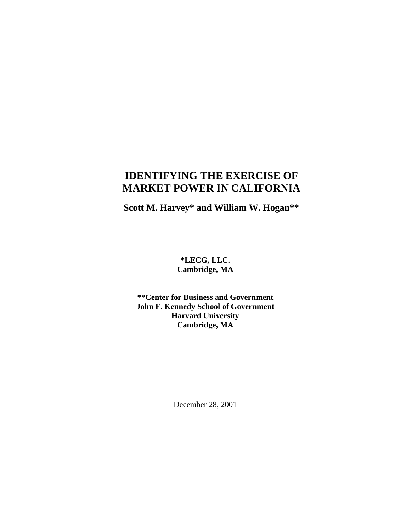# **IDENTIFYING THE EXERCISE OF MARKET POWER IN CALIFORNIA**

**Scott M. Harvey\* and William W. Hogan\*\***

## **\*LECG, LLC. Cambridge, MA**

### **\*\*Center for Business and Government John F. Kennedy School of Government Harvard University Cambridge, MA**

December 28, 2001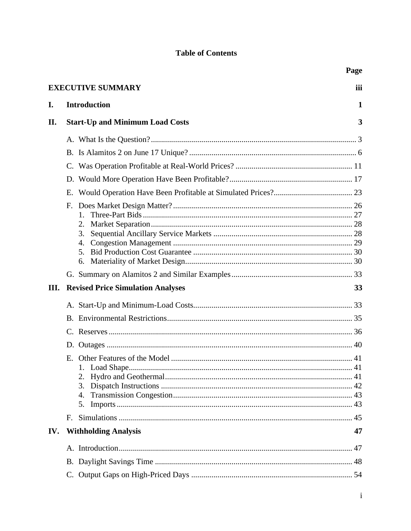## **Table of Contents**

|     |                                          | Page |
|-----|------------------------------------------|------|
|     | <b>EXECUTIVE SUMMARY</b>                 | iii  |
| I.  | <b>Introduction</b>                      | 1    |
| II. | <b>Start-Up and Minimum Load Costs</b>   | 3    |
|     |                                          |      |
|     |                                          |      |
|     |                                          |      |
|     |                                          |      |
|     | Е.                                       |      |
|     | F.                                       |      |
|     | 1.                                       |      |
|     | 2.<br>3.                                 |      |
|     | 4.                                       |      |
|     | 5.                                       |      |
|     | 6.                                       |      |
|     |                                          |      |
| Ш.  | <b>Revised Price Simulation Analyses</b> | 33   |
|     |                                          |      |
|     |                                          |      |
|     |                                          |      |
|     |                                          |      |
|     |                                          |      |
|     |                                          |      |
|     | 2.                                       |      |
|     | 3.                                       |      |
|     | 4.<br>5.                                 |      |
|     | F.                                       |      |
|     |                                          |      |
| IV. | <b>Withholding Analysis</b>              | 47   |
|     |                                          |      |
|     |                                          |      |
|     |                                          |      |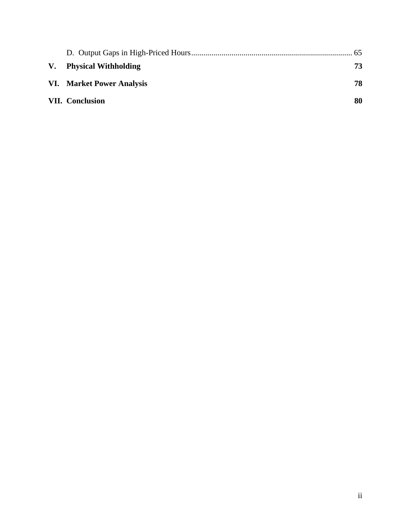| V. Physical Withholding   | 73 |
|---------------------------|----|
| VI. Market Power Analysis | 78 |
| <b>VII.</b> Conclusion    | 80 |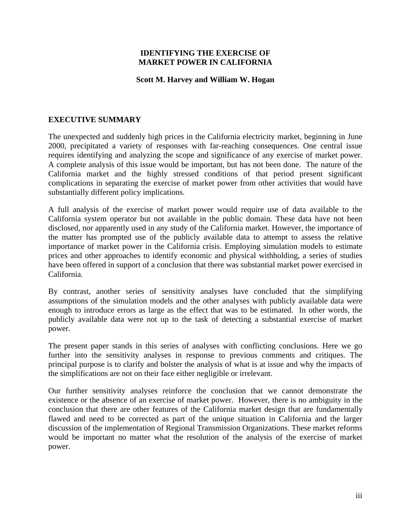#### **IDENTIFYING THE EXERCISE OF MARKET POWER IN CALIFORNIA**

#### **Scott M. Harvey and William W. Hogan**

### **EXECUTIVE SUMMARY**

The unexpected and suddenly high prices in the California electricity market, beginning in June 2000, precipitated a variety of responses with far-reaching consequences. One central issue requires identifying and analyzing the scope and significance of any exercise of market power. A complete analysis of this issue would be important, but has not been done. The nature of the California market and the highly stressed conditions of that period present significant complications in separating the exercise of market power from other activities that would have substantially different policy implications.

A full analysis of the exercise of market power would require use of data available to the California system operator but not available in the public domain. These data have not been disclosed, nor apparently used in any study of the California market. However, the importance of the matter has prompted use of the publicly available data to attempt to assess the relative importance of market power in the California crisis. Employing simulation models to estimate prices and other approaches to identify economic and physical withholding, a series of studies have been offered in support of a conclusion that there was substantial market power exercised in California.

By contrast, another series of sensitivity analyses have concluded that the simplifying assumptions of the simulation models and the other analyses with publicly available data were enough to introduce errors as large as the effect that was to be estimated. In other words, the publicly available data were not up to the task of detecting a substantial exercise of market power.

The present paper stands in this series of analyses with conflicting conclusions. Here we go further into the sensitivity analyses in response to previous comments and critiques. The principal purpose is to clarify and bolster the analysis of what is at issue and why the impacts of the simplifications are not on their face either negligible or irrelevant.

Our further sensitivity analyses reinforce the conclusion that we cannot demonstrate the existence or the absence of an exercise of market power. However, there is no ambiguity in the conclusion that there are other features of the California market design that are fundamentally flawed and need to be corrected as part of the unique situation in California and the larger discussion of the implementation of Regional Transmission Organizations. These market reforms would be important no matter what the resolution of the analysis of the exercise of market power.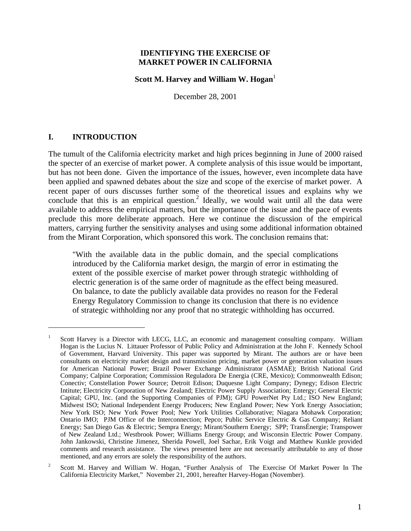#### **IDENTIFYING THE EXERCISE OF MARKET POWER IN CALIFORNIA**

#### **Scott M. Harvey and William W. Hogan**<sup>1</sup>

December 28, 2001

#### **I. INTRODUCTION**

1

The tumult of the California electricity market and high prices beginning in June of 2000 raised the specter of an exercise of market power. A complete analysis of this issue would be important, but has not been done. Given the importance of the issues, however, even incomplete data have been applied and spawned debates about the size and scope of the exercise of market power. A recent paper of ours discusses further some of the theoretical issues and explains why we conclude that this is an empirical question.<sup>2</sup> Ideally, we would wait until all the data were available to address the empirical matters, but the importance of the issue and the pace of events preclude this more deliberate approach. Here we continue the discussion of the empirical matters, carrying further the sensitivity analyses and using some additional information obtained from the Mirant Corporation, which sponsored this work. The conclusion remains that:

"With the available data in the public domain, and the special complications introduced by the California market design, the margin of error in estimating the extent of the possible exercise of market power through strategic withholding of electric generation is of the same order of magnitude as the effect being measured. On balance, to date the publicly available data provides no reason for the Federal Energy Regulatory Commission to change its conclusion that there is no evidence of strategic withholding nor any proof that no strategic withholding has occurred.

<sup>1</sup> Scott Harvey is a Director with LECG, LLC, an economic and management consulting company. William Hogan is the Lucius N. Littauer Professor of Public Policy and Administration at the John F. Kennedy School of Government, Harvard University. This paper was supported by Mirant. The authors are or have been consultants on electricity market design and transmission pricing, market power or generation valuation issues for American National Power; Brazil Power Exchange Administrator (ASMAE); British National Grid Company; Calpine Corporation; Commission Reguladora De Energia (CRE, Mexico); Commonwealth Edison; Conectiv; Constellation Power Source; Detroit Edison; Duquesne Light Company; Dynegy; Edison Electric Intitute; Electricity Corporation of New Zealand; Electric Power Supply Association; Entergy; General Electric Capital; GPU, Inc. (and the Supporting Companies of PJM); GPU PowerNet Pty Ltd.; ISO New England; Midwest ISO; National Independent Energy Producers; New England Power; New York Energy Association; New York ISO; New York Power Pool; New York Utilities Collaborative; Niagara Mohawk Corporation; Ontario IMO; PJM Office of the Interconnection; Pepco; Public Service Electric & Gas Company; Reliant Energy; San Diego Gas & Electric; Sempra Energy; Mirant/Southern Energy; SPP; TransÉnergie; Transpower of New Zealand Ltd.; Westbrook Power; Williams Energy Group; and Wisconsin Electric Power Company. John Jankowski, Christine Jimenez, Sherida Powell, Joel Sachar, Erik Voigt and Matthew Kunkle provided comments and research assistance. The views presented here are not necessarily attributable to any of those mentioned, and any errors are solely the responsibility of the authors.

<sup>2</sup> Scott M. Harvey and William W. Hogan, "Further Analysis of The Exercise Of Market Power In The California Electricity Market," November 21, 2001, hereafter Harvey-Hogan (November).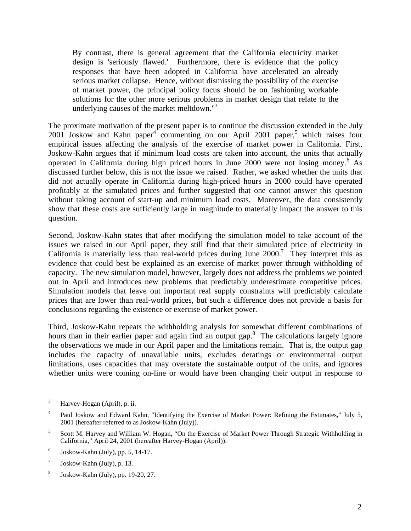By contrast, there is general agreement that the California electricity market design is 'seriously flawed.' Furthermore, there is evidence that the policy responses that have been adopted in California have accelerated an already serious market collapse. Hence, without dismissing the possibility of the exercise of market power, the principal policy focus should be on fashioning workable solutions for the other more serious problems in market design that relate to the underlying causes of the market meltdown."<sup>3</sup>

The proximate motivation of the present paper is to continue the discussion extended in the July  $2001$  Joskow and Kahn paper<sup>4</sup> commenting on our April 2001 paper,<sup>5</sup> which raises four empirical issues affecting the analysis of the exercise of market power in California. First, Joskow-Kahn argues that if minimum load costs are taken into account, the units that actually operated in California during high priced hours in June 2000 were not losing money.<sup>6</sup> As discussed further below, this is not the issue we raised. Rather, we asked whether the units that did not actually operate in California during high-priced hours in 2000 could have operated profitably at the simulated prices and further suggested that one cannot answer this question without taking account of start-up and minimum load costs. Moreover, the data consistently show that these costs are sufficiently large in magnitude to materially impact the answer to this question.

Second, Joskow-Kahn states that after modifying the simulation model to take account of the issues we raised in our April paper, they still find that their simulated price of electricity in California is materially less than real-world prices during June  $2000$ .<sup>7</sup> They interpret this as evidence that could best be explained as an exercise of market power through withholding of capacity. The new simulation model, however, largely does not address the problems we pointed out in April and introduces new problems that predictably underestimate competitive prices. Simulation models that leave out important real supply constraints will predictably calculate prices that are lower than real-world prices, but such a difference does not provide a basis for conclusions regarding the existence or exercise of market power.

Third, Joskow-Kahn repeats the withholding analysis for somewhat different combinations of hours than in their earlier paper and again find an output gap.<sup>8</sup> The calculations largely ignore the observations we made in our April paper and the limitations remain. That is, the output gap includes the capacity of unavailable units, excludes deratings or environmental output limitations, uses capacities that may overstate the sustainable output of the units, and ignores whether units were coming on-line or would have been changing their output in response to

 $3$  Harvey-Hogan (April), p. ii.

<sup>4</sup> Paul Joskow and Edward Kahn, "Identifying the Exercise of Market Power: Refining the Estimates," July 5, 2001 (hereafter referred to as Joskow-Kahn (July)).

<sup>5</sup> Scott M. Harvey and William W. Hogan, "On the Exercise of Market Power Through Strategic Withholding in California," April 24, 2001 (hereafter Harvey-Hogan (April)).

<sup>6</sup> Joskow-Kahn (July), pp. 5, 14-17.

<sup>7</sup> Joskow-Kahn (July), p. 13.

<sup>8</sup> Joskow-Kahn (July), pp. 19-20, 27.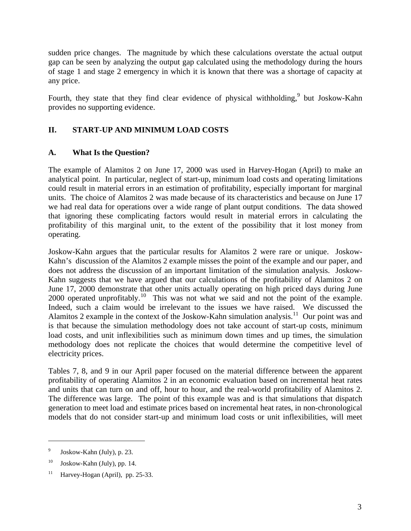sudden price changes. The magnitude by which these calculations overstate the actual output gap can be seen by analyzing the output gap calculated using the methodology during the hours of stage 1 and stage 2 emergency in which it is known that there was a shortage of capacity at any price.

Fourth, they state that they find clear evidence of physical withholding, but Joskow-Kahn provides no supporting evidence.

## **II. START-UP AND MINIMUM LOAD COSTS**

## **A. What Is the Question?**

The example of Alamitos 2 on June 17, 2000 was used in Harvey-Hogan (April) to make an analytical point. In particular, neglect of start-up, minimum load costs and operating limitations could result in material errors in an estimation of profitability, especially important for marginal units. The choice of Alamitos 2 was made because of its characteristics and because on June 17 we had real data for operations over a wide range of plant output conditions. The data showed that ignoring these complicating factors would result in material errors in calculating the profitability of this marginal unit, to the extent of the possibility that it lost money from operating.

Joskow-Kahn argues that the particular results for Alamitos 2 were rare or unique. Joskow-Kahn's discussion of the Alamitos 2 example misses the point of the example and our paper, and does not address the discussion of an important limitation of the simulation analysis. Joskow-Kahn suggests that we have argued that our calculations of the profitability of Alamitos 2 on June 17, 2000 demonstrate that other units actually operating on high priced days during June 2000 operated unprofitably.<sup>10</sup> This was not what we said and not the point of the example. Indeed, such a claim would be irrelevant to the issues we have raised. We discussed the Alamitos 2 example in the context of the Joskow-Kahn simulation analysis.<sup>11</sup> Our point was and is that because the simulation methodology does not take account of start-up costs, minimum load costs, and unit inflexibilities such as minimum down times and up times, the simulation methodology does not replicate the choices that would determine the competitive level of electricity prices.

Tables 7, 8, and 9 in our April paper focused on the material difference between the apparent profitability of operating Alamitos 2 in an economic evaluation based on incremental heat rates and units that can turn on and off, hour to hour, and the real-world profitability of Alamitos 2. The difference was large. The point of this example was and is that simulations that dispatch generation to meet load and estimate prices based on incremental heat rates, in non-chronological models that do not consider start-up and minimum load costs or unit inflexibilities, will meet

<sup>9</sup> Joskow-Kahn (July), p. 23.

 $10$  Joskow-Kahn (July), pp. 14.

 $11$  Harvey-Hogan (April), pp. 25-33.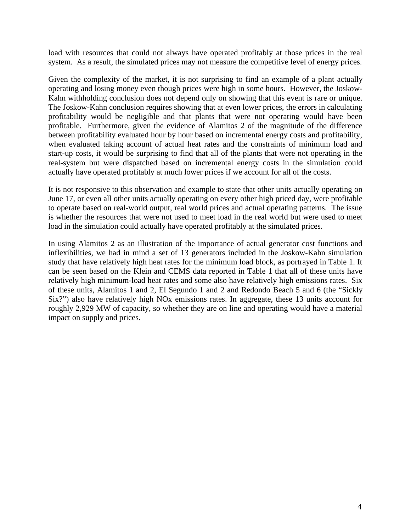load with resources that could not always have operated profitably at those prices in the real system. As a result, the simulated prices may not measure the competitive level of energy prices.

Given the complexity of the market, it is not surprising to find an example of a plant actually operating and losing money even though prices were high in some hours. However, the Joskow-Kahn withholding conclusion does not depend only on showing that this event is rare or unique. The Joskow-Kahn conclusion requires showing that at even lower prices, the errors in calculating profitability would be negligible and that plants that were not operating would have been profitable. Furthermore, given the evidence of Alamitos 2 of the magnitude of the difference between profitability evaluated hour by hour based on incremental energy costs and profitability, when evaluated taking account of actual heat rates and the constraints of minimum load and start-up costs, it would be surprising to find that all of the plants that were not operating in the real-system but were dispatched based on incremental energy costs in the simulation could actually have operated profitably at much lower prices if we account for all of the costs.

It is not responsive to this observation and example to state that other units actually operating on June 17, or even all other units actually operating on every other high priced day, were profitable to operate based on real-world output, real world prices and actual operating patterns. The issue is whether the resources that were not used to meet load in the real world but were used to meet load in the simulation could actually have operated profitably at the simulated prices.

In using Alamitos 2 as an illustration of the importance of actual generator cost functions and inflexibilities, we had in mind a set of 13 generators included in the Joskow-Kahn simulation study that have relatively high heat rates for the minimum load block, as portrayed in Table 1. It can be seen based on the Klein and CEMS data reported in Table 1 that all of these units have relatively high minimum-load heat rates and some also have relatively high emissions rates. Six of these units, Alamitos 1 and 2, El Segundo 1 and 2 and Redondo Beach 5 and 6 (the "Sickly Six?") also have relatively high NOx emissions rates. In aggregate, these 13 units account for roughly 2,929 MW of capacity, so whether they are on line and operating would have a material impact on supply and prices.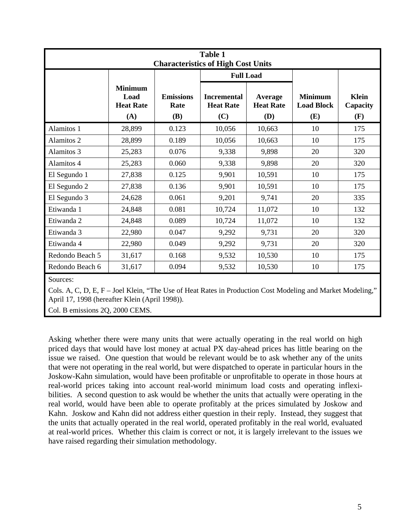| <b>Table 1</b><br><b>Characteristics of High Cost Units</b> |                                 |                                               |                                    |                                            |                                 |  |  |
|-------------------------------------------------------------|---------------------------------|-----------------------------------------------|------------------------------------|--------------------------------------------|---------------------------------|--|--|
|                                                             |                                 |                                               |                                    |                                            |                                 |  |  |
| <b>Minimum</b><br>Load<br><b>Heat Rate</b><br>(A)           | <b>Emissions</b><br>Rate<br>(B) | <b>Incremental</b><br><b>Heat Rate</b><br>(C) | Average<br><b>Heat Rate</b><br>(D) | <b>Minimum</b><br><b>Load Block</b><br>(E) | <b>Klein</b><br>Capacity<br>(F) |  |  |
| 28,899                                                      | 0.123                           | 10,056                                        | 10,663                             | 10                                         | 175                             |  |  |
| 28,899                                                      | 0.189                           | 10,056                                        | 10,663                             | 10                                         | 175                             |  |  |
| 25,283                                                      | 0.076                           | 9,338                                         | 9,898                              | 20                                         | 320                             |  |  |
| 25,283                                                      | 0.060                           | 9,338                                         | 9,898                              | 20                                         | 320                             |  |  |
| 27,838                                                      | 0.125                           | 9,901                                         | 10,591                             | 10                                         | 175                             |  |  |
| 27,838                                                      | 0.136                           | 9,901                                         | 10,591                             | 10                                         | 175                             |  |  |
| 24,628                                                      | 0.061                           | 9,201                                         | 9,741                              | 20                                         | 335                             |  |  |
| 24,848                                                      | 0.081                           | 10,724                                        | 11,072                             | 10                                         | 132                             |  |  |
| 24,848                                                      | 0.089                           | 10,724                                        | 11,072                             | 10                                         | 132                             |  |  |
| 22,980                                                      | 0.047                           | 9,292                                         | 9,731                              | 20                                         | 320                             |  |  |
| 22,980                                                      | 0.049                           | 9,292                                         | 9,731                              | 20                                         | 320                             |  |  |
| 31,617                                                      | 0.168                           | 9,532                                         | 10,530                             | 10                                         | 175                             |  |  |
| 31,617                                                      | 0.094                           | 9,532                                         | 10,530                             | 10                                         | 175                             |  |  |
|                                                             |                                 |                                               |                                    | <b>Full Load</b>                           |                                 |  |  |

Sources:

Cols. A, C, D, E, F – Joel Klein, "The Use of Heat Rates in Production Cost Modeling and Market Modeling, April 17, 1998 (hereafter Klein (April 1998)).

Col. B emissions 2Q, 2000 CEMS.

Asking whether there were many units that were actually operating in the real world on high priced days that would have lost money at actual PX day-ahead prices has little bearing on the issue we raised. One question that would be relevant would be to ask whether any of the units that were not operating in the real world, but were dispatched to operate in particular hours in the Joskow-Kahn simulation, would have been profitable or unprofitable to operate in those hours at real-world prices taking into account real-world minimum load costs and operating inflexibilities. A second question to ask would be whether the units that actually were operating in the real world, would have been able to operate profitably at the prices simulated by Joskow and Kahn. Joskow and Kahn did not address either question in their reply. Instead, they suggest that the units that actually operated in the real world, operated profitably in the real world, evaluated at real-world prices. Whether this claim is correct or not, it is largely irrelevant to the issues we have raised regarding their simulation methodology.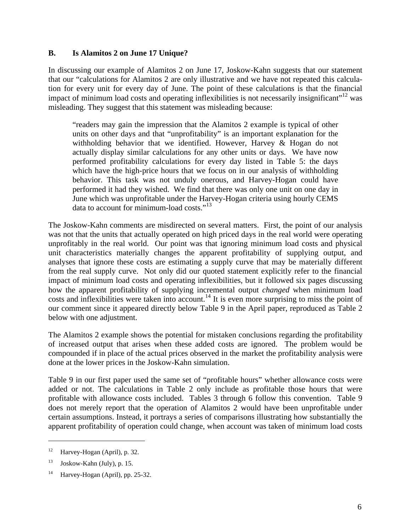#### **B. Is Alamitos 2 on June 17 Unique?**

In discussing our example of Alamitos 2 on June 17, Joskow-Kahn suggests that our statement that our "calculations for Alamitos 2 are only illustrative and we have not repeated this calculation for every unit for every day of June. The point of these calculations is that the financial impact of minimum load costs and operating inflexibilities is not necessarily insignificant"<sup>12</sup> was misleading. They suggest that this statement was misleading because:

"readers may gain the impression that the Alamitos 2 example is typical of other units on other days and that "unprofitability" is an important explanation for the withholding behavior that we identified. However, Harvey & Hogan do not actually display similar calculations for any other units or days. We have now performed profitability calculations for every day listed in Table 5: the days which have the high-price hours that we focus on in our analysis of withholding behavior. This task was not unduly onerous, and Harvey-Hogan could have performed it had they wished. We find that there was only one unit on one day in June which was unprofitable under the Harvey-Hogan criteria using hourly CEMS data to account for minimum-load costs."<sup>13</sup>

The Joskow-Kahn comments are misdirected on several matters. First, the point of our analysis was not that the units that actually operated on high priced days in the real world were operating unprofitably in the real world. Our point was that ignoring minimum load costs and physical unit characteristics materially changes the apparent profitability of supplying output, and analyses that ignore these costs are estimating a supply curve that may be materially different from the real supply curve. Not only did our quoted statement explicitly refer to the financial impact of minimum load costs and operating inflexibilities, but it followed six pages discussing how the apparent profitability of supplying incremental output *changed* when minimum load costs and inflexibilities were taken into account.<sup>14</sup> It is even more surprising to miss the point of our comment since it appeared directly below Table 9 in the April paper, reproduced as Table 2 below with one adjustment.

The Alamitos 2 example shows the potential for mistaken conclusions regarding the profitability of increased output that arises when these added costs are ignored. The problem would be compounded if in place of the actual prices observed in the market the profitability analysis were done at the lower prices in the Joskow-Kahn simulation.

Table 9 in our first paper used the same set of "profitable hours" whether allowance costs were added or not. The calculations in Table 2 only include as profitable those hours that were profitable with allowance costs included. Tables 3 through 6 follow this convention. Table 9 does not merely report that the operation of Alamitos 2 would have been unprofitable under certain assumptions. Instead, it portrays a series of comparisons illustrating how substantially the apparent profitability of operation could change, when account was taken of minimum load costs

 $12$  Harvey-Hogan (April), p. 32.

 $13$  Joskow-Kahn (July), p. 15.

<sup>&</sup>lt;sup>14</sup> Harvey-Hogan (April), pp. 25-32.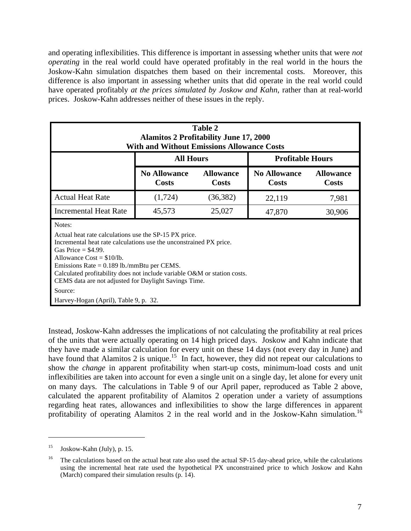and operating inflexibilities. This difference is important in assessing whether units that were *not operating* in the real world could have operated profitably in the real world in the hours the Joskow-Kahn simulation dispatches them based on their incremental costs. Moreover, this difference is also important in assessing whether units that did operate in the real world could have operated profitably *at the prices simulated by Joskow and Kahn*, rather than at real-world prices. Joskow-Kahn addresses neither of these issues in the reply.

| Table 2<br><b>Alamitos 2 Profitability June 17, 2000</b><br><b>With and Without Emissions Allowance Costs</b>                                                                                                                                                                                                                                                                      |                                             |           |        |        |  |
|------------------------------------------------------------------------------------------------------------------------------------------------------------------------------------------------------------------------------------------------------------------------------------------------------------------------------------------------------------------------------------|---------------------------------------------|-----------|--------|--------|--|
|                                                                                                                                                                                                                                                                                                                                                                                    | <b>All Hours</b><br><b>Profitable Hours</b> |           |        |        |  |
| <b>No Allowance</b><br><b>No Allowance</b><br><b>Allowance</b><br><b>Allowance</b><br><b>Costs</b><br><b>Costs</b><br>Costs<br><b>Costs</b>                                                                                                                                                                                                                                        |                                             |           |        |        |  |
| <b>Actual Heat Rate</b>                                                                                                                                                                                                                                                                                                                                                            | (1,724)                                     | (36, 382) | 22,119 | 7,981  |  |
| <b>Incremental Heat Rate</b>                                                                                                                                                                                                                                                                                                                                                       | 45,573                                      | 25,027    | 47,870 | 30,906 |  |
| Notes:<br>Actual heat rate calculations use the SP-15 PX price.<br>Incremental heat rate calculations use the unconstrained PX price.<br>Gas Price $=$ \$4.99.<br>Allowance $Cost = $10/lb$ .<br>Emissions Rate = $0.189$ lb./mmBtu per CEMS.<br>Calculated profitability does not include variable O&M or station costs.<br>CEMS data are not adjusted for Daylight Savings Time. |                                             |           |        |        |  |
| Source:<br>Harvey-Hogan (April), Table 9, p. 32.                                                                                                                                                                                                                                                                                                                                   |                                             |           |        |        |  |

Instead, Joskow-Kahn addresses the implications of not calculating the profitability at real prices of the units that were actually operating on 14 high priced days. Joskow and Kahn indicate that they have made a similar calculation for every unit on these 14 days (not every day in June) and have found that Alamitos 2 is unique.<sup>15</sup> In fact, however, they did not repeat our calculations to show the *change* in apparent profitability when start-up costs, minimum-load costs and unit inflexibilities are taken into account for even a single unit on a single day, let alone for every unit on many days. The calculations in Table 9 of our April paper, reproduced as Table 2 above, calculated the apparent profitability of Alamitos 2 operation under a variety of assumptions regarding heat rates, allowances and inflexibilities to show the large differences in apparent profitability of operating Alamitos 2 in the real world and in the Joskow-Kahn simulation.<sup>16</sup>

 $^{15}$  Joskow-Kahn (July), p. 15.

<sup>16</sup> The calculations based on the actual heat rate also used the actual SP-15 day-ahead price, while the calculations using the incremental heat rate used the hypothetical PX unconstrained price to which Joskow and Kahn (March) compared their simulation results (p. 14).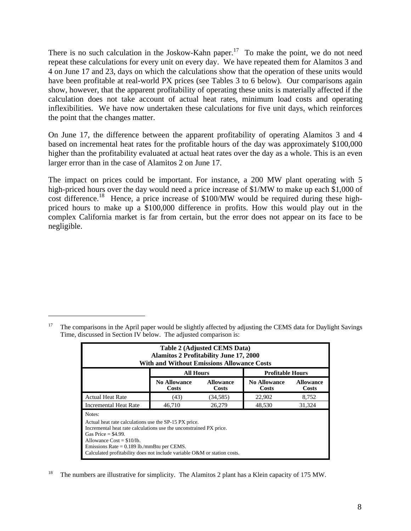There is no such calculation in the Joskow-Kahn paper.<sup>17</sup> To make the point, we do not need repeat these calculations for every unit on every day. We have repeated them for Alamitos 3 and 4 on June 17 and 23, days on which the calculations show that the operation of these units would have been profitable at real-world PX prices (see Tables 3 to 6 below). Our comparisons again show, however, that the apparent profitability of operating these units is materially affected if the calculation does not take account of actual heat rates, minimum load costs and operating inflexibilities. We have now undertaken these calculations for five unit days, which reinforces the point that the changes matter.

On June 17, the difference between the apparent profitability of operating Alamitos 3 and 4 based on incremental heat rates for the profitable hours of the day was approximately \$100,000 higher than the profitability evaluated at actual heat rates over the day as a whole. This is an even larger error than in the case of Alamitos 2 on June 17.

The impact on prices could be important. For instance, a 200 MW plant operating with 5 high-priced hours over the day would need a price increase of \$1/MW to make up each \$1,000 of cost difference.<sup>18</sup> Hence, a price increase of \$100/MW would be required during these highpriced hours to make up a \$100,000 difference in profits. How this would play out in the complex California market is far from certain, but the error does not appear on its face to be negligible.

| <b>Table 2 (Adjusted CEMS Data)</b><br><b>Alamitos 2 Profitability June 17, 2000</b><br><b>With and Without Emissions Allowance Costs</b>                                                                                                                                                                                 |                  |           |                         |        |  |
|---------------------------------------------------------------------------------------------------------------------------------------------------------------------------------------------------------------------------------------------------------------------------------------------------------------------------|------------------|-----------|-------------------------|--------|--|
|                                                                                                                                                                                                                                                                                                                           | <b>All Hours</b> |           | <b>Profitable Hours</b> |        |  |
| <b>No Allowance</b><br><b>No Allowance</b><br><b>Allowance</b><br><b>Allowance</b><br>Costs<br>Costs<br>Costs<br>Costs                                                                                                                                                                                                    |                  |           |                         |        |  |
| <b>Actual Heat Rate</b>                                                                                                                                                                                                                                                                                                   | (43)             | (34, 585) | 22,902                  | 8,752  |  |
| <b>Incremental Heat Rate</b>                                                                                                                                                                                                                                                                                              | 46.710           | 26.279    | 48,530                  | 31,324 |  |
| Notes:<br>Actual heat rate calculations use the SP-15 PX price.<br>Incremental heat rate calculations use the unconstrained PX price.<br>Gas Price $=$ \$4.99.<br>Allowance $Cost = $10/lb$ .<br>Emissions Rate = $0.189$ lb./mmBtu per CEMS.<br>Calculated profitability does not include variable O&M or station costs. |                  |           |                         |        |  |

<sup>&</sup>lt;sup>18</sup> The numbers are illustrative for simplicity. The Alamitos 2 plant has a Klein capacity of 175 MW.

<sup>&</sup>lt;sup>17</sup> The comparisons in the April paper would be slightly affected by adjusting the CEMS data for Daylight Savings Time, discussed in Section IV below. The adjusted comparison is: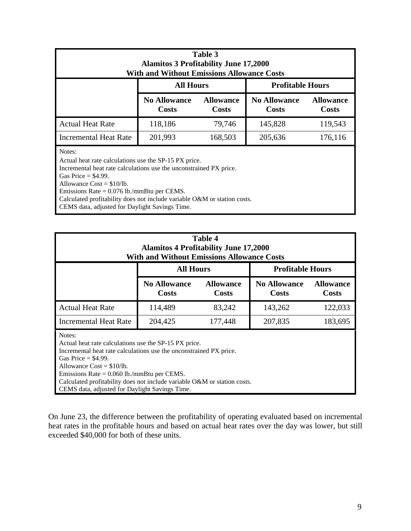| Table 3<br><b>Alamitos 3 Profitability June 17,2000</b><br><b>With and Without Emissions Allowance Costs</b>                                                                                                                                  |         |         |         |         |  |  |
|-----------------------------------------------------------------------------------------------------------------------------------------------------------------------------------------------------------------------------------------------|---------|---------|---------|---------|--|--|
| <b>All Hours</b><br><b>Profitable Hours</b>                                                                                                                                                                                                   |         |         |         |         |  |  |
| <b>No Allowance</b><br><b>Allowance</b><br><b>No Allowance</b><br><b>Allowance</b><br><b>Costs</b><br><b>Costs</b><br><b>Costs</b><br><b>Costs</b>                                                                                            |         |         |         |         |  |  |
| <b>Actual Heat Rate</b>                                                                                                                                                                                                                       | 118,186 | 79,746  | 145,828 | 119,543 |  |  |
| Incremental Heat Rate                                                                                                                                                                                                                         | 201,993 | 168,503 | 205,636 | 176,116 |  |  |
| Notes:<br>Actual heat rate calculations use the SP-15 PX price.<br>Incremental heat rate calculations use the unconstrained PX price.<br>Gas Price $=$ \$4.99.<br>Allowance $Cost = $10/lb$ .<br>Emissions Rate = $0.076$ lb./mmBtu per CEMS. |         |         |         |         |  |  |

Calculated profitability does not include variable O&M or station costs.

CEMS data, adjusted for Daylight Savings Time.

CEMS data, adjusted for Daylight Savings Time.

| Table 4<br><b>Alamitos 4 Profitability June 17,2000</b><br><b>With and Without Emissions Allowance Costs</b>                                                                                                                                                                                                              |                                             |         |         |         |  |  |
|---------------------------------------------------------------------------------------------------------------------------------------------------------------------------------------------------------------------------------------------------------------------------------------------------------------------------|---------------------------------------------|---------|---------|---------|--|--|
|                                                                                                                                                                                                                                                                                                                           | <b>All Hours</b><br><b>Profitable Hours</b> |         |         |         |  |  |
| <b>No Allowance</b><br><b>Allowance</b><br><b>No Allowance</b><br><b>Allowance</b><br><b>Costs</b><br><b>Costs</b><br><b>Costs</b><br>Costs                                                                                                                                                                               |                                             |         |         |         |  |  |
| <b>Actual Heat Rate</b>                                                                                                                                                                                                                                                                                                   | 114,489                                     | 83,242  | 143,262 | 122,033 |  |  |
| <b>Incremental Heat Rate</b>                                                                                                                                                                                                                                                                                              | 204,425                                     | 177,448 | 207,835 | 183,695 |  |  |
| Notes:<br>Actual heat rate calculations use the SP-15 PX price.<br>Incremental heat rate calculations use the unconstrained PX price.<br>Gas Price $=$ \$4.99.<br>Allowance $Cost = $10/lb$ .<br>Emissions Rate = $0.060$ lb./mmBtu per CEMS.<br>Calculated profitability does not include variable O&M or station costs. |                                             |         |         |         |  |  |

On June 23, the difference between the profitability of operating evaluated based on incremental heat rates in the profitable hours and based on actual heat rates over the day was lower, but still exceeded \$40,000 for both of these units.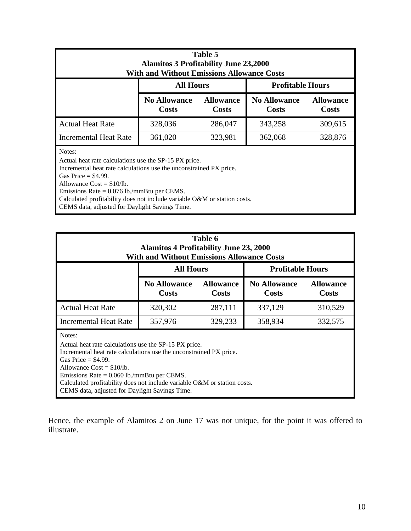| Table 5<br><b>Alamitos 3 Profitability June 23,2000</b><br><b>With and Without Emissions Allowance Costs</b>                                                                                                                           |                                     |                                  |         |         |  |  |
|----------------------------------------------------------------------------------------------------------------------------------------------------------------------------------------------------------------------------------------|-------------------------------------|----------------------------------|---------|---------|--|--|
| <b>All Hours</b><br><b>Profitable Hours</b>                                                                                                                                                                                            |                                     |                                  |         |         |  |  |
|                                                                                                                                                                                                                                        | <b>No Allowance</b><br><b>Costs</b> | <b>Allowance</b><br><b>Costs</b> |         |         |  |  |
| <b>Actual Heat Rate</b>                                                                                                                                                                                                                | 328,036                             | 286,047                          | 343,258 | 309,615 |  |  |
| <b>Incremental Heat Rate</b>                                                                                                                                                                                                           | 361,020                             | 323,981                          | 362,068 | 328,876 |  |  |
| Notes:<br>Actual heat rate calculations use the SP-15 PX price.<br>Incremental heat rate calculations use the unconstrained PX price.<br>Gas Price $=$ \$4.99.<br>Allowance $Cost = $10/lb$ .<br>$Pmin = 0.076$ lk $ min$ $max$ $CEMR$ |                                     |                                  |         |         |  |  |

Emissions Rate = 0.076 lb./mmBtu per CEMS.

Calculated profitability does not include variable O&M or station costs.

CEMS data, adjusted for Daylight Savings Time.

| Table 6<br><b>Alamitos 4 Profitability June 23, 2000</b><br><b>With and Without Emissions Allowance Costs</b>                                                                                |                                     |                                  |                                     |                           |  |  |
|----------------------------------------------------------------------------------------------------------------------------------------------------------------------------------------------|-------------------------------------|----------------------------------|-------------------------------------|---------------------------|--|--|
| <b>All Hours</b><br><b>Profitable Hours</b>                                                                                                                                                  |                                     |                                  |                                     |                           |  |  |
|                                                                                                                                                                                              | <b>No Allowance</b><br><b>Costs</b> | <b>Allowance</b><br><b>Costs</b> | <b>No Allowance</b><br><b>Costs</b> | <b>Allowance</b><br>Costs |  |  |
| <b>Actual Heat Rate</b>                                                                                                                                                                      | 320,302                             | 287,111                          | 337,129                             | 310,529                   |  |  |
| <b>Incremental Heat Rate</b>                                                                                                                                                                 | 357,976                             | 329,233                          | 358,934                             | 332,575                   |  |  |
| Notes:<br>Actual heat rate calculations use the SP-15 PX price.<br>Incremental heat rate calculations use the unconstrained PX price.<br>Gas Price $=$ \$4.99.<br>Allowance $Cost = $10/b$ . |                                     |                                  |                                     |                           |  |  |

Emissions Rate = 0.060 lb./mmBtu per CEMS. Calculated profitability does not include variable O&M or station costs.

CEMS data, adjusted for Daylight Savings Time.

Hence, the example of Alamitos 2 on June 17 was not unique, for the point it was offered to illustrate.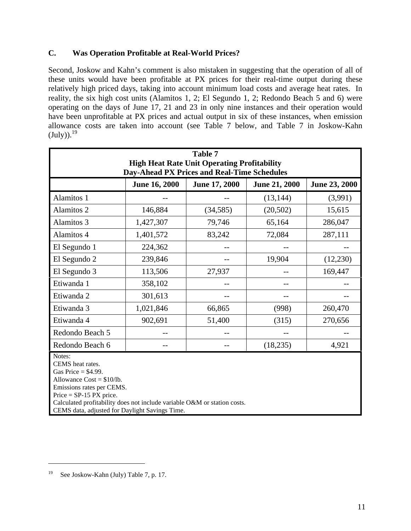## **C. Was Operation Profitable at Real-World Prices?**

Second, Joskow and Kahn's comment is also mistaken in suggesting that the operation of all of these units would have been profitable at PX prices for their real-time output during these relatively high priced days, taking into account minimum load costs and average heat rates. In reality, the six high cost units (Alamitos 1, 2; El Segundo 1, 2; Redondo Beach 5 and 6) were operating on the days of June 17, 21 and 23 in only nine instances and their operation would have been unprofitable at PX prices and actual output in six of these instances, when emission allowance costs are taken into account (see Table 7 below, and Table 7 in Joskow-Kahn  $(\text{July}))$ .<sup>19</sup>

| <b>Table 7</b>                                                                                                                                                                                                                                                             |                      |                      |                      |               |  |  |
|----------------------------------------------------------------------------------------------------------------------------------------------------------------------------------------------------------------------------------------------------------------------------|----------------------|----------------------|----------------------|---------------|--|--|
| <b>High Heat Rate Unit Operating Profitability</b><br>Day-Ahead PX Prices and Real-Time Schedules                                                                                                                                                                          |                      |                      |                      |               |  |  |
|                                                                                                                                                                                                                                                                            | <b>June 16, 2000</b> | <b>June 17, 2000</b> | <b>June 21, 2000</b> | June 23, 2000 |  |  |
|                                                                                                                                                                                                                                                                            |                      |                      |                      |               |  |  |
| Alamitos 1                                                                                                                                                                                                                                                                 |                      |                      | (13, 144)            | (3,991)       |  |  |
| Alamitos 2                                                                                                                                                                                                                                                                 | 146,884              | (34, 585)            | (20, 502)            | 15,615        |  |  |
| Alamitos 3                                                                                                                                                                                                                                                                 | 1,427,307            | 79,746               | 65,164               | 286,047       |  |  |
| Alamitos 4                                                                                                                                                                                                                                                                 | 1,401,572            | 83,242               | 72,084               | 287,111       |  |  |
| El Segundo 1                                                                                                                                                                                                                                                               | 224,362              |                      |                      |               |  |  |
| El Segundo 2                                                                                                                                                                                                                                                               | 239,846              |                      | 19,904               | (12,230)      |  |  |
| El Segundo 3                                                                                                                                                                                                                                                               | 113,506              | 27,937               |                      | 169,447       |  |  |
| Etiwanda 1                                                                                                                                                                                                                                                                 | 358,102              |                      |                      |               |  |  |
| Etiwanda 2                                                                                                                                                                                                                                                                 | 301,613              |                      |                      |               |  |  |
| Etiwanda 3                                                                                                                                                                                                                                                                 | 1,021,846            | 66,865               | (998)                | 260,470       |  |  |
| Etiwanda 4                                                                                                                                                                                                                                                                 | 902,691              | 51,400               | (315)                | 270,656       |  |  |
| Redondo Beach 5                                                                                                                                                                                                                                                            |                      |                      |                      |               |  |  |
| Redondo Beach 6                                                                                                                                                                                                                                                            |                      |                      | (18, 235)            | 4,921         |  |  |
| Notes:<br>CEMS heat rates.<br>Gas Price $=$ \$4.99.<br>Allowance $Cost = $10/lb$ .<br>Emissions rates per CEMS.<br>$Price = SP-15 PX price.$<br>Calculated profitability does not include variable O&M or station costs.<br>CEMS data, adjusted for Daylight Savings Time. |                      |                      |                      |               |  |  |

<sup>19</sup> See Joskow-Kahn (July) Table 7, p. 17.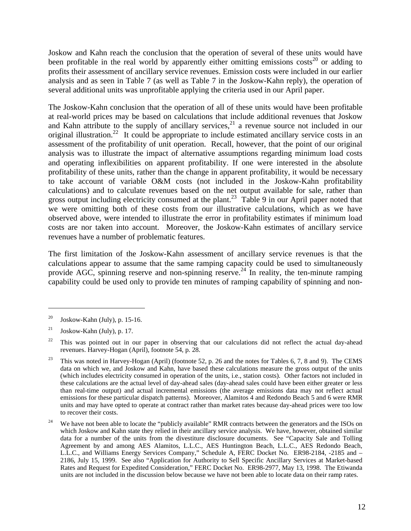Joskow and Kahn reach the conclusion that the operation of several of these units would have been profitable in the real world by apparently either omitting emissions  $costs^{20}$  or adding to profits their assessment of ancillary service revenues. Emission costs were included in our earlier analysis and as seen in Table 7 (as well as Table 7 in the Joskow-Kahn reply), the operation of several additional units was unprofitable applying the criteria used in our April paper.

The Joskow-Kahn conclusion that the operation of all of these units would have been profitable at real-world prices may be based on calculations that include additional revenues that Joskow and Kahn attribute to the supply of ancillary services,  $2<sup>1</sup>$  a revenue source not included in our original illustration.<sup>22</sup> It could be appropriate to include estimated ancillary service costs in an assessment of the profitability of unit operation. Recall, however, that the point of our original analysis was to illustrate the impact of alternative assumptions regarding minimum load costs and operating inflexibilities on apparent profitability. If one were interested in the absolute profitability of these units, rather than the change in apparent profitability, it would be necessary to take account of variable O&M costs (not included in the Joskow-Kahn profitability calculations) and to calculate revenues based on the net output available for sale, rather than gross output including electricity consumed at the plant.<sup>23</sup> Table 9 in our April paper noted that we were omitting both of these costs from our illustrative calculations, which as we have observed above, were intended to illustrate the error in profitability estimates if minimum load costs are nor taken into account. Moreover, the Joskow-Kahn estimates of ancillary service revenues have a number of problematic features.

The first limitation of the Joskow-Kahn assessment of ancillary service revenues is that the calculations appear to assume that the same ramping capacity could be used to simultaneously provide AGC, spinning reserve and non-spinning reserve.<sup>24</sup> In reality, the ten-minute ramping capability could be used only to provide ten minutes of ramping capability of spinning and non-

<sup>&</sup>lt;sup>20</sup> Joskow-Kahn (July), p. 15-16.

 $21$  Joskow-Kahn (July), p. 17.

 $22$  This was pointed out in our paper in observing that our calculations did not reflect the actual day-ahead revenues. Harvey-Hogan (April), footnote 54, p. 28.

<sup>&</sup>lt;sup>23</sup> This was noted in Harvey-Hogan (April) (footnote 52, p. 26 and the notes for Tables 6, 7, 8 and 9). The CEMS data on which we, and Joskow and Kahn, have based these calculations measure the gross output of the units (which includes electricity consumed in operation of the units, i.e., station costs). Other factors not included in these calculations are the actual level of day-ahead sales (day-ahead sales could have been either greater or less than real-time output) and actual incremental emissions (the average emissions data may not reflect actual emissions for these particular dispatch patterns). Moreover, Alamitos 4 and Redondo Beach 5 and 6 were RMR units and may have opted to operate at contract rather than market rates because day-ahead prices were too low to recover their costs.

<sup>&</sup>lt;sup>24</sup> We have not been able to locate the "publicly available" RMR contracts between the generators and the ISOs on which Joskow and Kahn state they relied in their ancillary service analysis. We have, however, obtained similar data for a number of the units from the divestiture disclosure documents. See "Capacity Sale and Tolling Agreement by and among AES Alamitos, L.L.C., AES Huntington Beach, L.L.C., AES Redondo Beach, L.L.C., and Williams Energy Services Company," Schedule A, FERC Docket No. ER98-2184, -2185 and – 2186, July 15, 1999. See also "Application for Authority to Sell Specific Ancillary Services at Market-based Rates and Request for Expedited Consideration," FERC Docket No. ER98-2977, May 13, 1998. The Etiwanda units are not included in the discussion below because we have not been able to locate data on their ramp rates.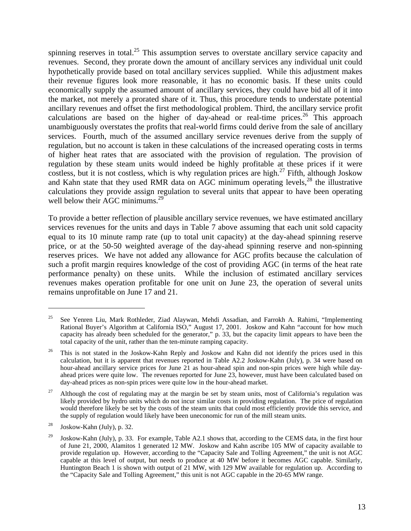spinning reserves in total.<sup>25</sup> This assumption serves to overstate ancillary service capacity and revenues. Second, they prorate down the amount of ancillary services any individual unit could hypothetically provide based on total ancillary services supplied. While this adjustment makes their revenue figures look more reasonable, it has no economic basis. If these units could economically supply the assumed amount of ancillary services, they could have bid all of it into the market, not merely a prorated share of it. Thus, this procedure tends to understate potential ancillary revenues and offset the first methodological problem. Third, the ancillary service profit calculations are based on the higher of day-ahead or real-time prices.<sup>26</sup> This approach unambiguously overstates the profits that real-world firms could derive from the sale of ancillary services. Fourth, much of the assumed ancillary service revenues derive from the supply of regulation, but no account is taken in these calculations of the increased operating costs in terms of higher heat rates that are associated with the provision of regulation. The provision of regulation by these steam units would indeed be highly profitable at these prices if it were costless, but it is not costless, which is why regulation prices are high.<sup>27</sup> Fifth, although Joskow and Kahn state that they used RMR data on  $\overline{AGC}$  minimum operating levels,<sup>28</sup> the illustrative calculations they provide assign regulation to several units that appear to have been operating well below their AGC minimums. $^{29}$ 

To provide a better reflection of plausible ancillary service revenues, we have estimated ancillary services revenues for the units and days in Table 7 above assuming that each unit sold capacity equal to its 10 minute ramp rate (up to total unit capacity) at the day-ahead spinning reserve price, or at the 50-50 weighted average of the day-ahead spinning reserve and non-spinning reserves prices. We have not added any allowance for AGC profits because the calculation of such a profit margin requires knowledge of the cost of providing AGC (in terms of the heat rate performance penalty) on these units. While the inclusion of estimated ancillary services revenues makes operation profitable for one unit on June 23, the operation of several units remains unprofitable on June 17 and 21.

<sup>&</sup>lt;sup>25</sup> See Yenren Liu, Mark Rothleder, Ziad Alaywan, Mehdi Assadian, and Farrokh A. Rahimi, "Implementing Rational Buyer's Algorithm at California ISO," August 17, 2001. Joskow and Kahn "account for how much capacity has already been scheduled for the generator," p. 33, but the capacity limit appears to have been the total capacity of the unit, rather than the ten-minute ramping capacity.

<sup>&</sup>lt;sup>26</sup> This is not stated in the Joskow-Kahn Reply and Joskow and Kahn did not identify the prices used in this calculation, but it is apparent that revenues reported in Table A2.2 Joskow-Kahn (July), p. 34 were based on hour-ahead ancillary service prices for June 21 as hour-ahead spin and non-spin prices were high while dayahead prices were quite low. The revenues reported for June 23, however, must have been calculated based on day-ahead prices as non-spin prices were quite low in the hour-ahead market.

<sup>&</sup>lt;sup>27</sup> Although the cost of regulating may at the margin be set by steam units, most of California's regulation was likely provided by hydro units which do not incur similar costs in providing regulation. The price of regulation would therefore likely be set by the costs of the steam units that could most efficiently provide this service, and the supply of regulation would likely have been uneconomic for run of the mill steam units.

 $28$  Joskow-Kahn (July), p. 32.

<sup>&</sup>lt;sup>29</sup> Joskow-Kahn (July), p. 33. For example, Table A2.1 shows that, according to the CEMS data, in the first hour of June 21, 2000, Alamitos 1 generated 12 MW. Joskow and Kahn ascribe 105 MW of capacity available to provide regulation up. However, according to the "Capacity Sale and Tolling Agreement," the unit is not AGC capable at this level of output, but needs to produce at 40 MW before it becomes AGC capable. Similarly, Huntington Beach 1 is shown with output of 21 MW, with 129 MW available for regulation up. According to the "Capacity Sale and Tolling Agreement," this unit is not AGC capable in the 20-65 MW range.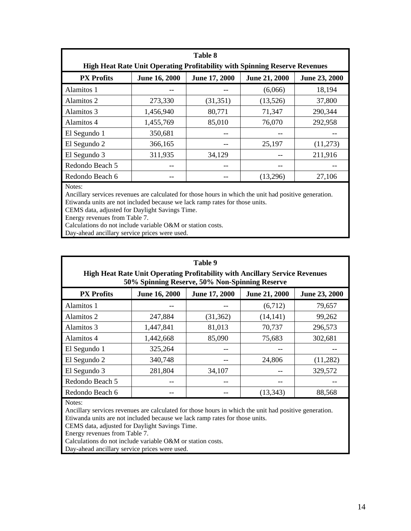| <b>Table 8</b>    |                                                                                   |               |                      |               |  |
|-------------------|-----------------------------------------------------------------------------------|---------------|----------------------|---------------|--|
|                   | <b>High Heat Rate Unit Operating Profitability with Spinning Reserve Revenues</b> |               |                      |               |  |
| <b>PX Profits</b> | <b>June 16, 2000</b>                                                              | June 17, 2000 | <b>June 21, 2000</b> | June 23, 2000 |  |
| Alamitos 1        |                                                                                   |               | (6,066)              | 18,194        |  |
| Alamitos 2        | 273,330                                                                           | (31,351)      | (13,526)             | 37,800        |  |
| Alamitos 3        | 1,456,940                                                                         | 80,771        | 71,347               | 290,344       |  |
| Alamitos 4        | 1,455,769                                                                         | 85,010        | 76,070               | 292,958       |  |
| El Segundo 1      | 350,681                                                                           |               |                      |               |  |
| El Segundo 2      | 366,165                                                                           |               | 25,197               | (11,273)      |  |
| El Segundo 3      | 311,935                                                                           | 34,129        |                      | 211,916       |  |
| Redondo Beach 5   | --                                                                                | --            | --                   |               |  |
| Redondo Beach 6   | --                                                                                |               | (13,296)             | 27,106        |  |

Notes:

Ancillary services revenues are calculated for those hours in which the unit had positive generation. Etiwanda units are not included because we lack ramp rates for those units.

CEMS data, adjusted for Daylight Savings Time.

Energy revenues from Table 7.

Calculations do not include variable O&M or station costs.

Day-ahead ancillary service prices were used.

| Table 9<br><b>High Heat Rate Unit Operating Profitability with Ancillary Service Revenues</b><br>50% Spinning Reserve, 50% Non-Spinning Reserve |                      |               |                      |               |  |  |
|-------------------------------------------------------------------------------------------------------------------------------------------------|----------------------|---------------|----------------------|---------------|--|--|
| <b>PX Profits</b>                                                                                                                               | <b>June 16, 2000</b> | June 17, 2000 | <b>June 21, 2000</b> | June 23, 2000 |  |  |
| Alamitos 1                                                                                                                                      |                      |               | (6,712)              | 79,657        |  |  |
| Alamitos 2                                                                                                                                      | 247,884              | (31, 362)     | (14, 141)            | 99,262        |  |  |
| Alamitos 3                                                                                                                                      | 1,447,841            | 81,013        | 70,737               | 296,573       |  |  |
| Alamitos 4                                                                                                                                      | 1,442,668            | 85,090        | 75,683               | 302,681       |  |  |
| El Segundo 1                                                                                                                                    | 325,264              | $-$           |                      |               |  |  |
| El Segundo 2                                                                                                                                    | 340,748              |               | 24,806               | (11,282)      |  |  |
| El Segundo 3                                                                                                                                    | 281,804              | 34,107        |                      | 329,572       |  |  |
| Redondo Beach 5                                                                                                                                 | --                   |               |                      |               |  |  |
| Redondo Beach 6                                                                                                                                 |                      |               | (13, 343)            | 88,568        |  |  |

Notes:

Ancillary services revenues are calculated for those hours in which the unit had positive generation. Etiwanda units are not included because we lack ramp rates for those units.

CEMS data, adjusted for Daylight Savings Time.

Energy revenues from Table 7.

Calculations do not include variable O&M or station costs.

Day-ahead ancillary service prices were used.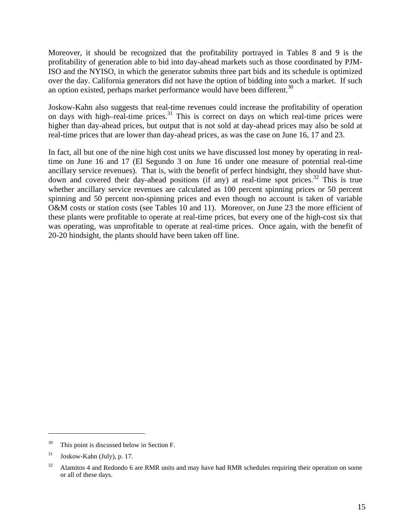Moreover, it should be recognized that the profitability portrayed in Tables 8 and 9 is the profitability of generation able to bid into day-ahead markets such as those coordinated by PJM-ISO and the NYISO, in which the generator submits three part bids and its schedule is optimized over the day. California generators did not have the option of bidding into such a market. If such an option existed, perhaps market performance would have been different.<sup>30</sup>

Joskow-Kahn also suggests that real-time revenues could increase the profitability of operation on days with high–real-time prices.<sup>31</sup> This is correct on days on which real-time prices were higher than day-ahead prices, but output that is not sold at day-ahead prices may also be sold at real-time prices that are lower than day-ahead prices, as was the case on June 16, 17 and 23.

In fact, all but one of the nine high cost units we have discussed lost money by operating in realtime on June 16 and 17 (El Segundo 3 on June 16 under one measure of potential real-time ancillary service revenues). That is, with the benefit of perfect hindsight, they should have shutdown and covered their day-ahead positions (if any) at real-time spot prices.<sup>32</sup> This is true whether ancillary service revenues are calculated as 100 percent spinning prices or 50 percent spinning and 50 percent non-spinning prices and even though no account is taken of variable O&M costs or station costs (see Tables 10 and 11). Moreover, on June 23 the more efficient of these plants were profitable to operate at real-time prices, but every one of the high-cost six that was operating, was unprofitable to operate at real-time prices. Once again, with the benefit of 20-20 hindsight, the plants should have been taken off line.

<sup>&</sup>lt;sup>30</sup> This point is discussed below in Section F.

 $31$  Joskow-Kahn (July), p. 17.

 $32$  Alamitos 4 and Redondo 6 are RMR units and may have had RMR schedules requiring their operation on some or all of these days.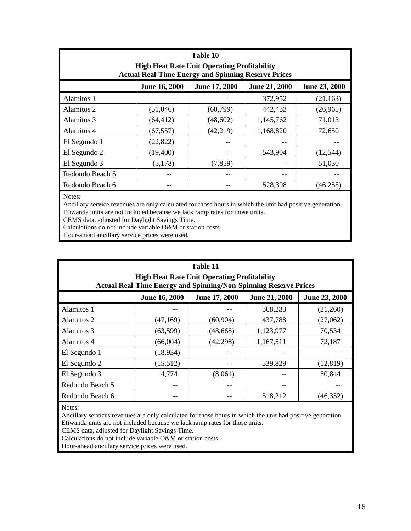|                 | Table 10<br><b>High Heat Rate Unit Operating Profitability</b><br><b>Actual Real-Time Energy and Spinning Reserve Prices</b> |               |                      |               |  |  |  |  |  |  |  |  |
|-----------------|------------------------------------------------------------------------------------------------------------------------------|---------------|----------------------|---------------|--|--|--|--|--|--|--|--|
|                 | June 16, 2000                                                                                                                | June 17, 2000 | <b>June 21, 2000</b> | June 23, 2000 |  |  |  |  |  |  |  |  |
| Alamitos 1      |                                                                                                                              |               | 372,952              | (21, 163)     |  |  |  |  |  |  |  |  |
| Alamitos 2      | (51,046)                                                                                                                     | (60, 799)     | 442,433              | (26,965)      |  |  |  |  |  |  |  |  |
| Alamitos 3      | (64, 412)                                                                                                                    | (48, 602)     | 1,145,762            | 71,013        |  |  |  |  |  |  |  |  |
| Alamitos 4      | (67, 557)                                                                                                                    | (42,219)      | 1,168,820            | 72,650        |  |  |  |  |  |  |  |  |
| El Segundo 1    | (22, 822)                                                                                                                    |               |                      |               |  |  |  |  |  |  |  |  |
| El Segundo 2    | (19,400)                                                                                                                     |               | 543,904              | (12, 544)     |  |  |  |  |  |  |  |  |
| El Segundo 3    | (5,178)                                                                                                                      | (7,859)       |                      | 51,030        |  |  |  |  |  |  |  |  |
| Redondo Beach 5 | --                                                                                                                           |               | --                   |               |  |  |  |  |  |  |  |  |
| Redondo Beach 6 |                                                                                                                              |               | 528,398              | (46, 255)     |  |  |  |  |  |  |  |  |

Notes:

Ancillary service revenues are only calculated for those hours in which the unit had positive generation. Etiwanda units are not included because we lack ramp rates for those units.

CEMS data, adjusted for Daylight Savings Time.

Calculations do not include variable O&M or station costs.

Hour-ahead ancillary service prices were used.

|                 |                      | Table 11<br><b>High Heat Rate Unit Operating Profitability</b><br><b>Actual Real-Time Energy and Spinning/Non-Spinning Reserve Prices</b> |                      |               |
|-----------------|----------------------|-------------------------------------------------------------------------------------------------------------------------------------------|----------------------|---------------|
|                 | <b>June 16, 2000</b> | June 17, 2000                                                                                                                             | <b>June 21, 2000</b> | June 23, 2000 |
| Alamitos 1      |                      |                                                                                                                                           | 368,233              | (21,260)      |
| Alamitos 2      | (47,169)             | (60, 904)                                                                                                                                 | 437,788              | (27,062)      |
| Alamitos 3      | (63,599)             | (48, 668)                                                                                                                                 | 1,123,977            | 70,534        |
| Alamitos 4      | (66,004)             | (42, 298)                                                                                                                                 | 1,167,511            | 72,187        |
| El Segundo 1    | (18,934)             | --                                                                                                                                        |                      |               |
| El Segundo 2    | (15,512)             | --                                                                                                                                        | 539,829              | (12, 819)     |
| El Segundo 3    | 4,774                | (8,061)                                                                                                                                   |                      | 50,844        |
| Redondo Beach 5 |                      |                                                                                                                                           |                      |               |
| Redondo Beach 6 |                      |                                                                                                                                           | 518,212              | (46, 352)     |

Notes:

Ancillary services revenues are only calculated for those hours in which the unit had positive generation. Etiwanda units are not included because we lack ramp rates for those units.

CEMS data, adjusted for Daylight Savings Time.

Calculations do not include variable O&M or station costs.

Hour-ahead ancillary service prices were used.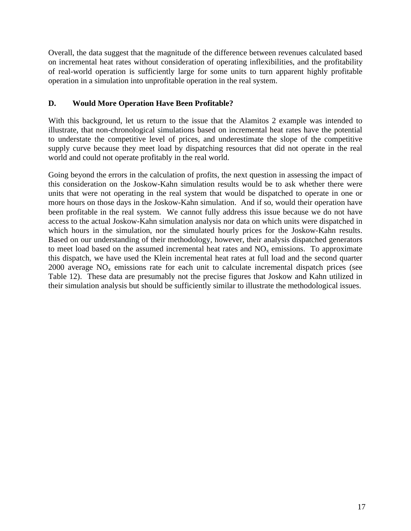Overall, the data suggest that the magnitude of the difference between revenues calculated based on incremental heat rates without consideration of operating inflexibilities, and the profitability of real-world operation is sufficiently large for some units to turn apparent highly profitable operation in a simulation into unprofitable operation in the real system.

## **D. Would More Operation Have Been Profitable?**

With this background, let us return to the issue that the Alamitos 2 example was intended to illustrate, that non-chronological simulations based on incremental heat rates have the potential to understate the competitive level of prices, and underestimate the slope of the competitive supply curve because they meet load by dispatching resources that did not operate in the real world and could not operate profitably in the real world.

Going beyond the errors in the calculation of profits, the next question in assessing the impact of this consideration on the Joskow-Kahn simulation results would be to ask whether there were units that were not operating in the real system that would be dispatched to operate in one or more hours on those days in the Joskow-Kahn simulation. And if so, would their operation have been profitable in the real system. We cannot fully address this issue because we do not have access to the actual Joskow-Kahn simulation analysis nor data on which units were dispatched in which hours in the simulation, nor the simulated hourly prices for the Joskow-Kahn results. Based on our understanding of their methodology, however, their analysis dispatched generators to meet load based on the assumed incremental heat rates and  $NO<sub>x</sub>$  emissions. To approximate this dispatch, we have used the Klein incremental heat rates at full load and the second quarter 2000 average  $NO<sub>x</sub>$  emissions rate for each unit to calculate incremental dispatch prices (see Table 12). These data are presumably not the precise figures that Joskow and Kahn utilized in their simulation analysis but should be sufficiently similar to illustrate the methodological issues.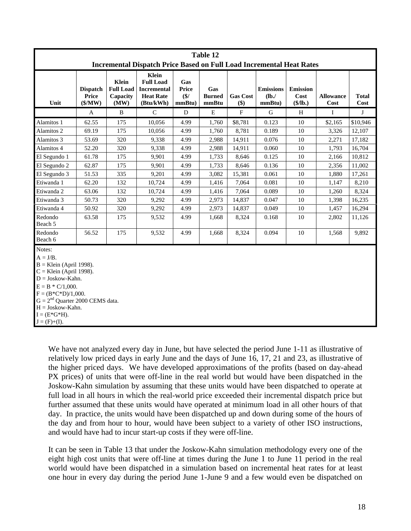|                                                                                                                     |                                              |                                               |                                                                                  |                                      | Table 12                      |                        |                                    |                                     |                          |                      |  |
|---------------------------------------------------------------------------------------------------------------------|----------------------------------------------|-----------------------------------------------|----------------------------------------------------------------------------------|--------------------------------------|-------------------------------|------------------------|------------------------------------|-------------------------------------|--------------------------|----------------------|--|
|                                                                                                                     |                                              |                                               | <b>Incremental Dispatch Price Based on Full Load Incremental Heat Rates</b>      |                                      |                               |                        |                                    |                                     |                          |                      |  |
| Unit                                                                                                                | <b>Dispatch</b><br>Price<br>$(\frac{5}{MW})$ | Klein<br><b>Full Load</b><br>Capacity<br>(MW) | Klein<br><b>Full Load</b><br><b>Incremental</b><br><b>Heat Rate</b><br>(Btu/kWh) | Gas<br><b>Price</b><br>\$/<br>mmBtu) | Gas<br><b>Burned</b><br>mmBtu | <b>Gas Cost</b><br>\$) | <b>Emissions</b><br>(lb)<br>mmBtu) | <b>Emission</b><br>Cost<br>(\$/lb.) | <b>Allowance</b><br>Cost | <b>Total</b><br>Cost |  |
|                                                                                                                     | $\mathbf A$                                  | B                                             | $\mathcal{C}$                                                                    | D                                    | ${\bf E}$                     | $\mathbf{F}$           | G                                  | H                                   | $\bf{I}$                 | J                    |  |
| Alamitos 1                                                                                                          | 62.55                                        | 175                                           | 10,056                                                                           | 4.99                                 | 1,760                         | \$8,781                | 0.123                              | 10                                  | \$2,165                  | \$10,946             |  |
| Alamitos 2                                                                                                          | 69.19                                        | 175                                           | 10,056                                                                           | 4.99                                 | 1,760                         | 8,781                  | 0.189                              | 10                                  | 3,326                    | 12,107               |  |
| Alamitos 3                                                                                                          | 53.69                                        | 320                                           | 9,338                                                                            | 4.99                                 | 2,988                         | 14,911                 | 0.076                              | 10                                  | 2,271                    | 17,182               |  |
| Alamitos 4                                                                                                          | 52.20                                        | 320                                           | 9,338                                                                            | 4.99                                 | 2,988                         | 14,911                 | 0.060                              | 10                                  | 1,793                    | 16,704               |  |
| El Segundo 1                                                                                                        | 61.78                                        | 175                                           | 9,901                                                                            | 4.99                                 | 1,733                         | 8,646                  | 0.125                              | 10                                  | 2,166                    | 10,812               |  |
| El Segundo 2                                                                                                        | 62.87                                        | 175                                           | 9,901                                                                            | 4.99                                 | 1,733                         | 8,646                  | 0.136                              | 10                                  | 2,356                    | 11,002               |  |
| El Segundo 3                                                                                                        | 51.53                                        | 335                                           | 9,201                                                                            | 4.99                                 | 3,082                         | 15,381                 | 0.061                              | 10                                  | 1,880                    | 17,261               |  |
| Etiwanda 1                                                                                                          | 62.20                                        | 132                                           | 10,724                                                                           | 4.99                                 | 1,416                         | 7,064                  | 0.081                              | 10                                  | 1,147                    | 8,210                |  |
| Etiwanda 2                                                                                                          | 63.06                                        | 132                                           | 10,724                                                                           | 4.99                                 | 1,416                         | 7,064                  | 0.089                              | 10                                  | 1,260                    | 8,324                |  |
| Etiwanda 3                                                                                                          | 50.73                                        | 320                                           | 9.292                                                                            | 4.99                                 | 2,973                         | 14,837                 | 0.047                              | 10                                  | 1,398                    | 16,235               |  |
| Etiwanda 4                                                                                                          | 50.92                                        | 320                                           | 9,292                                                                            | 4.99                                 | 2,973                         | 14,837                 | 0.049                              | 10                                  | 1,457                    | 16,294               |  |
| Redondo<br>Beach 5                                                                                                  | 63.58                                        | 175                                           | 9,532                                                                            | 4.99                                 | 1,668                         | 8,324                  | 0.168                              | 10                                  | 2,802                    | 11,126               |  |
| Redondo<br>Beach 6                                                                                                  | 56.52                                        | 175                                           | 9,532                                                                            | 4.99                                 | 1,668                         | 8,324                  | 0.094                              | 10                                  | 1,568                    | 9,892                |  |
| Notes:                                                                                                              |                                              |                                               |                                                                                  |                                      |                               |                        |                                    |                                     |                          |                      |  |
| $A = J/B$ .<br>$B =$ Klein (April 1998).<br>$C =$ Klein (April 1998).<br>$D = Joskow-Kahn.$<br>$E = B * C/1,000.$   |                                              |                                               |                                                                                  |                                      |                               |                        |                                    |                                     |                          |                      |  |
| $F = (B*C*D)/1,000.$<br>$G = 2nd$ Quarter 2000 CEMS data.<br>$H = Joskow-Kahn.$<br>$I = (E*G*H).$<br>$J = (F)+(I).$ |                                              |                                               |                                                                                  |                                      |                               |                        |                                    |                                     |                          |                      |  |
|                                                                                                                     |                                              |                                               |                                                                                  |                                      |                               |                        |                                    |                                     |                          |                      |  |

We have not analyzed every day in June, but have selected the period June 1-11 as illustrative of relatively low priced days in early June and the days of June 16, 17, 21 and 23, as illustrative of the higher priced days. We have developed approximations of the profits (based on day-ahead PX prices) of units that were off-line in the real world but would have been dispatched in the Joskow-Kahn simulation by assuming that these units would have been dispatched to operate at full load in all hours in which the real-world price exceeded their incremental dispatch price but further assumed that these units would have operated at minimum load in all other hours of that day. In practice, the units would have been dispatched up and down during some of the hours of the day and from hour to hour, would have been subject to a variety of other ISO instructions, and would have had to incur start-up costs if they were off-line.

It can be seen in Table 13 that under the Joskow-Kahn simulation methodology every one of the eight high cost units that were off-line at times during the June 1 to June 11 period in the real world would have been dispatched in a simulation based on incremental heat rates for at least one hour in every day during the period June 1-June 9 and a few would even be dispatched on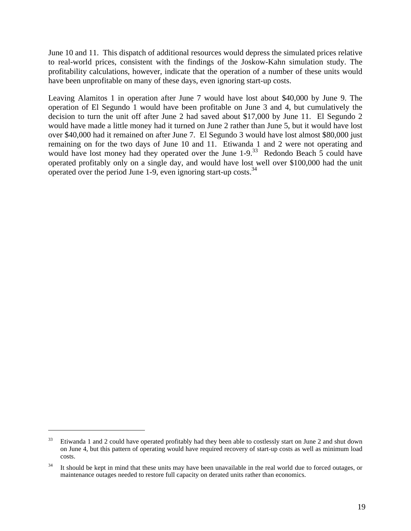June 10 and 11. This dispatch of additional resources would depress the simulated prices relative to real-world prices, consistent with the findings of the Joskow-Kahn simulation study. The profitability calculations, however, indicate that the operation of a number of these units would have been unprofitable on many of these days, even ignoring start-up costs.

Leaving Alamitos 1 in operation after June 7 would have lost about \$40,000 by June 9. The operation of El Segundo 1 would have been profitable on June 3 and 4, but cumulatively the decision to turn the unit off after June 2 had saved about \$17,000 by June 11. El Segundo 2 would have made a little money had it turned on June 2 rather than June 5, but it would have lost over \$40,000 had it remained on after June 7. El Segundo 3 would have lost almost \$80,000 just remaining on for the two days of June 10 and 11. Etiwanda 1 and 2 were not operating and would have lost money had they operated over the June  $1-9<sup>33</sup>$  Redondo Beach 5 could have operated profitably only on a single day, and would have lost well over \$100,000 had the unit operated over the period June 1-9, even ignoring start-up costs.<sup>34</sup>

<sup>&</sup>lt;sup>33</sup> Etiwanda 1 and 2 could have operated profitably had they been able to costlessly start on June 2 and shut down on June 4, but this pattern of operating would have required recovery of start-up costs as well as minimum load costs.

 $34$  It should be kept in mind that these units may have been unavailable in the real world due to forced outages, or maintenance outages needed to restore full capacity on derated units rather than economics.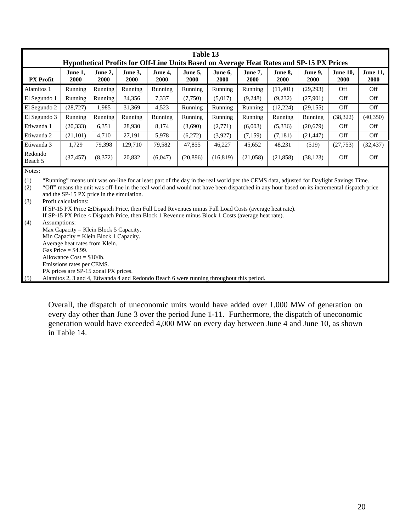| June 1,<br><b>PX</b> Profit<br>2000<br>Alamitos 1<br>El Segundo 1<br>Running<br>El Segundo 2<br>(28, 727)<br>El Segundo 3<br>Running<br>Etiwanda 1<br>Etiwanda 2<br>(21, 101) | Hypothetical Profits for Off-Line Units Based on Average Heat Rates and SP-15 PX Prices<br>June 2,<br>2000<br>Running<br>1,985<br>Running<br>6,351                                                                                                                                                                                                                                                                                                                                                                                                                                                                                                                                                                                                                                                                | June 3.<br>2000<br>Running<br>34,356<br>31,369<br>Running                                          | June 4.<br>2000<br>Running<br>7,337<br>4,523 | June 5,<br>2000<br>Running<br>(7,750) | June 6,<br>2000<br>Running                                                 | June 7,<br><b>2000</b> | June 8,<br>2000 | June 9,<br>2000 | <b>June 10.</b><br>2000 | <b>June 11,</b> |  |  |  |  |
|-------------------------------------------------------------------------------------------------------------------------------------------------------------------------------|-------------------------------------------------------------------------------------------------------------------------------------------------------------------------------------------------------------------------------------------------------------------------------------------------------------------------------------------------------------------------------------------------------------------------------------------------------------------------------------------------------------------------------------------------------------------------------------------------------------------------------------------------------------------------------------------------------------------------------------------------------------------------------------------------------------------|----------------------------------------------------------------------------------------------------|----------------------------------------------|---------------------------------------|----------------------------------------------------------------------------|------------------------|-----------------|-----------------|-------------------------|-----------------|--|--|--|--|
|                                                                                                                                                                               |                                                                                                                                                                                                                                                                                                                                                                                                                                                                                                                                                                                                                                                                                                                                                                                                                   |                                                                                                    |                                              |                                       |                                                                            |                        |                 |                 |                         | 2000            |  |  |  |  |
|                                                                                                                                                                               |                                                                                                                                                                                                                                                                                                                                                                                                                                                                                                                                                                                                                                                                                                                                                                                                                   |                                                                                                    |                                              |                                       | Running<br>Running<br>Off<br>Running<br>(11,401)<br>(29,293)<br><b>Off</b> |                        |                 |                 |                         |                 |  |  |  |  |
|                                                                                                                                                                               |                                                                                                                                                                                                                                                                                                                                                                                                                                                                                                                                                                                                                                                                                                                                                                                                                   |                                                                                                    |                                              |                                       | (5,017)                                                                    | (9,248)                | (9,232)         | (27,901)        | Off                     | Off             |  |  |  |  |
|                                                                                                                                                                               |                                                                                                                                                                                                                                                                                                                                                                                                                                                                                                                                                                                                                                                                                                                                                                                                                   |                                                                                                    |                                              | Running                               | Running                                                                    | Running                | (12, 224)       | (29, 155)       | Off                     | Off             |  |  |  |  |
|                                                                                                                                                                               |                                                                                                                                                                                                                                                                                                                                                                                                                                                                                                                                                                                                                                                                                                                                                                                                                   |                                                                                                    | Running                                      | Running                               | Running                                                                    | Running                | Running         | Running         | (38, 322)               | (40, 350)       |  |  |  |  |
|                                                                                                                                                                               |                                                                                                                                                                                                                                                                                                                                                                                                                                                                                                                                                                                                                                                                                                                                                                                                                   | (20, 333)<br>28,930<br>8,174<br>Off<br>Off<br>(3,690)<br>(2,771)<br>(6,003)<br>(5,336)<br>(20,679) |                                              |                                       |                                                                            |                        |                 |                 |                         |                 |  |  |  |  |
|                                                                                                                                                                               | 4,710                                                                                                                                                                                                                                                                                                                                                                                                                                                                                                                                                                                                                                                                                                                                                                                                             | 27,191                                                                                             | 5,978                                        | (6,272)                               | (3,927)                                                                    | (7,159)                | (7,181)         | (21, 447)       | Off                     | Off             |  |  |  |  |
| Etiwanda 3                                                                                                                                                                    | 1,729<br>79,398                                                                                                                                                                                                                                                                                                                                                                                                                                                                                                                                                                                                                                                                                                                                                                                                   | 129,710                                                                                            | 79,582                                       | 47,855                                | 46,227                                                                     | 45,652                 | 48,231          | (519)           | (27, 753)               | (32, 437)       |  |  |  |  |
| Redondo<br>(37, 457)<br>Beach 5                                                                                                                                               | (8,372)                                                                                                                                                                                                                                                                                                                                                                                                                                                                                                                                                                                                                                                                                                                                                                                                           | 20,832                                                                                             | (6,047)                                      | (20, 896)                             | (16, 819)                                                                  | (21,058)               | (21, 858)       | (38, 123)       | Off                     | Off             |  |  |  |  |
| Notes:<br>(1)<br>(2)<br>(3)<br>Profit calculations:<br>Assumptions:<br>(4)<br>Gas Price = $$4.99$ .<br>Allowance $Cost = $10/lb$ .<br>Emissions rates per CEMS.<br>(5)        | "Running" means unit was on-line for at least part of the day in the real world per the CEMS data, adjusted for Daylight Savings Time.<br>"Off" means the unit was off-line in the real world and would not have been dispatched in any hour based on its incremental dispatch price<br>and the SP-15 PX price in the simulation.<br>If SP-15 PX Price $\geq$ Dispatch Price, then Full Load Revenues minus Full Load Costs (average heat rate).<br>If SP-15 PX Price < Dispatch Price, then Block 1 Revenue minus Block 1 Costs (average heat rate).<br>Max Capacity = Klein Block $5$ Capacity.<br>Min Capacity = Klein Block 1 Capacity.<br>Average heat rates from Klein.<br>PX prices are SP-15 zonal PX prices.<br>Alamitos 2, 3 and 4, Etiwanda 4 and Redondo Beach 6 were running throughout this period. |                                                                                                    |                                              |                                       |                                                                            |                        |                 |                 |                         |                 |  |  |  |  |

Overall, the dispatch of uneconomic units would have added over 1,000 MW of generation on every day other than June 3 over the period June 1-11. Furthermore, the dispatch of uneconomic generation would have exceeded 4,000 MW on every day between June 4 and June 10, as shown in Table 14.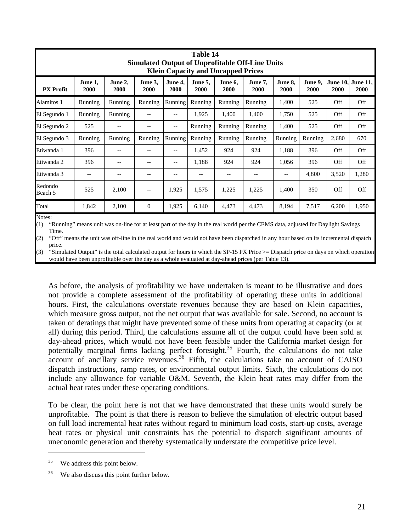|                    |                 |                        |                 |                 | Table 14        | <b>Klein Capacity and Uncapped Prices</b> | <b>Simulated Output of Unprofitable Off-Line Units</b> |                 |                 |       |                                  |
|--------------------|-----------------|------------------------|-----------------|-----------------|-----------------|-------------------------------------------|--------------------------------------------------------|-----------------|-----------------|-------|----------------------------------|
| <b>PX</b> Profit   | June 1,<br>2000 | June 2,<br><b>2000</b> | June 3,<br>2000 | June 4,<br>2000 | June 5,<br>2000 | June 6,<br>2000                           | June 7,<br>2000                                        | June 8.<br>2000 | June 9,<br>2000 | 2000  | June 10, June 11,<br><b>2000</b> |
| Alamitos 1         | Running         | Running                | Running         | Running         | Running         | Running                                   | Running                                                | 1,400           | 525             | Off   | Off                              |
| El Segundo 1       | Running         | Running                | $- -$           |                 | 1,925           | 1,400                                     | 1,400                                                  | 1,750           | 525             | Off   | Off                              |
| El Segundo 2       | 525             | $- -$                  | $-$             | $-$             | Running         | Running                                   | Running                                                | 1,400           | 525             | Off   | <b>Off</b>                       |
| El Segundo 3       | Running         | Running                | Running         | Running         | Running         | Running                                   | Running                                                | Running         | Running         | 2,680 | 670                              |
| Etiwanda 1         | 396             | $-$                    | --              | $-$             | 1,452           | 924                                       | 924                                                    | 1,188           | 396             | Off   | <b>Off</b>                       |
| Etiwanda 2         | 396             | $\qquad \qquad -$      | --              |                 | 1,188           | 924                                       | 924                                                    | 1,056           | 396             | Off   | Off                              |
| Etiwanda 3         |                 | $- -$                  |                 |                 | $- -$           |                                           |                                                        | --              | 4,800           | 3,520 | 1,280                            |
| Redondo<br>Beach 5 | 525             | 2,100                  | $-$             | 1,925           | 1,575           | 1,225                                     | 1,225                                                  | 1,400           | 350             | Off   | Off                              |
| Total              | 1,842           | 2,100                  | $\mathbf{0}$    | 1,925           | 6,140           | 4,473                                     | 4,473                                                  | 8,194           | 7,517           | 6,200 | 1,950                            |

Notes:

(1) "Running" means unit was on-line for at least part of the day in the real world per the CEMS data, adjusted for Daylight Savings Time.

(2) "Off" means the unit was off-line in the real world and would not have been dispatched in any hour based on its incremental dispatch price.

(3) "Simulated Output" is the total calculated output for hours in which the SP-15 PX Price >= Dispatch price on days on which operation would have been unprofitable over the day as a whole evaluated at day-ahead prices (per Table 13).

As before, the analysis of profitability we have undertaken is meant to be illustrative and does not provide a complete assessment of the profitability of operating these units in additional hours. First, the calculations overstate revenues because they are based on Klein capacities, which measure gross output, not the net output that was available for sale. Second, no account is taken of deratings that might have prevented some of these units from operating at capacity (or at all) during this period. Third, the calculations assume all of the output could have been sold at day-ahead prices, which would not have been feasible under the California market design for potentially marginal firms lacking perfect foresight.<sup>35</sup> Fourth, the calculations do not take  $\frac{1}{2}$  account of ancillary service revenues.<sup>36</sup> Fifth, the calculations take no account of CAISO dispatch instructions, ramp rates, or environmental output limits. Sixth, the calculations do not include any allowance for variable O&M. Seventh, the Klein heat rates may differ from the actual heat rates under these operating conditions.

To be clear, the point here is not that we have demonstrated that these units would surely be unprofitable. The point is that there is reason to believe the simulation of electric output based on full load incremental heat rates without regard to minimum load costs, start-up costs, average heat rates or physical unit constraints has the potential to dispatch significant amounts of uneconomic generation and thereby systematically understate the competitive price level.

<sup>&</sup>lt;sup>35</sup> We address this point below.

<sup>&</sup>lt;sup>36</sup> We also discuss this point further below.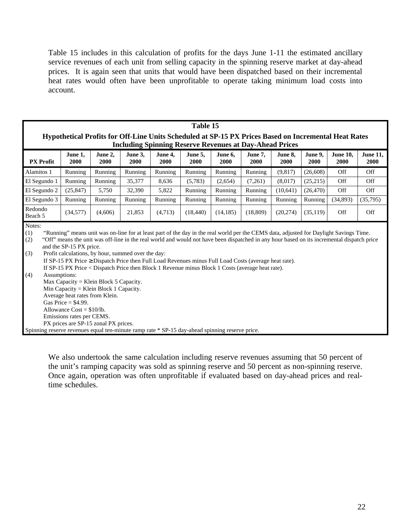Table 15 includes in this calculation of profits for the days June 1-11 the estimated ancillary service revenues of each unit from selling capacity in the spinning reserve market at day-ahead prices. It is again seen that units that would have been dispatched based on their incremental heat rates would often have been unprofitable to operate taking minimum load costs into account.

|                                                                                                                                                                        |                                                                                                                                                |                                                                                                                          |                                                    |                 | Table 15                                                                                                                                                                                                                                                                                                                                                                                                                                                                                               |                 |                 |                 |                 |                         |                         |
|------------------------------------------------------------------------------------------------------------------------------------------------------------------------|------------------------------------------------------------------------------------------------------------------------------------------------|--------------------------------------------------------------------------------------------------------------------------|----------------------------------------------------|-----------------|--------------------------------------------------------------------------------------------------------------------------------------------------------------------------------------------------------------------------------------------------------------------------------------------------------------------------------------------------------------------------------------------------------------------------------------------------------------------------------------------------------|-----------------|-----------------|-----------------|-----------------|-------------------------|-------------------------|
| Hypothetical Profits for Off-Line Units Scheduled at SP-15 PX Prices Based on Incremental Heat Rates<br><b>Including Spinning Reserve Revenues at Day-Ahead Prices</b> |                                                                                                                                                |                                                                                                                          |                                                    |                 |                                                                                                                                                                                                                                                                                                                                                                                                                                                                                                        |                 |                 |                 |                 |                         |                         |
| <b>PX</b> Profit                                                                                                                                                       | June 1,<br>2000                                                                                                                                | June 2,<br>2000                                                                                                          | June 3,<br>2000                                    | June 4,<br>2000 | June 5,<br>2000                                                                                                                                                                                                                                                                                                                                                                                                                                                                                        | June 6,<br>2000 | June 7,<br>2000 | June 8,<br>2000 | June 9,<br>2000 | <b>June 10,</b><br>2000 | <b>June 11,</b><br>2000 |
| Alamitos 1                                                                                                                                                             | Running                                                                                                                                        | Running                                                                                                                  | Running                                            | Running         | Running                                                                                                                                                                                                                                                                                                                                                                                                                                                                                                | Running         | Running         | (9,817)         | (26,608)        | Off                     | Off                     |
| El Segundo 1                                                                                                                                                           | Running                                                                                                                                        | Running                                                                                                                  | 35,377                                             | 8,636           | (5,783)                                                                                                                                                                                                                                                                                                                                                                                                                                                                                                | (2,654)         | (7,261)         | (8,017)         | (25,215)        | Off                     | Off                     |
| El Segundo 2                                                                                                                                                           | (25, 847)                                                                                                                                      | 5,750                                                                                                                    | 32,390                                             | 5,822           | Running                                                                                                                                                                                                                                                                                                                                                                                                                                                                                                | Running         | Running         | (10,641)        | (26, 470)       | Off                     | Off                     |
| El Segundo 3                                                                                                                                                           | Running                                                                                                                                        | Running                                                                                                                  | Running                                            | Running         | Running                                                                                                                                                                                                                                                                                                                                                                                                                                                                                                | Running         | Running         | Running         | Running         | (34,893)                | (35,795)                |
| Redondo<br>Beach 5                                                                                                                                                     | (34,577)                                                                                                                                       | (4,606)                                                                                                                  | 21,853                                             | (4,713)         | (18, 440)                                                                                                                                                                                                                                                                                                                                                                                                                                                                                              | (14, 185)       | (18, 809)       | (20, 274)       | (35, 119)       | Off                     | Off                     |
| Notes:<br>(1)<br>(2)<br>(3)<br>Assumptions:<br>(4)<br>Spinning reserve revenues equal ten-minute ramp rate * SP-15 day-ahead spinning reserve price.                   | and the SP-15 PX price.<br>Average heat rates from Klein.<br>Gas Price $=$ \$4.99.<br>Allowance $Cost = $10/lb$ .<br>Emissions rates per CEMS. | Max Capacity = Klein Block 5 Capacity.<br>Min Capacity = Klein Block 1 Capacity.<br>PX prices are SP-15 zonal PX prices. | Profit calculations, by hour, summed over the day: |                 | "Running" means unit was on-line for at least part of the day in the real world per the CEMS data, adjusted for Daylight Savings Time.<br>"Off" means the unit was off-line in the real world and would not have been dispatched in any hour based on its incremental dispatch price<br>If SP-15 PX Price $\geq$ Dispatch Price then Full Load Revenues minus Full Load Costs (average heat rate).<br>If SP-15 PX Price < Dispatch Price then Block 1 Revenue minus Block 1 Costs (average heat rate). |                 |                 |                 |                 |                         |                         |

We also undertook the same calculation including reserve revenues assuming that 50 percent of the unit's ramping capacity was sold as spinning reserve and 50 percent as non-spinning reserve. Once again, operation was often unprofitable if evaluated based on day-ahead prices and realtime schedules.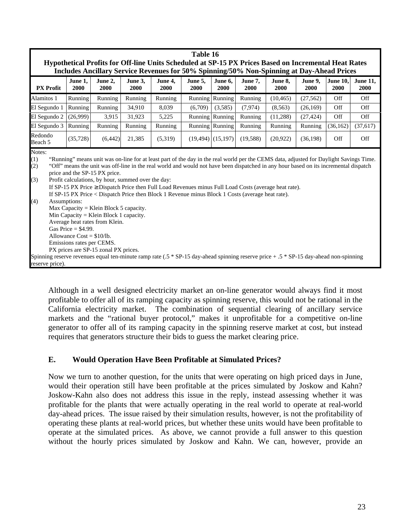| Table 16                                                                                                                                                                                          |                                                                                                                                                                                                                                                                                                                                                                                                                                                                                                                                                                                                                                                                                                                                                                                                                                                                                                                                                                                                                                          |                 |                 |                 |                 |                 |                 |                 |                 |                  |                         |
|---------------------------------------------------------------------------------------------------------------------------------------------------------------------------------------------------|------------------------------------------------------------------------------------------------------------------------------------------------------------------------------------------------------------------------------------------------------------------------------------------------------------------------------------------------------------------------------------------------------------------------------------------------------------------------------------------------------------------------------------------------------------------------------------------------------------------------------------------------------------------------------------------------------------------------------------------------------------------------------------------------------------------------------------------------------------------------------------------------------------------------------------------------------------------------------------------------------------------------------------------|-----------------|-----------------|-----------------|-----------------|-----------------|-----------------|-----------------|-----------------|------------------|-------------------------|
| Hypothetical Profits for Off-line Units Scheduled at SP-15 PX Prices Based on Incremental Heat Rates<br>Includes Ancillary Service Revenues for 50% Spinning/50% Non-Spinning at Day-Ahead Prices |                                                                                                                                                                                                                                                                                                                                                                                                                                                                                                                                                                                                                                                                                                                                                                                                                                                                                                                                                                                                                                          |                 |                 |                 |                 |                 |                 |                 |                 |                  |                         |
| <b>PX</b> Profit                                                                                                                                                                                  | June 1,<br>2000                                                                                                                                                                                                                                                                                                                                                                                                                                                                                                                                                                                                                                                                                                                                                                                                                                                                                                                                                                                                                          | June 2,<br>2000 | June 3,<br>2000 | June 4,<br>2000 | June 5,<br>2000 | June 6,<br>2000 | June 7,<br>2000 | June 8,<br>2000 | June 9,<br>2000 | June 10,<br>2000 | <b>June 11,</b><br>2000 |
| Alamitos 1                                                                                                                                                                                        | Running                                                                                                                                                                                                                                                                                                                                                                                                                                                                                                                                                                                                                                                                                                                                                                                                                                                                                                                                                                                                                                  | Running         | Running         | Running         | Running         | Running         | Running         | (10, 465)       | (27, 562)       | Off              | Off                     |
| El Segundo 1                                                                                                                                                                                      | Running                                                                                                                                                                                                                                                                                                                                                                                                                                                                                                                                                                                                                                                                                                                                                                                                                                                                                                                                                                                                                                  | Running         | 34,910          | 8,039           | (6,709)         | (3,585)         | (7, 974)        | (8,563)         | (26, 169)       | Off              | Off                     |
| El Segundo 2                                                                                                                                                                                      | (26,999)                                                                                                                                                                                                                                                                                                                                                                                                                                                                                                                                                                                                                                                                                                                                                                                                                                                                                                                                                                                                                                 | 3,915           | 31,923          | 5,225           | <b>Running</b>  | Running         | Running         | (11,288)        | (27, 424)       | Off              | Off                     |
| El Segundo 3                                                                                                                                                                                      | Running                                                                                                                                                                                                                                                                                                                                                                                                                                                                                                                                                                                                                                                                                                                                                                                                                                                                                                                                                                                                                                  | Running         | Running         | Running         | Running         | Running         | Running         | Running         | Running         | (36, 162)        | (37,617)                |
| Redondo<br>Beach 5                                                                                                                                                                                | (35, 728)                                                                                                                                                                                                                                                                                                                                                                                                                                                                                                                                                                                                                                                                                                                                                                                                                                                                                                                                                                                                                                | (6, 442)        | 21,385          | (5,319)         |                 |                 | (19, 588)       | (20, 922)       | (36, 198)       | Off              | Off                     |
| (1)<br>(2)<br>(3)<br>(4)<br>reserve price).                                                                                                                                                       | $(19,494)$ (15,197)<br>Notes:<br>"Running" means unit was on-line for at least part of the day in the real world per the CEMS data, adjusted for Daylight Savings Time.<br>"Off" means the unit was off-line in the real world and would not have been dispatched in any hour based on its incremental dispatch<br>price and the SP-15 PX price.<br>Profit calculations, by hour, summed over the day:<br>If SP-15 PX Price $\geq$ Dispatch Price then Full Load Revenues minus Full Load Costs (average heat rate).<br>If SP-15 PX Price < Dispatch Price then Block 1 Revenue minus Block 1 Costs (average heat rate).<br>Assumptions:<br>Max Capacity = Klein Block 5 capacity.<br>Min Capacity = Klein Block 1 capacity.<br>Average heat rates from Klein.<br>Gas Price = $$4.99$ .<br>Allowance $Cost = $10/lb$ .<br>Emissions rates per CEMS.<br>PX prices are SP-15 zonal PX prices.<br>Spinning reserve revenues equal ten-minute ramp rate $(.5 * SP-15$ day-ahead spinning reserve price + $.5 * SP-15$ day-ahead non-spinning |                 |                 |                 |                 |                 |                 |                 |                 |                  |                         |

Although in a well designed electricity market an on-line generator would always find it most profitable to offer all of its ramping capacity as spinning reserve, this would not be rational in the California electricity market. The combination of sequential clearing of ancillary service markets and the "rational buyer protocol," makes it unprofitable for a competitive on-line generator to offer all of its ramping capacity in the spinning reserve market at cost, but instead requires that generators structure their bids to guess the market clearing price.

## **E. Would Operation Have Been Profitable at Simulated Prices?**

Now we turn to another question, for the units that were operating on high priced days in June, would their operation still have been profitable at the prices simulated by Joskow and Kahn? Joskow-Kahn also does not address this issue in the reply, instead assessing whether it was profitable for the plants that were actually operating in the real world to operate at real-world day-ahead prices. The issue raised by their simulation results, however, is not the profitability of operating these plants at real-world prices, but whether these units would have been profitable to operate at the simulated prices. As above, we cannot provide a full answer to this question without the hourly prices simulated by Joskow and Kahn. We can, however, provide an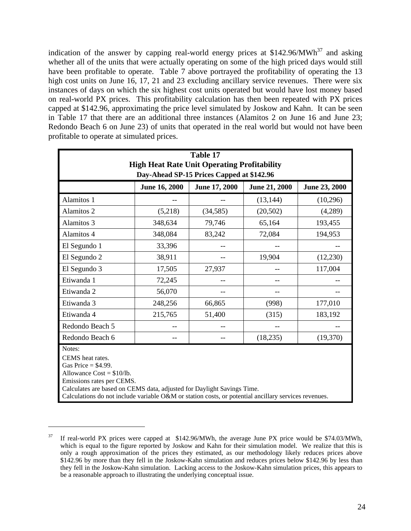indication of the answer by capping real-world energy prices at  $$142.96/MWh<sup>37</sup>$  and asking whether all of the units that were actually operating on some of the high priced days would still have been profitable to operate. Table 7 above portrayed the profitability of operating the 13 high cost units on June 16, 17, 21 and 23 excluding ancillary service revenues. There were six instances of days on which the six highest cost units operated but would have lost money based on real-world PX prices. This profitability calculation has then been repeated with PX prices capped at \$142.96, approximating the price level simulated by Joskow and Kahn. It can be seen in Table 17 that there are an additional three instances (Alamitos 2 on June 16 and June 23; Redondo Beach 6 on June 23) of units that operated in the real world but would not have been profitable to operate at simulated prices.

|                                                                                                                                                                                            | Table 17<br><b>High Heat Rate Unit Operating Profitability</b><br>Day-Ahead SP-15 Prices Capped at \$142.96 |               |                      |                      |  |  |  |  |  |  |  |
|--------------------------------------------------------------------------------------------------------------------------------------------------------------------------------------------|-------------------------------------------------------------------------------------------------------------|---------------|----------------------|----------------------|--|--|--|--|--|--|--|
|                                                                                                                                                                                            | <b>June 16, 2000</b>                                                                                        | June 17, 2000 | <b>June 21, 2000</b> | <b>June 23, 2000</b> |  |  |  |  |  |  |  |
| Alamitos 1                                                                                                                                                                                 |                                                                                                             |               | (13, 144)            | (10,296)             |  |  |  |  |  |  |  |
| Alamitos 2                                                                                                                                                                                 | (5,218)                                                                                                     | (34, 585)     | (20, 502)            | (4,289)              |  |  |  |  |  |  |  |
| Alamitos 3                                                                                                                                                                                 | 348,634                                                                                                     | 79,746        | 65,164               | 193,455              |  |  |  |  |  |  |  |
| Alamitos 4                                                                                                                                                                                 | 348,084                                                                                                     | 83,242        | 72,084               | 194,953              |  |  |  |  |  |  |  |
| El Segundo 1                                                                                                                                                                               | 33,396                                                                                                      |               |                      |                      |  |  |  |  |  |  |  |
| El Segundo 2                                                                                                                                                                               | 38,911                                                                                                      |               | 19,904               | (12,230)             |  |  |  |  |  |  |  |
| El Segundo 3                                                                                                                                                                               | 17,505                                                                                                      | 27,937        |                      | 117,004              |  |  |  |  |  |  |  |
| Etiwanda 1                                                                                                                                                                                 | 72,245                                                                                                      |               |                      |                      |  |  |  |  |  |  |  |
| Etiwanda 2                                                                                                                                                                                 | 56,070                                                                                                      |               |                      |                      |  |  |  |  |  |  |  |
| Etiwanda 3                                                                                                                                                                                 | 248,256                                                                                                     | 66,865        | (998)                | 177,010              |  |  |  |  |  |  |  |
| Etiwanda 4                                                                                                                                                                                 | 215,765                                                                                                     | 51,400        | (315)                | 183,192              |  |  |  |  |  |  |  |
| Redondo Beach 5                                                                                                                                                                            |                                                                                                             |               |                      |                      |  |  |  |  |  |  |  |
| Redondo Beach 6                                                                                                                                                                            |                                                                                                             |               | (18, 235)            | (19,370)             |  |  |  |  |  |  |  |
| Notes:<br>CEMS heat rates.<br>Gas Price = $$4.99$ .<br>Allowance $Cost = $10/lb$ .<br>Calculations do not include variable O&M or station costs, or potential ancillary services revenues. | Emissions rates per CEMS.<br>Calculates are based on CEMS data, adjusted for Daylight Savings Time.         |               |                      |                      |  |  |  |  |  |  |  |

<sup>&</sup>lt;sup>37</sup> If real-world PX prices were capped at \$142.96/MWh, the average June PX price would be \$74.03/MWh, which is equal to the figure reported by Joskow and Kahn for their simulation model. We realize that this is only a rough approximation of the prices they estimated, as our methodology likely reduces prices above \$142.96 by more than they fell in the Joskow-Kahn simulation and reduces prices below \$142.96 by less than they fell in the Joskow-Kahn simulation. Lacking access to the Joskow-Kahn simulation prices, this appears to be a reasonable approach to illustrating the underlying conceptual issue.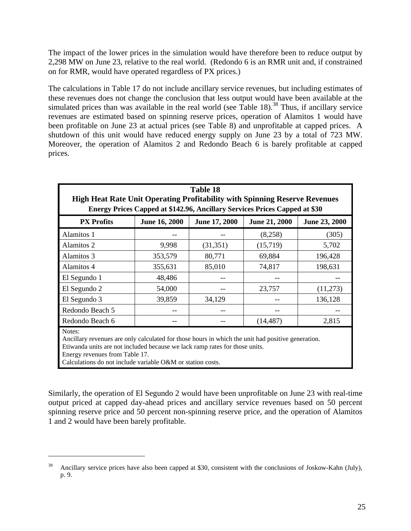The impact of the lower prices in the simulation would have therefore been to reduce output by 2,298 MW on June 23, relative to the real world. (Redondo 6 is an RMR unit and, if constrained on for RMR, would have operated regardless of PX prices.)

The calculations in Table 17 do not include ancillary service revenues, but including estimates of these revenues does not change the conclusion that less output would have been available at the simulated prices than was available in the real world (see Table 18).<sup>38</sup> Thus, if ancillary service revenues are estimated based on spinning reserve prices, operation of Alamitos 1 would have been profitable on June 23 at actual prices (see Table 8) and unprofitable at capped prices. A shutdown of this unit would have reduced energy supply on June 23 by a total of 723 MW. Moreover, the operation of Alamitos 2 and Redondo Beach 6 is barely profitable at capped prices.

| <b>Table 18</b><br><b>High Heat Rate Unit Operating Profitability with Spinning Reserve Revenues</b><br>Energy Prices Capped at \$142.96, Ancillary Services Prices Capped at \$30         |                      |               |                      |               |  |  |  |  |  |  |
|--------------------------------------------------------------------------------------------------------------------------------------------------------------------------------------------|----------------------|---------------|----------------------|---------------|--|--|--|--|--|--|
| <b>PX Profits</b>                                                                                                                                                                          | <b>June 16, 2000</b> | June 17, 2000 | <b>June 21, 2000</b> | June 23, 2000 |  |  |  |  |  |  |
| Alamitos 1                                                                                                                                                                                 |                      |               | (8,258)              | (305)         |  |  |  |  |  |  |
| Alamitos 2                                                                                                                                                                                 | 9,998                | (31, 351)     | (15,719)             | 5,702         |  |  |  |  |  |  |
| Alamitos 3                                                                                                                                                                                 | 353,579              | 80,771        | 69,884               | 196,428       |  |  |  |  |  |  |
| Alamitos 4                                                                                                                                                                                 | 355,631              | 85,010        | 74,817               | 198,631       |  |  |  |  |  |  |
| El Segundo 1                                                                                                                                                                               | 48,486               |               |                      |               |  |  |  |  |  |  |
| El Segundo 2                                                                                                                                                                               | 54,000               |               | 23,757               | (11,273)      |  |  |  |  |  |  |
| El Segundo 3                                                                                                                                                                               | 39,859               | 34,129        |                      | 136,128       |  |  |  |  |  |  |
| Redondo Beach 5                                                                                                                                                                            |                      |               |                      |               |  |  |  |  |  |  |
| Redondo Beach 6                                                                                                                                                                            |                      |               | (14, 487)            | 2,815         |  |  |  |  |  |  |
| Notes:<br>Ancillary revenues are only calculated for those hours in which the unit had positive generation.<br>Etiwanda units are not included because we lack ramp rates for those units. |                      |               |                      |               |  |  |  |  |  |  |

Energy revenues from Table 17.

 $\overline{a}$ 

Calculations do not include variable O&M or station costs.

Similarly, the operation of El Segundo 2 would have been unprofitable on June 23 with real-time output priced at capped day-ahead prices and ancillary service revenues based on 50 percent spinning reserve price and 50 percent non-spinning reserve price, and the operation of Alamitos 1 and 2 would have been barely profitable.

<sup>&</sup>lt;sup>38</sup> Ancillary service prices have also been capped at \$30, consistent with the conclusions of Joskow-Kahn (July), p. 9.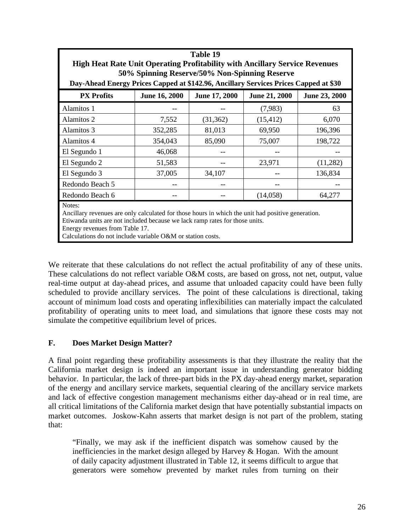|                                                                                                                                       | Table 19<br><b>High Heat Rate Unit Operating Profitability with Ancillary Service Revenues</b> |           |           |          |  |  |  |  |  |  |  |  |
|---------------------------------------------------------------------------------------------------------------------------------------|------------------------------------------------------------------------------------------------|-----------|-----------|----------|--|--|--|--|--|--|--|--|
|                                                                                                                                       |                                                                                                |           |           |          |  |  |  |  |  |  |  |  |
| 50% Spinning Reserve/50% Non-Spinning Reserve<br>Day-Ahead Energy Prices Capped at \$142.96, Ancillary Services Prices Capped at \$30 |                                                                                                |           |           |          |  |  |  |  |  |  |  |  |
| June 17, 2000<br><b>PX Profits</b><br>June 16, 2000<br>June 21, 2000<br>June 23, 2000                                                 |                                                                                                |           |           |          |  |  |  |  |  |  |  |  |
| Alamitos 1                                                                                                                            |                                                                                                |           | (7,983)   | 63       |  |  |  |  |  |  |  |  |
| Alamitos 2                                                                                                                            | 7,552                                                                                          | (31, 362) | (15, 412) | 6,070    |  |  |  |  |  |  |  |  |
| Alamitos 3                                                                                                                            | 352,285                                                                                        | 81,013    | 69,950    | 196,396  |  |  |  |  |  |  |  |  |
| Alamitos 4                                                                                                                            | 354,043                                                                                        | 85,090    | 75,007    | 198,722  |  |  |  |  |  |  |  |  |
| El Segundo 1                                                                                                                          | 46,068                                                                                         |           |           |          |  |  |  |  |  |  |  |  |
| El Segundo 2                                                                                                                          | 51,583                                                                                         |           | 23,971    | (11,282) |  |  |  |  |  |  |  |  |
| El Segundo 3                                                                                                                          | 37,005                                                                                         | 34,107    |           | 136,834  |  |  |  |  |  |  |  |  |
| Redondo Beach 5                                                                                                                       |                                                                                                |           |           |          |  |  |  |  |  |  |  |  |
| Redondo Beach 6                                                                                                                       |                                                                                                |           | (14, 058) | 64,277   |  |  |  |  |  |  |  |  |
| Notes:                                                                                                                                |                                                                                                |           |           |          |  |  |  |  |  |  |  |  |

Ancillary revenues are only calculated for those hours in which the unit had positive generation. Etiwanda units are not included because we lack ramp rates for those units.

Energy revenues from Table 17.

Calculations do not include variable O&M or station costs.

We reiterate that these calculations do not reflect the actual profitability of any of these units. These calculations do not reflect variable O&M costs, are based on gross, not net, output, value real-time output at day-ahead prices, and assume that unloaded capacity could have been fully scheduled to provide ancillary services. The point of these calculations is directional, taking account of minimum load costs and operating inflexibilities can materially impact the calculated profitability of operating units to meet load, and simulations that ignore these costs may not simulate the competitive equilibrium level of prices.

## **F. Does Market Design Matter?**

A final point regarding these profitability assessments is that they illustrate the reality that the California market design is indeed an important issue in understanding generator bidding behavior. In particular, the lack of three-part bids in the PX day-ahead energy market, separation of the energy and ancillary service markets, sequential clearing of the ancillary service markets and lack of effective congestion management mechanisms either day-ahead or in real time, are all critical limitations of the California market design that have potentially substantial impacts on market outcomes. Joskow-Kahn asserts that market design is not part of the problem, stating that:

"Finally, we may ask if the inefficient dispatch was somehow caused by the inefficiencies in the market design alleged by Harvey  $& Hogan$ . With the amount of daily capacity adjustment illustrated in Table 12, it seems difficult to argue that generators were somehow prevented by market rules from turning on their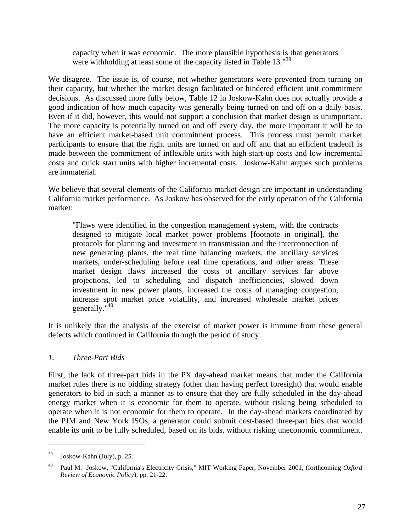capacity when it was economic. The more plausible hypothesis is that generators were withholding at least some of the capacity listed in Table 13."<sup>39</sup>

We disagree. The issue is, of course, not whether generators were prevented from turning on their capacity, but whether the market design facilitated or hindered efficient unit commitment decisions. As discussed more fully below, Table 12 in Joskow-Kahn does not actually provide a good indication of how much capacity was generally being turned on and off on a daily basis. Even if it did, however, this would not support a conclusion that market design is unimportant. The more capacity is potentially turned on and off every day, the more important it will be to have an efficient market-based unit commitment process. This process must permit market participants to ensure that the right units are turned on and off and that an efficient tradeoff is made between the commitment of inflexible units with high start-up costs and low incremental costs and quick start units with higher incremental costs. Joskow-Kahn argues such problems are immaterial.

We believe that several elements of the California market design are important in understanding California market performance. As Joskow has observed for the early operation of the California market:

"Flaws were identified in the congestion management system, with the contracts designed to mitigate local market power problems [footnote in original], the protocols for planning and investment in transmission and the interconnection of new generating plants, the real time balancing markets, the ancillary services markets, under-scheduling before real time operations, and other areas. These market design flaws increased the costs of ancillary services far above projections, led to scheduling and dispatch inefficiencies, slowed down investment in new power plants, increased the costs of managing congestion, increase spot market price volatility, and increased wholesale market prices generally."<sup>40</sup>

It is unlikely that the analysis of the exercise of market power is immune from these general defects which continued in California through the period of study.

## *1. Three-Part Bids*

First, the lack of three-part bids in the PX day-ahead market means that under the California market rules there is no bidding strategy (other than having perfect foresight) that would enable generators to bid in such a manner as to ensure that they are fully scheduled in the day-ahead energy market when it is economic for them to operate, without risking being scheduled to operate when it is not economic for them to operate. In the day-ahead markets coordinated by the PJM and New York ISOs, a generator could submit cost-based three-part bids that would enable its unit to be fully scheduled, based on its bids, without risking uneconomic commitment.

 $39$  Joskow-Kahn (July), p. 25.

<sup>40</sup> Paul M. Joskow, "California's Electricity Crisis," MIT Working Paper, November 2001, (forthcoming *Oxford Review of Economic Policy*), pp. 21-22.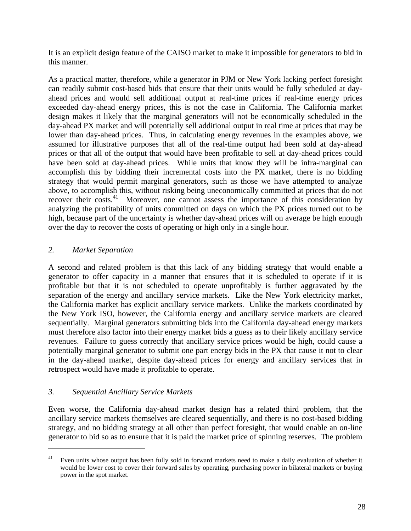It is an explicit design feature of the CAISO market to make it impossible for generators to bid in this manner.

As a practical matter, therefore, while a generator in PJM or New York lacking perfect foresight can readily submit cost-based bids that ensure that their units would be fully scheduled at dayahead prices and would sell additional output at real-time prices if real-time energy prices exceeded day-ahead energy prices, this is not the case in California. The California market design makes it likely that the marginal generators will not be economically scheduled in the day-ahead PX market and will potentially sell additional output in real time at prices that may be lower than day-ahead prices. Thus, in calculating energy revenues in the examples above, we assumed for illustrative purposes that all of the real-time output had been sold at day-ahead prices or that all of the output that would have been profitable to sell at day-ahead prices could have been sold at day-ahead prices. While units that know they will be infra-marginal can accomplish this by bidding their incremental costs into the PX market, there is no bidding strategy that would permit marginal generators, such as those we have attempted to analyze above, to accomplish this, without risking being uneconomically committed at prices that do not recover their costs.<sup>41</sup> Moreover, one cannot assess the importance of this consideration by analyzing the profitability of units committed on days on which the PX prices turned out to be high, because part of the uncertainty is whether day-ahead prices will on average be high enough over the day to recover the costs of operating or high only in a single hour.

## *2. Market Separation*

1

A second and related problem is that this lack of any bidding strategy that would enable a generator to offer capacity in a manner that ensures that it is scheduled to operate if it is profitable but that it is not scheduled to operate unprofitably is further aggravated by the separation of the energy and ancillary service markets. Like the New York electricity market, the California market has explicit ancillary service markets. Unlike the markets coordinated by the New York ISO, however, the California energy and ancillary service markets are cleared sequentially. Marginal generators submitting bids into the California day-ahead energy markets must therefore also factor into their energy market bids a guess as to their likely ancillary service revenues. Failure to guess correctly that ancillary service prices would be high, could cause a potentially marginal generator to submit one part energy bids in the PX that cause it not to clear in the day-ahead market, despite day-ahead prices for energy and ancillary services that in retrospect would have made it profitable to operate.

## *3. Sequential Ancillary Service Markets*

Even worse, the California day-ahead market design has a related third problem, that the ancillary service markets themselves are cleared sequentially, and there is no cost-based bidding strategy, and no bidding strategy at all other than perfect foresight, that would enable an on-line generator to bid so as to ensure that it is paid the market price of spinning reserves. The problem

<sup>&</sup>lt;sup>41</sup> Even units whose output has been fully sold in forward markets need to make a daily evaluation of whether it would be lower cost to cover their forward sales by operating, purchasing power in bilateral markets or buying power in the spot market.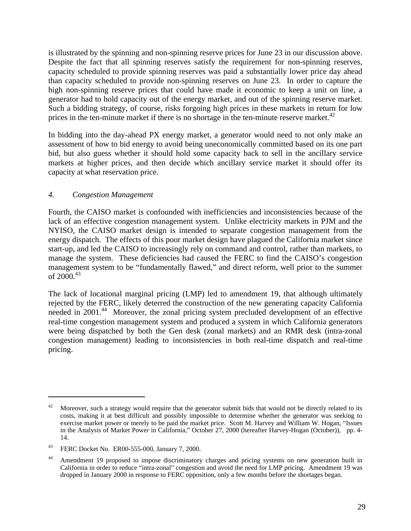is illustrated by the spinning and non-spinning reserve prices for June 23 in our discussion above. Despite the fact that all spinning reserves satisfy the requirement for non-spinning reserves, capacity scheduled to provide spinning reserves was paid a substantially lower price day ahead than capacity scheduled to provide non-spinning reserves on June 23. In order to capture the high non-spinning reserve prices that could have made it economic to keep a unit on line, a generator had to hold capacity out of the energy market, and out of the spinning reserve market. Such a bidding strategy, of course, risks forgoing high prices in these markets in return for low prices in the ten-minute market if there is no shortage in the ten-minute reserve market.<sup>42</sup>

In bidding into the day-ahead PX energy market, a generator would need to not only make an assessment of how to bid energy to avoid being uneconomically committed based on its one part bid, but also guess whether it should hold some capacity back to sell in the ancillary service markets at higher prices, and then decide which ancillary service market it should offer its capacity at what reservation price.

## *4. Congestion Management*

Fourth, the CAISO market is confounded with inefficiencies and inconsistencies because of the lack of an effective congestion management system. Unlike electricity markets in PJM and the NYISO, the CAISO market design is intended to separate congestion management from the energy dispatch. The effects of this poor market design have plagued the California market since start-up, and led the CAISO to increasingly rely on command and control, rather than markets, to manage the system. These deficiencies had caused the FERC to find the CAISO's congestion management system to be "fundamentally flawed," and direct reform, well prior to the summer of  $2000^{43}$ 

The lack of locational marginal pricing (LMP) led to amendment 19, that although ultimately rejected by the FERC, likely deterred the construction of the new generating capacity California needed in 2001.<sup>44</sup> Moreover, the zonal pricing system precluded development of an effective real-time congestion management system and produced a system in which California generators were being dispatched by both the Gen desk (zonal markets) and an RMR desk (intra-zonal congestion management) leading to inconsistencies in both real-time dispatch and real-time pricing.

<sup>&</sup>lt;sup>42</sup> Moreover, such a strategy would require that the generator submit bids that would not be directly related to its costs, making it at best difficult and possibly impossible to determine whether the generator was seeking to exercise market power or merely to be paid the market price. Scott M. Harvey and William W. Hogan, "Issues in the Analysis of Market Power in California," October 27, 2000 (hereafter Harvey-Hogan (October)), pp. 4- 14.

<sup>43</sup> FERC Docket No. ER00-555-000, January 7, 2000.

<sup>&</sup>lt;sup>44</sup> Amendment 19 proposed to impose discriminatory charges and pricing systems on new generation built in California in order to reduce "intra-zonal" congestion and avoid the need for LMP pricing. Amendment 19 was dropped in January 2000 in response to FERC opposition, only a few months before the shortages began.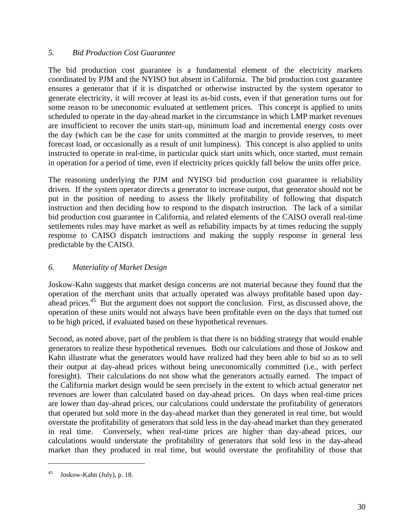#### *5. Bid Production Cost Guarantee*

The bid production cost guarantee is a fundamental element of the electricity markets coordinated by PJM and the NYISO but absent in California. The bid production cost guarantee ensures a generator that if it is dispatched or otherwise instructed by the system operator to generate electricity, it will recover at least its as-bid costs, even if that generation turns out for some reason to be uneconomic evaluated at settlement prices. This concept is applied to units scheduled to operate in the day-ahead market in the circumstance in which LMP market revenues are insufficient to recover the units start-up, minimum load and incremental energy costs over the day (which can be the case for units committed at the margin to provide reserves, to meet forecast load, or occasionally as a result of unit lumpiness). This concept is also applied to units instructed to operate in real-time, in particular quick start units which, once started, must remain in operation for a period of time, even if electricity prices quickly fall below the units offer price.

The reasoning underlying the PJM and NYISO bid production cost guarantee is reliability driven. If the system operator directs a generator to increase output, that generator should not be put in the position of needing to assess the likely profitability of following that dispatch instruction and then deciding how to respond to the dispatch instruction. The lack of a similar bid production cost guarantee in California, and related elements of the CAISO overall real-time settlements rules may have market as well as reliability impacts by at times reducing the supply response to CAISO dispatch instructions and making the supply response in general less predictable by the CAISO.

## *6. Materiality of Market Design*

Joskow-Kahn suggests that market design concerns are not material because they found that the operation of the merchant units that actually operated was always profitable based upon dayahead prices.<sup>45</sup> But the argument does not support the conclusion. First, as discussed above, the operation of these units would not always have been profitable even on the days that turned out to be high priced, if evaluated based on these hypothetical revenues.

Second, as noted above, part of the problem is that there is no bidding strategy that would enable generators to realize these hypothetical revenues. Both our calculations and those of Joskow and Kahn illustrate what the generators would have realized had they been able to bid so as to sell their output at day-ahead prices without being uneconomically committed (i.e., with perfect foresight). Their calculations do not show what the generators actually earned. The impact of the California market design would be seen precisely in the extent to which actual generator net revenues are lower than calculated based on day-ahead prices. On days when real-time prices are lower than day-ahead prices, our calculations could understate the profitability of generators that operated but sold more in the day-ahead market than they generated in real time, but would overstate the profitability of generators that sold less in the day-ahead market than they generated in real time. Conversely, when real-time prices are higher than day-ahead prices, our calculations would understate the profitability of generators that sold less in the day-ahead market than they produced in real time, but would overstate the profitability of those that

<sup>45</sup> Joskow-Kahn (July), p. 18.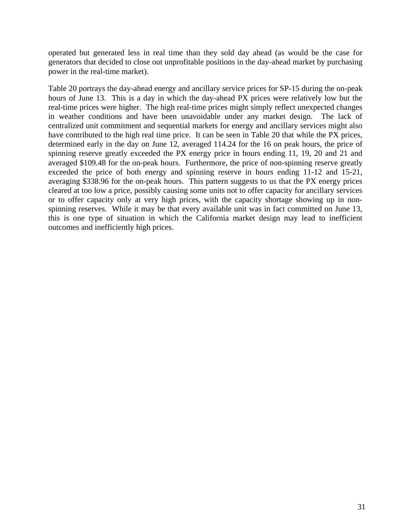operated but generated less in real time than they sold day ahead (as would be the case for generators that decided to close out unprofitable positions in the day-ahead market by purchasing power in the real-time market).

Table 20 portrays the day-ahead energy and ancillary service prices for SP-15 during the on-peak hours of June 13. This is a day in which the day-ahead PX prices were relatively low but the real-time prices were higher. The high real-time prices might simply reflect unexpected changes in weather conditions and have been unavoidable under any market design. The lack of centralized unit commitment and sequential markets for energy and ancillary services might also have contributed to the high real time price. It can be seen in Table 20 that while the PX prices, determined early in the day on June 12, averaged 114.24 for the 16 on peak hours, the price of spinning reserve greatly exceeded the PX energy price in hours ending 11, 19, 20 and 21 and averaged \$109.48 for the on-peak hours. Furthermore, the price of non-spinning reserve greatly exceeded the price of both energy and spinning reserve in hours ending 11-12 and 15-21, averaging \$338.96 for the on-peak hours. This pattern suggests to us that the PX energy prices cleared at too low a price, possibly causing some units not to offer capacity for ancillary services or to offer capacity only at very high prices, with the capacity shortage showing up in nonspinning reserves. While it may be that every available unit was in fact committed on June 13, this is one type of situation in which the California market design may lead to inefficient outcomes and inefficiently high prices.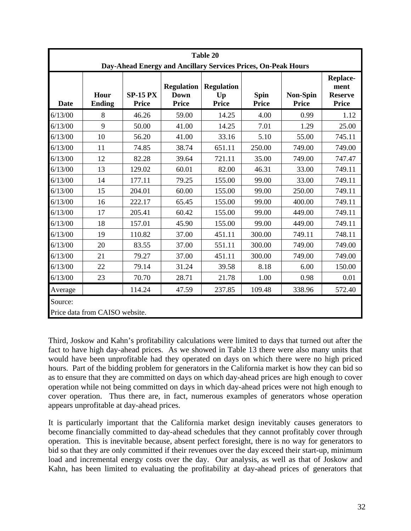|         |                                |                                 |                                                  | Table 20<br>Day-Ahead Energy and Ancillary Services Prices, On-Peak Hours |                             |                          |                                                           |
|---------|--------------------------------|---------------------------------|--------------------------------------------------|---------------------------------------------------------------------------|-----------------------------|--------------------------|-----------------------------------------------------------|
| Date    | Hour<br><b>Ending</b>          | <b>SP-15 PX</b><br><b>Price</b> | <b>Regulation</b><br><b>Down</b><br><b>Price</b> | <b>Regulation</b><br>Up<br><b>Price</b>                                   | <b>Spin</b><br><b>Price</b> | <b>Non-Spin</b><br>Price | <b>Replace-</b><br>ment<br><b>Reserve</b><br><b>Price</b> |
| 6/13/00 | 8                              | 46.26                           | 59.00                                            | 14.25                                                                     | 4.00                        | 0.99                     | 1.12                                                      |
| 6/13/00 | 9                              | 50.00                           | 41.00                                            | 14.25                                                                     | 7.01                        | 1.29                     | 25.00                                                     |
| 6/13/00 | 10                             | 56.20                           | 41.00                                            | 33.16                                                                     | 5.10                        | 55.00                    | 745.11                                                    |
| 6/13/00 | 11                             | 74.85                           | 38.74                                            | 651.11                                                                    | 250.00                      | 749.00                   | 749.00                                                    |
| 6/13/00 | 12                             | 82.28                           | 39.64                                            | 721.11                                                                    | 35.00                       | 749.00                   | 747.47                                                    |
| 6/13/00 | 13                             | 129.02                          | 60.01                                            | 82.00                                                                     | 46.31                       | 33.00                    | 749.11                                                    |
| 6/13/00 | 14                             | 177.11                          | 79.25                                            | 155.00                                                                    | 99.00                       | 33.00                    | 749.11                                                    |
| 6/13/00 | 15                             | 204.01                          | 60.00                                            | 155.00                                                                    | 99.00                       | 250.00                   | 749.11                                                    |
| 6/13/00 | 16                             | 222.17                          | 65.45                                            | 155.00                                                                    | 99.00                       | 400.00                   | 749.11                                                    |
| 6/13/00 | 17                             | 205.41                          | 60.42                                            | 155.00                                                                    | 99.00                       | 449.00                   | 749.11                                                    |
| 6/13/00 | 18                             | 157.01                          | 45.90                                            | 155.00                                                                    | 99.00                       | 449.00                   | 749.11                                                    |
| 6/13/00 | 19                             | 110.82                          | 37.00                                            | 451.11                                                                    | 300.00                      | 749.11                   | 748.11                                                    |
| 6/13/00 | 20                             | 83.55                           | 37.00                                            | 551.11                                                                    | 300.00                      | 749.00                   | 749.00                                                    |
| 6/13/00 | 21                             | 79.27                           | 37.00                                            | 451.11                                                                    | 300.00                      | 749.00                   | 749.00                                                    |
| 6/13/00 | 22                             | 79.14                           | 31.24                                            | 39.58                                                                     | 8.18                        | 6.00                     | 150.00                                                    |
| 6/13/00 | 23                             | 70.70                           | 28.71                                            | 21.78                                                                     | 1.00                        | 0.98                     | 0.01                                                      |
| Average |                                | 114.24                          | 47.59                                            | 237.85                                                                    | 109.48                      | 338.96                   | 572.40                                                    |
| Source: | Price data from CAISO website. |                                 |                                                  |                                                                           |                             |                          |                                                           |

Third, Joskow and Kahn's profitability calculations were limited to days that turned out after the fact to have high day-ahead prices. As we showed in Table 13 there were also many units that would have been unprofitable had they operated on days on which there were no high priced hours. Part of the bidding problem for generators in the California market is how they can bid so as to ensure that they are committed on days on which day-ahead prices are high enough to cover operation while not being committed on days in which day-ahead prices were not high enough to cover operation. Thus there are, in fact, numerous examples of generators whose operation appears unprofitable at day-ahead prices.

It is particularly important that the California market design inevitably causes generators to become financially committed to day-ahead schedules that they cannot profitably cover through operation. This is inevitable because, absent perfect foresight, there is no way for generators to bid so that they are only committed if their revenues over the day exceed their start-up, minimum load and incremental energy costs over the day. Our analysis, as well as that of Joskow and Kahn, has been limited to evaluating the profitability at day-ahead prices of generators that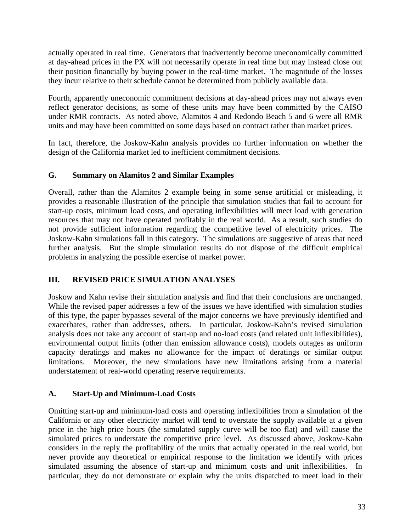actually operated in real time. Generators that inadvertently become uneconomically committed at day-ahead prices in the PX will not necessarily operate in real time but may instead close out their position financially by buying power in the real-time market. The magnitude of the losses they incur relative to their schedule cannot be determined from publicly available data.

Fourth, apparently uneconomic commitment decisions at day-ahead prices may not always even reflect generator decisions, as some of these units may have been committed by the CAISO under RMR contracts. As noted above, Alamitos 4 and Redondo Beach 5 and 6 were all RMR units and may have been committed on some days based on contract rather than market prices.

In fact, therefore, the Joskow-Kahn analysis provides no further information on whether the design of the California market led to inefficient commitment decisions.

### **G. Summary on Alamitos 2 and Similar Examples**

Overall, rather than the Alamitos 2 example being in some sense artificial or misleading, it provides a reasonable illustration of the principle that simulation studies that fail to account for start-up costs, minimum load costs, and operating inflexibilities will meet load with generation resources that may not have operated profitably in the real world. As a result, such studies do not provide sufficient information regarding the competitive level of electricity prices. The Joskow-Kahn simulations fall in this category. The simulations are suggestive of areas that need further analysis. But the simple simulation results do not dispose of the difficult empirical problems in analyzing the possible exercise of market power.

# **III. REVISED PRICE SIMULATION ANALYSES**

Joskow and Kahn revise their simulation analysis and find that their conclusions are unchanged. While the revised paper addresses a few of the issues we have identified with simulation studies of this type, the paper bypasses several of the major concerns we have previously identified and exacerbates, rather than addresses, others. In particular, Joskow-Kahn's revised simulation analysis does not take any account of start-up and no-load costs (and related unit inflexibilities), environmental output limits (other than emission allowance costs), models outages as uniform capacity deratings and makes no allowance for the impact of deratings or similar output limitations. Moreover, the new simulations have new limitations arising from a material understatement of real-world operating reserve requirements.

## **A. Start-Up and Minimum-Load Costs**

Omitting start-up and minimum-load costs and operating inflexibilities from a simulation of the California or any other electricity market will tend to overstate the supply available at a given price in the high price hours (the simulated supply curve will be too flat) and will cause the simulated prices to understate the competitive price level. As discussed above, Joskow-Kahn considers in the reply the profitability of the units that actually operated in the real world, but never provide any theoretical or empirical response to the limitation we identify with prices simulated assuming the absence of start-up and minimum costs and unit inflexibilities. In particular, they do not demonstrate or explain why the units dispatched to meet load in their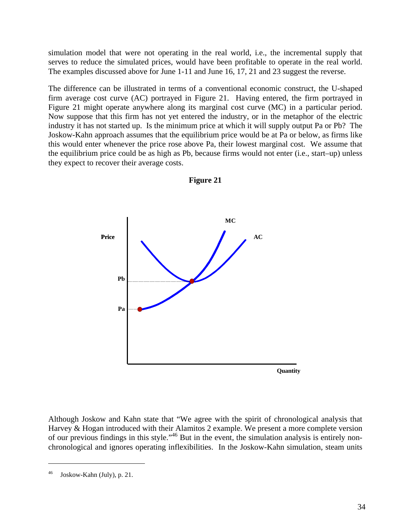simulation model that were not operating in the real world, i.e., the incremental supply that serves to reduce the simulated prices, would have been profitable to operate in the real world. The examples discussed above for June 1-11 and June 16, 17, 21 and 23 suggest the reverse.

The difference can be illustrated in terms of a conventional economic construct, the U-shaped firm average cost curve (AC) portrayed in Figure 21. Having entered, the firm portrayed in Figure 21 might operate anywhere along its marginal cost curve (MC) in a particular period. Now suppose that this firm has not yet entered the industry, or in the metaphor of the electric industry it has not started up. Is the minimum price at which it will supply output Pa or Pb? The Joskow-Kahn approach assumes that the equilibrium price would be at Pa or below, as firms like this would enter whenever the price rose above Pa, their lowest marginal cost. We assume that the equilibrium price could be as high as Pb, because firms would not enter (i.e., start–up) unless they expect to recover their average costs.



**Figure 21**

Although Joskow and Kahn state that "We agree with the spirit of chronological analysis that Harvey & Hogan introduced with their Alamitos 2 example. We present a more complete version of our previous findings in this style."<sup>46</sup> But in the event, the simulation analysis is entirely nonchronological and ignores operating inflexibilities. In the Joskow-Kahn simulation, steam units

Joskow-Kahn (July), p. 21.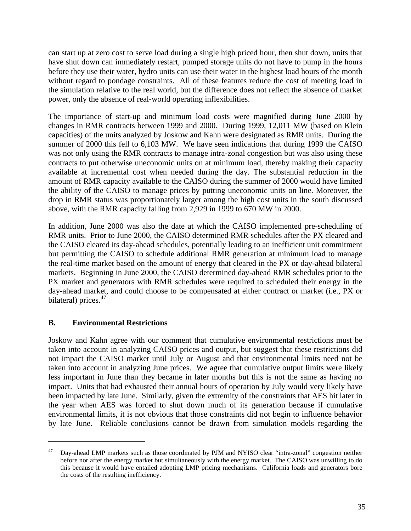can start up at zero cost to serve load during a single high priced hour, then shut down, units that have shut down can immediately restart, pumped storage units do not have to pump in the hours before they use their water, hydro units can use their water in the highest load hours of the month without regard to pondage constraints. All of these features reduce the cost of meeting load in the simulation relative to the real world, but the difference does not reflect the absence of market power, only the absence of real-world operating inflexibilities.

The importance of start-up and minimum load costs were magnified during June 2000 by changes in RMR contracts between 1999 and 2000. During 1999, 12,011 MW (based on Klein capacities) of the units analyzed by Joskow and Kahn were designated as RMR units. During the summer of 2000 this fell to 6,103 MW. We have seen indications that during 1999 the CAISO was not only using the RMR contracts to manage intra-zonal congestion but was also using these contracts to put otherwise uneconomic units on at minimum load, thereby making their capacity available at incremental cost when needed during the day. The substantial reduction in the amount of RMR capacity available to the CAISO during the summer of 2000 would have limited the ability of the CAISO to manage prices by putting uneconomic units on line. Moreover, the drop in RMR status was proportionately larger among the high cost units in the south discussed above, with the RMR capacity falling from 2,929 in 1999 to 670 MW in 2000.

In addition, June 2000 was also the date at which the CAISO implemented pre-scheduling of RMR units. Prior to June 2000, the CAISO determined RMR schedules after the PX cleared and the CAISO cleared its day-ahead schedules, potentially leading to an inefficient unit commitment but permitting the CAISO to schedule additional RMR generation at minimum load to manage the real-time market based on the amount of energy that cleared in the PX or day-ahead bilateral markets. Beginning in June 2000, the CAISO determined day-ahead RMR schedules prior to the PX market and generators with RMR schedules were required to scheduled their energy in the day-ahead market, and could choose to be compensated at either contract or market (i.e., PX or bilateral) prices.<sup>47</sup>

#### **B. Environmental Restrictions**

 $\overline{a}$ 

Joskow and Kahn agree with our comment that cumulative environmental restrictions must be taken into account in analyzing CAISO prices and output, but suggest that these restrictions did not impact the CAISO market until July or August and that environmental limits need not be taken into account in analyzing June prices. We agree that cumulative output limits were likely less important in June than they became in later months but this is not the same as having no impact. Units that had exhausted their annual hours of operation by July would very likely have been impacted by late June. Similarly, given the extremity of the constraints that AES hit later in the year when AES was forced to shut down much of its generation because if cumulative environmental limits, it is not obvious that those constraints did not begin to influence behavior by late June. Reliable conclusions cannot be drawn from simulation models regarding the

<sup>&</sup>lt;sup>47</sup> Day-ahead LMP markets such as those coordinated by PJM and NYISO clear "intra-zonal" congestion neither before nor after the energy market but simultaneously with the energy market. The CAISO was unwilling to do this because it would have entailed adopting LMP pricing mechanisms. California loads and generators bore the costs of the resulting inefficiency.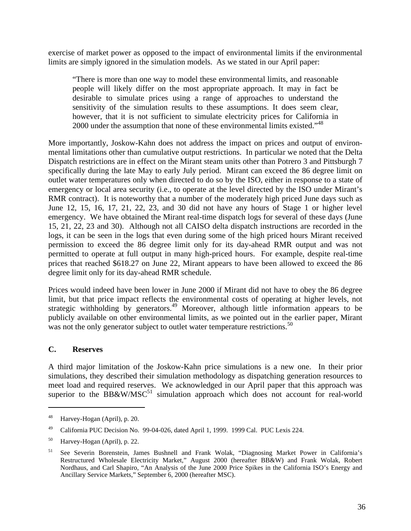exercise of market power as opposed to the impact of environmental limits if the environmental limits are simply ignored in the simulation models. As we stated in our April paper:

"There is more than one way to model these environmental limits, and reasonable people will likely differ on the most appropriate approach. It may in fact be desirable to simulate prices using a range of approaches to understand the sensitivity of the simulation results to these assumptions. It does seem clear, however, that it is not sufficient to simulate electricity prices for California in 2000 under the assumption that none of these environmental limits existed."<sup>48</sup>

More importantly, Joskow-Kahn does not address the impact on prices and output of environmental limitations other than cumulative output restrictions. In particular we noted that the Delta Dispatch restrictions are in effect on the Mirant steam units other than Potrero 3 and Pittsburgh 7 specifically during the late May to early July period. Mirant can exceed the 86 degree limit on outlet water temperatures only when directed to do so by the ISO, either in response to a state of emergency or local area security (i.e., to operate at the level directed by the ISO under Mirant's RMR contract). It is noteworthy that a number of the moderately high priced June days such as June 12, 15, 16, 17, 21, 22, 23, and 30 did not have any hours of Stage 1 or higher level emergency. We have obtained the Mirant real-time dispatch logs for several of these days (June 15, 21, 22, 23 and 30). Although not all CAISO delta dispatch instructions are recorded in the logs, it can be seen in the logs that even during some of the high priced hours Mirant received permission to exceed the 86 degree limit only for its day-ahead RMR output and was not permitted to operate at full output in many high-priced hours. For example, despite real-time prices that reached \$618.27 on June 22, Mirant appears to have been allowed to exceed the 86 degree limit only for its day-ahead RMR schedule.

Prices would indeed have been lower in June 2000 if Mirant did not have to obey the 86 degree limit, but that price impact reflects the environmental costs of operating at higher levels, not strategic withholding by generators.<sup>49</sup> Moreover, although little information appears to be publicly available on other environmental limits, as we pointed out in the earlier paper, Mirant was not the only generator subject to outlet water temperature restrictions.<sup>50</sup>

#### **C. Reserves**

 $\overline{a}$ 

A third major limitation of the Joskow-Kahn price simulations is a new one. In their prior simulations, they described their simulation methodology as dispatching generation resources to meet load and required reserves. We acknowledged in our April paper that this approach was superior to the BB&W/MSC<sup>51</sup> simulation approach which does not account for real-world

<sup>48</sup> Harvey-Hogan (April), p. 20.

<sup>49</sup> California PUC Decision No. 99-04-026, dated April 1, 1999. 1999 Cal. PUC Lexis 224.

<sup>&</sup>lt;sup>50</sup> Harvey-Hogan (April), p. 22.

<sup>51</sup> See Severin Borenstein, James Bushnell and Frank Wolak, "Diagnosing Market Power in California's Restructured Wholesale Electricity Market," August 2000 (hereafter BB&W) and Frank Wolak, Robert Nordhaus, and Carl Shapiro, "An Analysis of the June 2000 Price Spikes in the California ISO's Energy and Ancillary Service Markets," September 6, 2000 (hereafter MSC).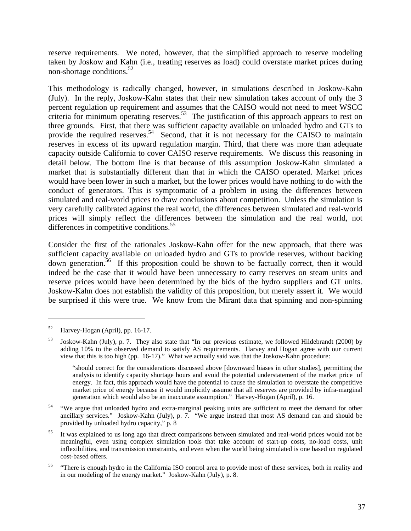reserve requirements. We noted, however, that the simplified approach to reserve modeling taken by Joskow and Kahn (i.e., treating reserves as load) could overstate market prices during non-shortage conditions.<sup>52</sup>

This methodology is radically changed, however, in simulations described in Joskow-Kahn (July). In the reply, Joskow-Kahn states that their new simulation takes account of only the 3 percent regulation up requirement and assumes that the CAISO would not need to meet WSCC criteria for minimum operating reserves.<sup>53</sup> The justification of this approach appears to rest on three grounds. First, that there was sufficient capacity available on unloaded hydro and GTs to provide the required reserves.<sup>54</sup> Second, that it is not necessary for the CAISO to maintain reserves in excess of its upward regulation margin. Third, that there was more than adequate capacity outside California to cover CAISO reserve requirements. We discuss this reasoning in detail below. The bottom line is that because of this assumption Joskow-Kahn simulated a market that is substantially different than that in which the CAISO operated. Market prices would have been lower in such a market, but the lower prices would have nothing to do with the conduct of generators. This is symptomatic of a problem in using the differences between simulated and real-world prices to draw conclusions about competition. Unless the simulation is very carefully calibrated against the real world, the differences between simulated and real-world prices will simply reflect the differences between the simulation and the real world, not differences in competitive conditions.<sup>55</sup>

Consider the first of the rationales Joskow-Kahn offer for the new approach, that there was sufficient capacity available on unloaded hydro and GTs to provide reserves, without backing down generation.<sup>56</sup> If this proposition could be shown to be factually correct, then it would indeed be the case that it would have been unnecessary to carry reserves on steam units and reserve prices would have been determined by the bids of the hydro suppliers and GT units. Joskow-Kahn does not establish the validity of this proposition, but merely assert it. We would be surprised if this were true. We know from the Mirant data that spinning and non-spinning

<sup>52</sup> Harvey-Hogan (April), pp. 16-17.

<sup>53</sup> Joskow-Kahn (July), p. 7. They also state that "In our previous estimate, we followed Hildebrandt (2000) by adding 10% to the observed demand to satisfy AS requirements. Harvey and Hogan agree with our current view that this is too high (pp. 16-17)." What we actually said was that the Joskow-Kahn procedure:

<sup>&</sup>quot;should correct for the considerations discussed above [downward biases in other studies], permitting the analysis to identify capacity shortage hours and avoid the potential understatement of the market price of energy. In fact, this approach would have the potential to cause the simulation to overstate the competitive market price of energy because it would implicitly assume that all reserves are provided by infra-marginal generation which would also be an inaccurate assumption." Harvey-Hogan (April), p. 16.

<sup>&</sup>lt;sup>54</sup> "We argue that unloaded hydro and extra-marginal peaking units are sufficient to meet the demand for other ancillary services." Joskow-Kahn (July), p. 7. "We argue instead that most AS demand can and should be provided by unloaded hydro capacity," p. 8

<sup>&</sup>lt;sup>55</sup> It was explained to us long ago that direct comparisons between simulated and real-world prices would not be meaningful, even using complex simulation tools that take account of start-up costs, no-load costs, unit inflexibilities, and transmission constraints, and even when the world being simulated is one based on regulated cost-based offers.

<sup>&</sup>lt;sup>56</sup> "There is enough hydro in the California ISO control area to provide most of these services, both in reality and in our modeling of the energy market." Joskow-Kahn (July), p. 8.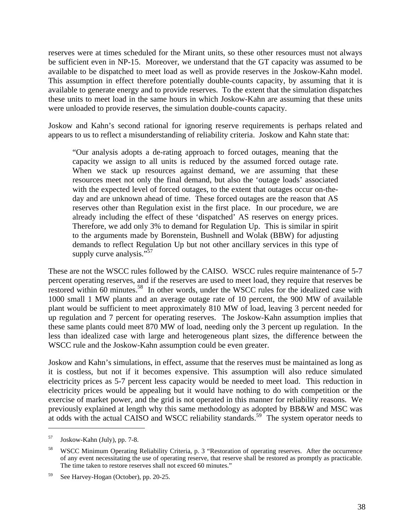reserves were at times scheduled for the Mirant units, so these other resources must not always be sufficient even in NP-15. Moreover, we understand that the GT capacity was assumed to be available to be dispatched to meet load as well as provide reserves in the Joskow-Kahn model. This assumption in effect therefore potentially double-counts capacity, by assuming that it is available to generate energy and to provide reserves. To the extent that the simulation dispatches these units to meet load in the same hours in which Joskow-Kahn are assuming that these units were unloaded to provide reserves, the simulation double-counts capacity.

Joskow and Kahn's second rational for ignoring reserve requirements is perhaps related and appears to us to reflect a misunderstanding of reliability criteria. Joskow and Kahn state that:

"Our analysis adopts a de-rating approach to forced outages, meaning that the capacity we assign to all units is reduced by the assumed forced outage rate. When we stack up resources against demand, we are assuming that these resources meet not only the final demand, but also the 'outage loads' associated with the expected level of forced outages, to the extent that outages occur on-theday and are unknown ahead of time. These forced outages are the reason that AS reserves other than Regulation exist in the first place. In our procedure, we are already including the effect of these 'dispatched' AS reserves on energy prices. Therefore, we add only 3% to demand for Regulation Up. This is similar in spirit to the arguments made by Borenstein, Bushnell and Wolak (BBW) for adjusting demands to reflect Regulation Up but not other ancillary services in this type of supply curve analysis." $57$ 

These are not the WSCC rules followed by the CAISO. WSCC rules require maintenance of 5-7 percent operating reserves, and if the reserves are used to meet load, they require that reserves be restored within 60 minutes.<sup>58</sup> In other words, under the WSCC rules for the idealized case with 1000 small 1 MW plants and an average outage rate of 10 percent, the 900 MW of available plant would be sufficient to meet approximately 810 MW of load, leaving 3 percent needed for up regulation and 7 percent for operating reserves. The Joskow-Kahn assumption implies that these same plants could meet 870 MW of load, needing only the 3 percent up regulation. In the less than idealized case with large and heterogeneous plant sizes, the difference between the WSCC rule and the Joskow-Kahn assumption could be even greater.

Joskow and Kahn's simulations, in effect, assume that the reserves must be maintained as long as it is costless, but not if it becomes expensive. This assumption will also reduce simulated electricity prices as 5-7 percent less capacity would be needed to meet load. This reduction in electricity prices would be appealing but it would have nothing to do with competition or the exercise of market power, and the grid is not operated in this manner for reliability reasons. We previously explained at length why this same methodology as adopted by BB&W and MSC was at odds with the actual CAISO and WSCC reliability standards.<sup>59</sup> The system operator needs to

1

<sup>57</sup> Joskow-Kahn (July), pp. 7-8.

<sup>58</sup> WSCC Minimum Operating Reliability Criteria, p. 3 "Restoration of operating reserves. After the occurrence of any event necessitating the use of operating reserve, that reserve shall be restored as promptly as practicable. The time taken to restore reserves shall not exceed 60 minutes."

<sup>59</sup> See Harvey-Hogan (October), pp. 20-25.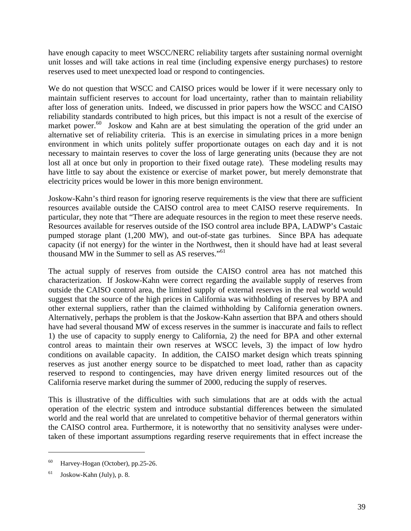have enough capacity to meet WSCC/NERC reliability targets after sustaining normal overnight unit losses and will take actions in real time (including expensive energy purchases) to restore reserves used to meet unexpected load or respond to contingencies.

We do not question that WSCC and CAISO prices would be lower if it were necessary only to maintain sufficient reserves to account for load uncertainty, rather than to maintain reliability after loss of generation units. Indeed, we discussed in prior papers how the WSCC and CAISO reliability standards contributed to high prices, but this impact is not a result of the exercise of market power.<sup>60</sup> Joskow and Kahn are at best simulating the operation of the grid under an alternative set of reliability criteria. This is an exercise in simulating prices in a more benign environment in which units politely suffer proportionate outages on each day and it is not necessary to maintain reserves to cover the loss of large generating units (because they are not lost all at once but only in proportion to their fixed outage rate). These modeling results may have little to say about the existence or exercise of market power, but merely demonstrate that electricity prices would be lower in this more benign environment.

Joskow-Kahn's third reason for ignoring reserve requirements is the view that there are sufficient resources available outside the CAISO control area to meet CAISO reserve requirements. In particular, they note that "There are adequate resources in the region to meet these reserve needs. Resources available for reserves outside of the ISO control area include BPA, LADWP's Castaic pumped storage plant (1,200 MW), and out-of-state gas turbines. Since BPA has adequate capacity (if not energy) for the winter in the Northwest, then it should have had at least several thousand MW in the Summer to sell as AS reserves."<sup>61</sup>

The actual supply of reserves from outside the CAISO control area has not matched this characterization. If Joskow-Kahn were correct regarding the available supply of reserves from outside the CAISO control area, the limited supply of external reserves in the real world would suggest that the source of the high prices in California was withholding of reserves by BPA and other external suppliers, rather than the claimed withholding by California generation owners. Alternatively, perhaps the problem is that the Joskow-Kahn assertion that BPA and others should have had several thousand MW of excess reserves in the summer is inaccurate and fails to reflect 1) the use of capacity to supply energy to California, 2) the need for BPA and other external control areas to maintain their own reserves at WSCC levels, 3) the impact of low hydro conditions on available capacity. In addition, the CAISO market design which treats spinning reserves as just another energy source to be dispatched to meet load, rather than as capacity reserved to respond to contingencies, may have driven energy limited resources out of the California reserve market during the summer of 2000, reducing the supply of reserves.

This is illustrative of the difficulties with such simulations that are at odds with the actual operation of the electric system and introduce substantial differences between the simulated world and the real world that are unrelated to competitive behavior of thermal generators within the CAISO control area. Furthermore, it is noteworthy that no sensitivity analyses were undertaken of these important assumptions regarding reserve requirements that in effect increase the

<sup>&</sup>lt;sup>60</sup> Harvey-Hogan (October), pp.25-26.

<sup>61</sup> Joskow-Kahn (July), p. 8.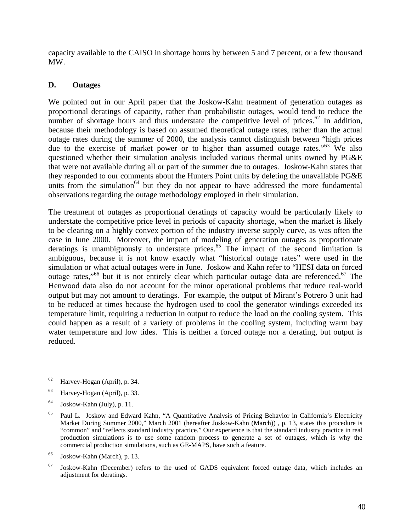capacity available to the CAISO in shortage hours by between 5 and 7 percent, or a few thousand MW.

#### **D. Outages**

We pointed out in our April paper that the Joskow-Kahn treatment of generation outages as proportional deratings of capacity, rather than probabilistic outages, would tend to reduce the number of shortage hours and thus understate the competitive level of prices.<sup>62</sup> In addition, because their methodology is based on assumed theoretical outage rates, rather than the actual outage rates during the summer of 2000, the analysis cannot distinguish between "high prices due to the exercise of market power or to higher than assumed outage rates.<sup>563</sup> We also questioned whether their simulation analysis included various thermal units owned by PG&E that were not available during all or part of the summer due to outages. Joskow-Kahn states that they responded to our comments about the Hunters Point units by deleting the unavailable PG&E units from the simulation<sup>64</sup> but they do not appear to have addressed the more fundamental observations regarding the outage methodology employed in their simulation.

The treatment of outages as proportional deratings of capacity would be particularly likely to understate the competitive price level in periods of capacity shortage, when the market is likely to be clearing on a highly convex portion of the industry inverse supply curve, as was often the case in June 2000. Moreover, the impact of modeling of generation outages as proportionate deratings is unambiguously to understate prices.<sup>65</sup> The impact of the second limitation is ambiguous, because it is not know exactly what "historical outage rates" were used in the simulation or what actual outages were in June. Joskow and Kahn refer to "HESI data on forced outage rates,"<sup>66</sup> but it is not entirely clear which particular outage data are referenced.<sup>67</sup> The Henwood data also do not account for the minor operational problems that reduce real-world output but may not amount to deratings. For example, the output of Mirant's Potrero 3 unit had to be reduced at times because the hydrogen used to cool the generator windings exceeded its temperature limit, requiring a reduction in output to reduce the load on the cooling system. This could happen as a result of a variety of problems in the cooling system, including warm bay water temperature and low tides. This is neither a forced outage nor a derating, but output is reduced.

 $62$  Harvey-Hogan (April), p. 34.

<sup>63</sup> Harvey-Hogan (April), p. 33.

 $64$  Joskow-Kahn (July), p. 11.

<sup>65</sup> Paul L. Joskow and Edward Kahn, "A Quantitative Analysis of Pricing Behavior in California's Electricity Market During Summer 2000," March 2001 (hereafter Joskow-Kahn (March)) , p. 13, states this procedure is "common" and "reflects standard industry practice." Our experience is that the standard industry practice in real production simulations is to use some random process to generate a set of outages, which is why the commercial production simulations, such as GE-MAPS, have such a feature.

<sup>66</sup> Joskow-Kahn (March), p. 13.

 $67$  Joskow-Kahn (December) refers to the used of GADS equivalent forced outage data, which includes an adjustment for deratings.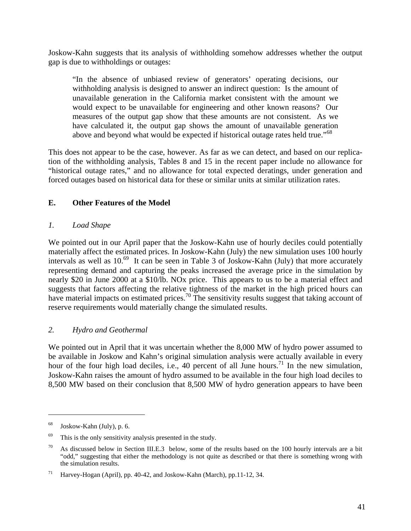Joskow-Kahn suggests that its analysis of withholding somehow addresses whether the output gap is due to withholdings or outages:

"In the absence of unbiased review of generators' operating decisions, our withholding analysis is designed to answer an indirect question: Is the amount of unavailable generation in the California market consistent with the amount we would expect to be unavailable for engineering and other known reasons? Our measures of the output gap show that these amounts are not consistent. As we have calculated it, the output gap shows the amount of unavailable generation above and beyond what would be expected if historical outage rates held true."<sup>68</sup>

This does not appear to be the case, however. As far as we can detect, and based on our replication of the withholding analysis, Tables 8 and 15 in the recent paper include no allowance for "historical outage rates," and no allowance for total expected deratings, under generation and forced outages based on historical data for these or similar units at similar utilization rates.

### **E. Other Features of the Model**

#### *1. Load Shape*

We pointed out in our April paper that the Joskow-Kahn use of hourly deciles could potentially materially affect the estimated prices. In Joskow-Kahn (July) the new simulation uses 100 hourly intervals as well as  $10^{69}$  It can be seen in Table 3 of Joskow-Kahn (July) that more accurately representing demand and capturing the peaks increased the average price in the simulation by nearly \$20 in June 2000 at a \$10/lb. NOx price. This appears to us to be a material effect and suggests that factors affecting the relative tightness of the market in the high priced hours can have material impacts on estimated prices.<sup>70</sup> The sensitivity results suggest that taking account of reserve requirements would materially change the simulated results.

#### *2. Hydro and Geothermal*

We pointed out in April that it was uncertain whether the 8,000 MW of hydro power assumed to be available in Joskow and Kahn's original simulation analysis were actually available in every hour of the four high load deciles, i.e., 40 percent of all June hours.<sup>71</sup> In the new simulation, Joskow-Kahn raises the amount of hydro assumed to be available in the four high load deciles to 8,500 MW based on their conclusion that 8,500 MW of hydro generation appears to have been

1

<sup>68</sup> Joskow-Kahn (July), p. 6.

 $69$  This is the only sensitivity analysis presented in the study.

<sup>&</sup>lt;sup>70</sup> As discussed below in Section III.E.3 below, some of the results based on the 100 hourly intervals are a bit "odd," suggesting that either the methodology is not quite as described or that there is something wrong with the simulation results.

<sup>71</sup> Harvey-Hogan (April), pp. 40-42, and Joskow-Kahn (March), pp.11-12, 34.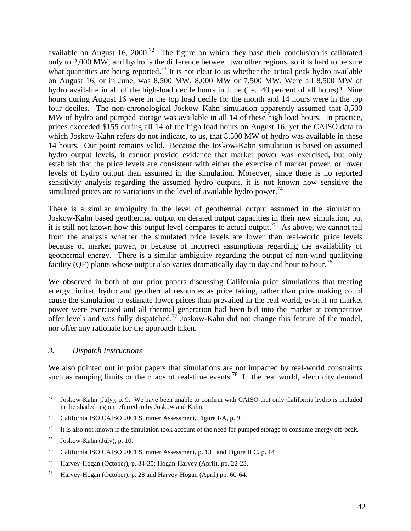available on August 16, 2000.<sup>72</sup> The figure on which they base their conclusion is calibrated only to 2,000 MW, and hydro is the difference between two other regions, so it is hard to be sure what quantities are being reported.<sup>73</sup> It is not clear to us whether the actual peak hydro available on August 16, or in June, was 8,500 MW, 8,000 MW or 7,500 MW. Were all 8,500 MW of hydro available in all of the high-load decile hours in June (i.e., 40 percent of all hours)? Nine hours during August 16 were in the top load decile for the month and 14 hours were in the top four deciles. The non-chronological Joskow–Kahn simulation apparently assumed that 8,500 MW of hydro and pumped storage was available in all 14 of these high load hours. In practice, prices exceeded \$155 during all 14 of the high load hours on August 16, yet the CAISO data to which Joskow-Kahn refers do not indicate, to us, that 8,500 MW of hydro was available in these 14 hours. Our point remains valid. Because the Joskow-Kahn simulation is based on assumed hydro output levels, it cannot provide evidence that market power was exercised, but only establish that the price levels are consistent with either the exercise of market power, or lower levels of hydro output than assumed in the simulation. Moreover, since there is no reported sensitivity analysis regarding the assumed hydro outputs, it is not known how sensitive the simulated prices are to variations in the level of available hydro power.<sup>74</sup>

There is a similar ambiguity in the level of geothermal output assumed in the simulation. Joskow-Kahn based geothermal output on derated output capacities in their new simulation, but it is still not known how this output level compares to actual output.<sup>75</sup> As above, we cannot tell from the analysis whether the simulated price levels are lower than real-world price levels because of market power, or because of incorrect assumptions regarding the availability of geothermal energy. There is a similar ambiguity regarding the output of non-wind qualifying facility (QF) plants whose output also varies dramatically day to day and hour to hour.<sup>76</sup>

We observed in both of our prior papers discussing California price simulations that treating energy limited hydro and geothermal resources as price taking, rather than price making could cause the simulation to estimate lower prices than prevailed in the real world, even if no market power were exercised and all thermal generation had been bid into the market at competitive offer levels and was fully dispatched.<sup>77</sup> Joskow-Kahn did not change this feature of the model, nor offer any rationale for the approach taken.

#### *3. Dispatch Instructions*

We also pointed out in prior papers that simulations are not impacted by real-world constraints such as ramping limits or the chaos of real-time events.<sup>78</sup> In the real world, electricity demand

 $72$  Joskow-Kahn (July), p. 9. We have been unable to confirm with CAISO that only California hydro is included in the shaded region referred to by Joskow and Kahn.

<sup>73</sup> California ISO CAISO 2001 Summer Assessment, Figure I-A, p. 9.

<sup>&</sup>lt;sup>74</sup> It is also not known if the simulation took account of the need for pumped storage to consume energy off-peak.

 $^{75}$  Joskow-Kahn (July), p. 10.

<sup>76</sup> California ISO CAISO 2001 Summer Assessment, p. 13 , and Figure II C, p. 14

<sup>77</sup> Harvey-Hogan (October), p. 34-35; Hogan-Harvey (April), pp. 22-23.

<sup>78</sup> Harvey-Hogan (October), p. 28 and Harvey-Hogan (April) pp. 60-64.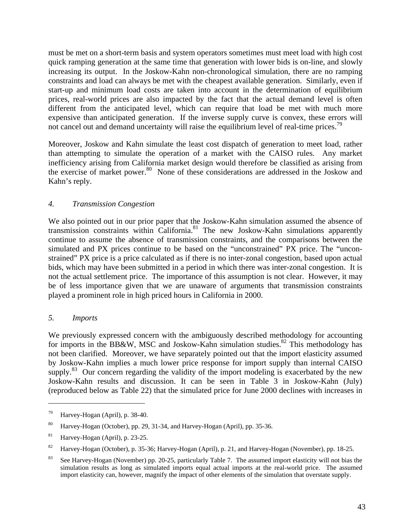must be met on a short-term basis and system operators sometimes must meet load with high cost quick ramping generation at the same time that generation with lower bids is on-line, and slowly increasing its output. In the Joskow-Kahn non-chronological simulation, there are no ramping constraints and load can always be met with the cheapest available generation. Similarly, even if start-up and minimum load costs are taken into account in the determination of equilibrium prices, real-world prices are also impacted by the fact that the actual demand level is often different from the anticipated level, which can require that load be met with much more expensive than anticipated generation. If the inverse supply curve is convex, these errors will not cancel out and demand uncertainty will raise the equilibrium level of real-time prices.<sup>79</sup>

Moreover, Joskow and Kahn simulate the least cost dispatch of generation to meet load, rather than attempting to simulate the operation of a market with the CAISO rules. Any market inefficiency arising from California market design would therefore be classified as arising from the exercise of market power.<sup>80</sup> None of these considerations are addressed in the Joskow and Kahn's reply.

#### *4. Transmission Congestion*

We also pointed out in our prior paper that the Joskow-Kahn simulation assumed the absence of transmission constraints within  $\tilde{California}^{81}$  The new Joskow-Kahn simulations apparently continue to assume the absence of transmission constraints, and the comparisons between the simulated and PX prices continue to be based on the "unconstrained" PX price. The "unconstrained" PX price is a price calculated as if there is no inter-zonal congestion, based upon actual bids, which may have been submitted in a period in which there was inter-zonal congestion. It is not the actual settlement price. The importance of this assumption is not clear. However, it may be of less importance given that we are unaware of arguments that transmission constraints played a prominent role in high priced hours in California in 2000.

#### *5. Imports*

 $\overline{a}$ 

We previously expressed concern with the ambiguously described methodology for accounting for imports in the BB&W, MSC and Joskow-Kahn simulation studies.<sup>82</sup> This methodology has not been clarified. Moreover, we have separately pointed out that the import elasticity assumed by Joskow-Kahn implies a much lower price response for import supply than internal CAISO supply.<sup>83</sup> Our concern regarding the validity of the import modeling is exacerbated by the new Joskow-Kahn results and discussion. It can be seen in Table 3 in Joskow-Kahn (July) (reproduced below as Table 22) that the simulated price for June 2000 declines with increases in

<sup>79</sup> Harvey-Hogan (April), p. 38-40.

<sup>80</sup> Harvey-Hogan (October), pp. 29, 31-34, and Harvey-Hogan (April), pp. 35-36.

<sup>81</sup> Harvey-Hogan (April), p. 23-25.

<sup>&</sup>lt;sup>82</sup> Harvey-Hogan (October), p. 35-36; Harvey-Hogan (April), p. 21, and Harvey-Hogan (November), pp. 18-25.

<sup>&</sup>lt;sup>83</sup> See Harvey-Hogan (November) pp. 20-25, particularly Table 7. The assumed import elasticity will not bias the simulation results as long as simulated imports equal actual imports at the real-world price. The assumed import elasticity can, however, magnify the impact of other elements of the simulation that overstate supply.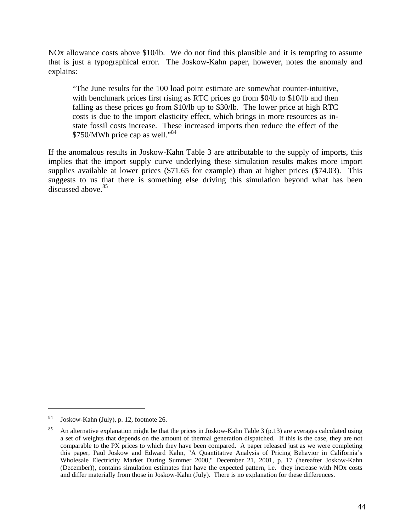NOx allowance costs above \$10/lb. We do not find this plausible and it is tempting to assume that is just a typographical error. The Joskow-Kahn paper, however, notes the anomaly and explains:

"The June results for the 100 load point estimate are somewhat counter-intuitive, with benchmark prices first rising as RTC prices go from \$0/lb to \$10/lb and then falling as these prices go from \$10/lb up to \$30/lb. The lower price at high RTC costs is due to the import elasticity effect, which brings in more resources as instate fossil costs increase. These increased imports then reduce the effect of the \$750/MWh price cap as well."<sup>84</sup>

If the anomalous results in Joskow-Kahn Table 3 are attributable to the supply of imports, this implies that the import supply curve underlying these simulation results makes more import supplies available at lower prices (\$71.65 for example) than at higher prices (\$74.03). This suggests to us that there is something else driving this simulation beyond what has been discussed above.<sup>85</sup>

<sup>84</sup> Joskow-Kahn (July), p. 12, footnote 26.

<sup>&</sup>lt;sup>85</sup> An alternative explanation might be that the prices in Joskow-Kahn Table 3 (p.13) are averages calculated using a set of weights that depends on the amount of thermal generation dispatched. If this is the case, they are not comparable to the PX prices to which they have been compared. A paper released just as we were completing this paper, Paul Joskow and Edward Kahn, "A Quantitative Analysis of Pricing Behavior in California's Wholesale Electricity Market During Summer 2000," December 21, 2001, p. 17 (hereafter Joskow-Kahn (December)), contains simulation estimates that have the expected pattern, i.e. they increase with NOx costs and differ materially from those in Joskow-Kahn (July). There is no explanation for these differences.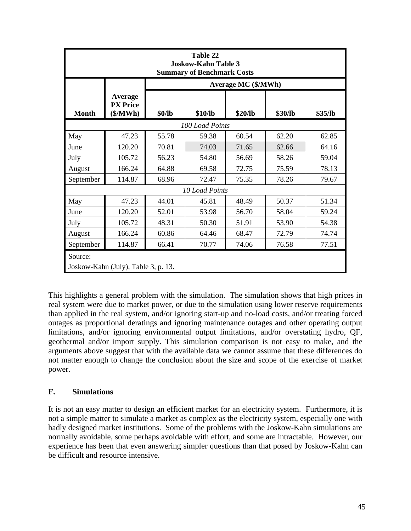| Table 22<br><b>Joskow-Kahn Table 3</b><br><b>Summary of Benchmark Costs</b> |                                        |                            |                |         |         |         |  |  |  |  |
|-----------------------------------------------------------------------------|----------------------------------------|----------------------------|----------------|---------|---------|---------|--|--|--|--|
|                                                                             |                                        | <b>Average MC (\$/MWh)</b> |                |         |         |         |  |  |  |  |
| <b>Month</b>                                                                | Average<br><b>PX</b> Price<br>(\$/MWh) | \$0/lb                     | \$10/lb        | \$20/lb | \$30/lb | \$35/lb |  |  |  |  |
| 100 Load Points                                                             |                                        |                            |                |         |         |         |  |  |  |  |
| May                                                                         | 47.23                                  | 55.78                      | 59.38          | 60.54   | 62.20   | 62.85   |  |  |  |  |
| June                                                                        | 120.20                                 | 70.81                      | 74.03          | 71.65   | 62.66   | 64.16   |  |  |  |  |
| July                                                                        | 105.72                                 | 56.23                      | 54.80          | 56.69   | 58.26   | 59.04   |  |  |  |  |
| August                                                                      | 166.24                                 | 64.88                      | 69.58          | 72.75   | 75.59   | 78.13   |  |  |  |  |
| September                                                                   | 114.87                                 | 68.96                      | 72.47          | 75.35   | 78.26   | 79.67   |  |  |  |  |
|                                                                             |                                        |                            | 10 Load Points |         |         |         |  |  |  |  |
| May                                                                         | 47.23                                  | 44.01                      | 45.81          | 48.49   | 50.37   | 51.34   |  |  |  |  |
| June                                                                        | 120.20                                 | 52.01                      | 53.98          | 56.70   | 58.04   | 59.24   |  |  |  |  |
| July                                                                        | 105.72                                 | 48.31                      | 50.30          | 51.91   | 53.90   | 54.38   |  |  |  |  |
| August                                                                      | 166.24                                 | 60.86                      | 64.46          | 68.47   | 72.79   | 74.74   |  |  |  |  |
| September                                                                   | 114.87                                 | 66.41                      | 70.77          | 74.06   | 76.58   | 77.51   |  |  |  |  |
| Source:                                                                     | Joskow-Kahn (July), Table 3, p. 13.    |                            |                |         |         |         |  |  |  |  |

This highlights a general problem with the simulation. The simulation shows that high prices in real system were due to market power, or due to the simulation using lower reserve requirements than applied in the real system, and/or ignoring start-up and no-load costs, and/or treating forced outages as proportional deratings and ignoring maintenance outages and other operating output limitations, and/or ignoring environmental output limitations, and/or overstating hydro, QF, geothermal and/or import supply. This simulation comparison is not easy to make, and the arguments above suggest that with the available data we cannot assume that these differences do not matter enough to change the conclusion about the size and scope of the exercise of market power.

## **F. Simulations**

It is not an easy matter to design an efficient market for an electricity system. Furthermore, it is not a simple matter to simulate a market as complex as the electricity system, especially one with badly designed market institutions. Some of the problems with the Joskow-Kahn simulations are normally avoidable, some perhaps avoidable with effort, and some are intractable. However, our experience has been that even answering simpler questions than that posed by Joskow-Kahn can be difficult and resource intensive.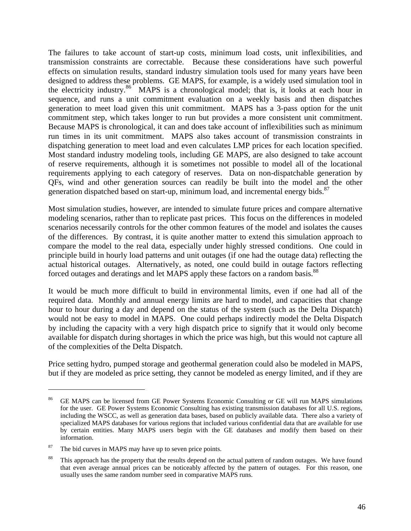The failures to take account of start-up costs, minimum load costs, unit inflexibilities, and transmission constraints are correctable. Because these considerations have such powerful effects on simulation results, standard industry simulation tools used for many years have been designed to address these problems. GE MAPS, for example, is a widely used simulation tool in the electricity industry.<sup>86</sup> MAPS is a chronological model; that is, it looks at each hour in sequence, and runs a unit commitment evaluation on a weekly basis and then dispatches generation to meet load given this unit commitment. MAPS has a 3-pass option for the unit commitment step, which takes longer to run but provides a more consistent unit commitment. Because MAPS is chronological, it can and does take account of inflexibilities such as minimum run times in its unit commitment. MAPS also takes account of transmission constraints in dispatching generation to meet load and even calculates LMP prices for each location specified. Most standard industry modeling tools, including GE MAPS, are also designed to take account of reserve requirements, although it is sometimes not possible to model all of the locational requirements applying to each category of reserves. Data on non-dispatchable generation by QFs, wind and other generation sources can readily be built into the model and the other generation dispatched based on start-up, minimum load, and incremental energy bids.<sup>87</sup>

Most simulation studies, however, are intended to simulate future prices and compare alternative modeling scenarios, rather than to replicate past prices. This focus on the differences in modeled scenarios necessarily controls for the other common features of the model and isolates the causes of the differences. By contrast, it is quite another matter to extend this simulation approach to compare the model to the real data, especially under highly stressed conditions. One could in principle build in hourly load patterns and unit outages (if one had the outage data) reflecting the actual historical outages. Alternatively, as noted, one could build in outage factors reflecting forced outages and deratings and let MAPS apply these factors on a random basis.<sup>88</sup>

It would be much more difficult to build in environmental limits, even if one had all of the required data. Monthly and annual energy limits are hard to model, and capacities that change hour to hour during a day and depend on the status of the system (such as the Delta Dispatch) would not be easy to model in MAPS. One could perhaps indirectly model the Delta Dispatch by including the capacity with a very high dispatch price to signify that it would only become available for dispatch during shortages in which the price was high, but this would not capture all of the complexities of the Delta Dispatch.

Price setting hydro, pumped storage and geothermal generation could also be modeled in MAPS, but if they are modeled as price setting, they cannot be modeled as energy limited, and if they are

<sup>&</sup>lt;sup>86</sup> GE MAPS can be licensed from GE Power Systems Economic Consulting or GE will run MAPS simulations for the user. GE Power Systems Economic Consulting has existing transmission databases for all U.S. regions, including the WSCC, as well as generation data bases, based on publicly available data. There also a variety of specialized MAPS databases for various regions that included various confidential data that are available for use by certain entities. Many MAPS users begin with the GE databases and modify them based on their information.

 $87$  The bid curves in MAPS may have up to seven price points.

<sup>&</sup>lt;sup>88</sup> This approach has the property that the results depend on the actual pattern of random outages. We have found that even average annual prices can be noticeably affected by the pattern of outages. For this reason, one usually uses the same random number seed in comparative MAPS runs.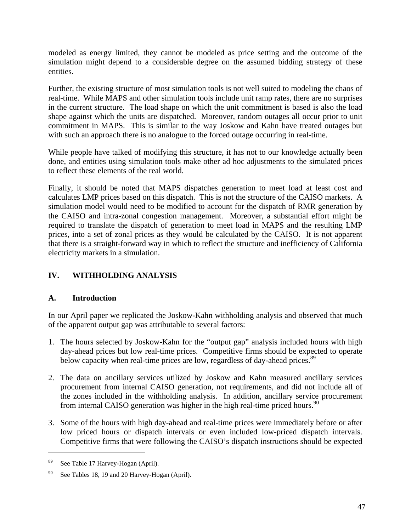modeled as energy limited, they cannot be modeled as price setting and the outcome of the simulation might depend to a considerable degree on the assumed bidding strategy of these entities.

Further, the existing structure of most simulation tools is not well suited to modeling the chaos of real-time. While MAPS and other simulation tools include unit ramp rates, there are no surprises in the current structure. The load shape on which the unit commitment is based is also the load shape against which the units are dispatched. Moreover, random outages all occur prior to unit commitment in MAPS. This is similar to the way Joskow and Kahn have treated outages but with such an approach there is no analogue to the forced outage occurring in real-time.

While people have talked of modifying this structure, it has not to our knowledge actually been done, and entities using simulation tools make other ad hoc adjustments to the simulated prices to reflect these elements of the real world.

Finally, it should be noted that MAPS dispatches generation to meet load at least cost and calculates LMP prices based on this dispatch. This is not the structure of the CAISO markets. A simulation model would need to be modified to account for the dispatch of RMR generation by the CAISO and intra-zonal congestion management. Moreover, a substantial effort might be required to translate the dispatch of generation to meet load in MAPS and the resulting LMP prices, into a set of zonal prices as they would be calculated by the CAISO. It is not apparent that there is a straight-forward way in which to reflect the structure and inefficiency of California electricity markets in a simulation.

# **IV. WITHHOLDING ANALYSIS**

## **A. Introduction**

In our April paper we replicated the Joskow-Kahn withholding analysis and observed that much of the apparent output gap was attributable to several factors:

- 1. The hours selected by Joskow-Kahn for the "output gap" analysis included hours with high day-ahead prices but low real-time prices. Competitive firms should be expected to operate below capacity when real-time prices are low, regardless of day-ahead prices.<sup>89</sup>
- 2. The data on ancillary services utilized by Joskow and Kahn measured ancillary services procurement from internal CAISO generation, not requirements, and did not include all of the zones included in the withholding analysis. In addition, ancillary service procurement from internal CAISO generation was higher in the high real-time priced hours.<sup>90</sup>
- 3. Some of the hours with high day-ahead and real-time prices were immediately before or after low priced hours or dispatch intervals or even included low-priced dispatch intervals. Competitive firms that were following the CAISO's dispatch instructions should be expected

<sup>89</sup> See Table 17 Harvey-Hogan (April).

 $90$  See Tables 18, 19 and 20 Harvey-Hogan (April).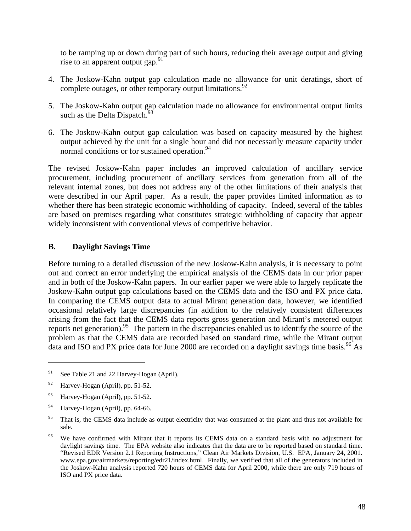to be ramping up or down during part of such hours, reducing their average output and giving rise to an apparent output gap.  $91$ 

- 4. The Joskow-Kahn output gap calculation made no allowance for unit deratings, short of complete outages, or other temporary output limitations.  $92$
- 5. The Joskow-Kahn output gap calculation made no allowance for environmental output limits such as the Delta Dispatch.<sup>9</sup>
- 6. The Joskow-Kahn output gap calculation was based on capacity measured by the highest output achieved by the unit for a single hour and did not necessarily measure capacity under normal conditions or for sustained operation.<sup>94</sup>

The revised Joskow-Kahn paper includes an improved calculation of ancillary service procurement, including procurement of ancillary services from generation from all of the relevant internal zones, but does not address any of the other limitations of their analysis that were described in our April paper. As a result, the paper provides limited information as to whether there has been strategic economic withholding of capacity. Indeed, several of the tables are based on premises regarding what constitutes strategic withholding of capacity that appear widely inconsistent with conventional views of competitive behavior.

#### **B. Daylight Savings Time**

Before turning to a detailed discussion of the new Joskow-Kahn analysis, it is necessary to point out and correct an error underlying the empirical analysis of the CEMS data in our prior paper and in both of the Joskow-Kahn papers. In our earlier paper we were able to largely replicate the Joskow-Kahn output gap calculations based on the CEMS data and the ISO and PX price data. In comparing the CEMS output data to actual Mirant generation data, however, we identified occasional relatively large discrepancies (in addition to the relatively consistent differences arising from the fact that the CEMS data reports gross generation and Mirant's metered output reports net generation).<sup>95</sup> The pattern in the discrepancies enabled us to identify the source of the problem as that the CEMS data are recorded based on standard time, while the Mirant output data and ISO and PX price data for June 2000 are recorded on a daylight savings time basis.<sup>96</sup> As

<sup>&</sup>lt;sup>91</sup> See Table 21 and 22 Harvey-Hogan (April).

 $^{92}$  Harvey-Hogan (April), pp. 51-52.

<sup>93</sup> Harvey-Hogan (April), pp. 51-52.

<sup>&</sup>lt;sup>94</sup> Harvey-Hogan (April), pp. 64-66.

<sup>&</sup>lt;sup>95</sup> That is, the CEMS data include as output electricity that was consumed at the plant and thus not available for sale.

<sup>&</sup>lt;sup>96</sup> We have confirmed with Mirant that it reports its CEMS data on a standard basis with no adjustment for daylight savings time. The EPA website also indicates that the data are to be reported based on standard time. "Revised EDR Version 2.1 Reporting Instructions," Clean Air Markets Division, U.S. EPA, January 24, 2001. www.epa.gov/airmarkets/reporting/edr21/index.html. Finally, we verified that all of the generators included in the Joskow-Kahn analysis reported 720 hours of CEMS data for April 2000, while there are only 719 hours of ISO and PX price data.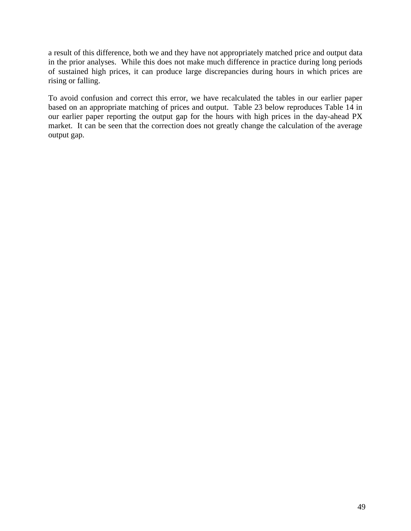a result of this difference, both we and they have not appropriately matched price and output data in the prior analyses. While this does not make much difference in practice during long periods of sustained high prices, it can produce large discrepancies during hours in which prices are rising or falling.

To avoid confusion and correct this error, we have recalculated the tables in our earlier paper based on an appropriate matching of prices and output. Table 23 below reproduces Table 14 in our earlier paper reporting the output gap for the hours with high prices in the day-ahead PX market. It can be seen that the correction does not greatly change the calculation of the average output gap.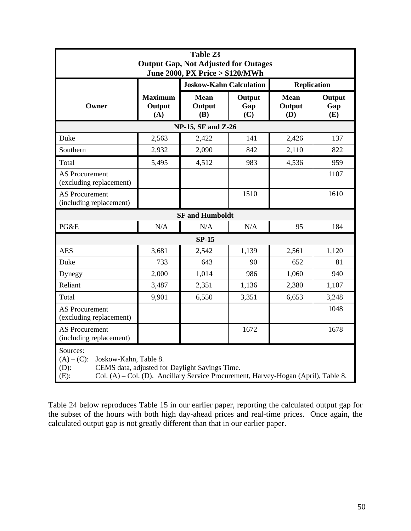|                                                  |                                                                                                                                                               | Table 23<br><b>Output Gap, Not Adjusted for Outages</b> |                      |                              |                      |  |  |  |  |  |
|--------------------------------------------------|---------------------------------------------------------------------------------------------------------------------------------------------------------------|---------------------------------------------------------|----------------------|------------------------------|----------------------|--|--|--|--|--|
|                                                  |                                                                                                                                                               | June 2000, PX Price > \$120/MWh                         |                      |                              |                      |  |  |  |  |  |
|                                                  |                                                                                                                                                               | <b>Joskow-Kahn Calculation</b>                          |                      |                              | <b>Replication</b>   |  |  |  |  |  |
| Owner                                            | <b>Maximum</b><br>Output<br>(A)                                                                                                                               | <b>Mean</b><br>Output<br>(B)                            | Output<br>Gap<br>(C) | <b>Mean</b><br>Output<br>(D) | Output<br>Gap<br>(E) |  |  |  |  |  |
|                                                  |                                                                                                                                                               | <b>NP-15, SF and Z-26</b>                               |                      |                              |                      |  |  |  |  |  |
| Duke                                             | 2,563                                                                                                                                                         | 2,422                                                   | 141                  | 2,426                        | 137                  |  |  |  |  |  |
| Southern                                         | 2,932                                                                                                                                                         | 2,090                                                   | 842                  | 2,110                        | 822                  |  |  |  |  |  |
| Total                                            | 5,495                                                                                                                                                         | 4,512                                                   | 983                  | 4,536                        | 959                  |  |  |  |  |  |
| <b>AS Procurement</b><br>(excluding replacement) |                                                                                                                                                               |                                                         |                      |                              | 1107                 |  |  |  |  |  |
| <b>AS Procurement</b><br>(including replacement) |                                                                                                                                                               |                                                         | 1510                 |                              | 1610                 |  |  |  |  |  |
|                                                  |                                                                                                                                                               | <b>SF</b> and Humboldt                                  |                      |                              |                      |  |  |  |  |  |
| PG&E                                             | N/A                                                                                                                                                           | N/A                                                     | N/A                  | 95                           | 184                  |  |  |  |  |  |
|                                                  |                                                                                                                                                               | $SP-15$                                                 |                      |                              |                      |  |  |  |  |  |
| <b>AES</b>                                       | 3,681                                                                                                                                                         | 2,542                                                   | 1,139                | 2,561                        | 1,120                |  |  |  |  |  |
| Duke                                             | 733                                                                                                                                                           | 643                                                     | 90                   | 652                          | 81                   |  |  |  |  |  |
| Dynegy                                           | 2,000                                                                                                                                                         | 1,014                                                   | 986                  | 1,060                        | 940                  |  |  |  |  |  |
| Reliant                                          | 3,487                                                                                                                                                         | 2,351                                                   | 1,136                | 2,380                        | 1,107                |  |  |  |  |  |
| Total                                            | 9,901                                                                                                                                                         | 6,550                                                   | 3,351                | 6,653                        | 3,248                |  |  |  |  |  |
| <b>AS Procurement</b><br>(excluding replacement) |                                                                                                                                                               |                                                         |                      |                              | 1048                 |  |  |  |  |  |
| <b>AS Procurement</b><br>(including replacement) |                                                                                                                                                               |                                                         | 1672                 |                              | 1678                 |  |  |  |  |  |
| Sources:<br>$(A) - (C)$ :<br>$(D)$ :<br>$(E)$ :  | Joskow-Kahn, Table 8.<br>CEMS data, adjusted for Daylight Savings Time.<br>Col. (A) – Col. (D). Ancillary Service Procurement, Harvey-Hogan (April), Table 8. |                                                         |                      |                              |                      |  |  |  |  |  |

Table 24 below reproduces Table 15 in our earlier paper, reporting the calculated output gap for the subset of the hours with both high day-ahead prices and real-time prices. Once again, the calculated output gap is not greatly different than that in our earlier paper.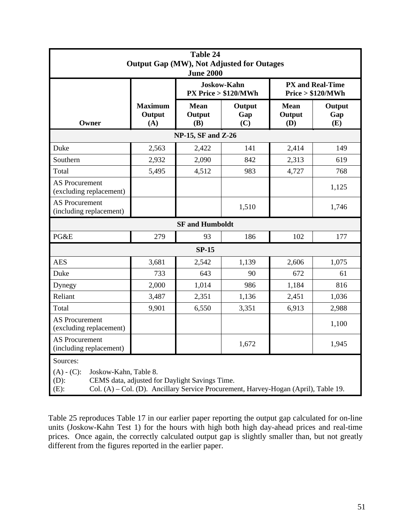|                                                  |                                                                                                                                                                | <b>Table 24</b>              | <b>Output Gap (MW), Not Adjusted for Outages</b> |                              |                                              |  |  |  |  |
|--------------------------------------------------|----------------------------------------------------------------------------------------------------------------------------------------------------------------|------------------------------|--------------------------------------------------|------------------------------|----------------------------------------------|--|--|--|--|
|                                                  |                                                                                                                                                                | <b>June 2000</b>             |                                                  |                              |                                              |  |  |  |  |
|                                                  |                                                                                                                                                                |                              | <b>Joskow-Kahn</b><br>$PX$ Price $> $120/MWh$    |                              | <b>PX and Real-Time</b><br>Price > \$120/MWh |  |  |  |  |
| Owner                                            | <b>Maximum</b><br>Output<br>(A)                                                                                                                                | <b>Mean</b><br>Output<br>(B) | Output<br>Gap<br>(C)                             | <b>Mean</b><br>Output<br>(D) | Output<br>Gap<br>(E)                         |  |  |  |  |
|                                                  |                                                                                                                                                                | NP-15, SF and Z-26           |                                                  |                              |                                              |  |  |  |  |
| Duke                                             | 2,563                                                                                                                                                          | 2,422                        | 141                                              | 2,414                        | 149                                          |  |  |  |  |
| Southern                                         | 2,932                                                                                                                                                          | 2,090                        | 842                                              | 2,313                        | 619                                          |  |  |  |  |
| Total                                            | 5,495                                                                                                                                                          | 4,512                        | 983                                              | 4,727                        | 768                                          |  |  |  |  |
| <b>AS Procurement</b><br>(excluding replacement) |                                                                                                                                                                |                              |                                                  |                              | 1,125                                        |  |  |  |  |
| <b>AS Procurement</b><br>(including replacement) |                                                                                                                                                                |                              | 1,510                                            |                              | 1,746                                        |  |  |  |  |
|                                                  |                                                                                                                                                                | <b>SF</b> and Humboldt       |                                                  |                              |                                              |  |  |  |  |
| PG&E                                             | 279                                                                                                                                                            | 93                           | 186                                              | 102                          | 177                                          |  |  |  |  |
|                                                  |                                                                                                                                                                | <b>SP-15</b>                 |                                                  |                              |                                              |  |  |  |  |
| <b>AES</b>                                       | 3,681                                                                                                                                                          | 2,542                        | 1,139                                            | 2,606                        | 1,075                                        |  |  |  |  |
| Duke                                             | 733                                                                                                                                                            | 643                          | 90                                               | 672                          | 61                                           |  |  |  |  |
| Dynegy                                           | 2,000                                                                                                                                                          | 1,014                        | 986                                              | 1,184                        | 816                                          |  |  |  |  |
| Reliant                                          | 3,487                                                                                                                                                          | 2,351                        | 1,136                                            | 2,451                        | 1,036                                        |  |  |  |  |
| Total                                            | 9,901                                                                                                                                                          | 6,550                        | 3,351                                            | 6,913                        | 2,988                                        |  |  |  |  |
| <b>AS Procurement</b><br>(excluding replacement) |                                                                                                                                                                |                              |                                                  |                              | 1,100                                        |  |  |  |  |
| <b>AS Procurement</b><br>(including replacement) |                                                                                                                                                                |                              | 1,672                                            |                              | 1,945                                        |  |  |  |  |
| Sources:<br>$(A) - (C)$ :<br>$(D)$ :<br>$(E)$ :  | Joskow-Kahn, Table 8.<br>CEMS data, adjusted for Daylight Savings Time.<br>Col. (A) – Col. (D). Ancillary Service Procurement, Harvey-Hogan (April), Table 19. |                              |                                                  |                              |                                              |  |  |  |  |

Table 25 reproduces Table 17 in our earlier paper reporting the output gap calculated for on-line units (Joskow-Kahn Test 1) for the hours with high both high day-ahead prices and real-time prices. Once again, the correctly calculated output gap is slightly smaller than, but not greatly different from the figures reported in the earlier paper.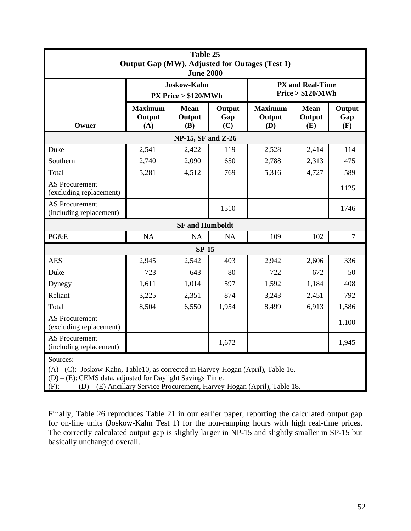|                                                                                                                                                              | Table 25<br>Output Gap (MW), Adjusted for Outages (Test 1)<br><b>June 2000</b> |                                               |                      |                                 |                                              |                      |  |  |  |  |  |
|--------------------------------------------------------------------------------------------------------------------------------------------------------------|--------------------------------------------------------------------------------|-----------------------------------------------|----------------------|---------------------------------|----------------------------------------------|----------------------|--|--|--|--|--|
|                                                                                                                                                              |                                                                                | <b>Joskow-Kahn</b><br>$PX$ Price $> $120/MWh$ |                      |                                 | <b>PX and Real-Time</b><br>Price > \$120/MWh |                      |  |  |  |  |  |
| Owner                                                                                                                                                        | <b>Maximum</b><br>Output<br>(A)                                                | <b>Mean</b><br>Output<br>(B)                  | Output<br>Gap<br>(C) | <b>Maximum</b><br>Output<br>(D) | <b>Mean</b><br>Output<br>(E)                 | Output<br>Gap<br>(F) |  |  |  |  |  |
|                                                                                                                                                              |                                                                                | <b>NP-15, SF and Z-26</b>                     |                      |                                 |                                              |                      |  |  |  |  |  |
| Duke                                                                                                                                                         | 2,541                                                                          | 2,422                                         | 119                  | 2,528                           | 2,414                                        | 114                  |  |  |  |  |  |
| Southern                                                                                                                                                     | 2,740                                                                          | 2,090                                         | 650                  | 2,788                           | 2,313                                        | 475                  |  |  |  |  |  |
| Total                                                                                                                                                        | 5,281                                                                          | 4,512                                         | 769                  | 5,316                           | 4,727                                        | 589                  |  |  |  |  |  |
| <b>AS Procurement</b><br>(excluding replacement)                                                                                                             |                                                                                |                                               |                      |                                 |                                              | 1125                 |  |  |  |  |  |
| <b>AS Procurement</b><br>(including replacement)                                                                                                             |                                                                                |                                               | 1510                 |                                 |                                              | 1746                 |  |  |  |  |  |
|                                                                                                                                                              |                                                                                | <b>SF</b> and Humboldt                        |                      |                                 |                                              |                      |  |  |  |  |  |
| PG&E                                                                                                                                                         | NA                                                                             | <b>NA</b>                                     | NA                   | 109                             | 102                                          | $\overline{7}$       |  |  |  |  |  |
|                                                                                                                                                              |                                                                                | $SP-15$                                       |                      |                                 |                                              |                      |  |  |  |  |  |
| <b>AES</b>                                                                                                                                                   | 2,945                                                                          | 2,542                                         | 403                  | 2,942                           | 2,606                                        | 336                  |  |  |  |  |  |
| Duke                                                                                                                                                         | 723                                                                            | 643                                           | 80                   | 722                             | 672                                          | 50                   |  |  |  |  |  |
| Dynegy                                                                                                                                                       | 1,611                                                                          | 1,014                                         | 597                  | 1,592                           | 1,184                                        | 408                  |  |  |  |  |  |
| Reliant                                                                                                                                                      | 3,225                                                                          | 2,351                                         | 874                  | 3,243                           | 2,451                                        | 792                  |  |  |  |  |  |
| Total                                                                                                                                                        | 8,504                                                                          | 6,550                                         | 1,954                | 8,499                           | 6,913                                        | 1,586                |  |  |  |  |  |
| <b>AS Procurement</b><br>(excluding replacement)                                                                                                             |                                                                                |                                               |                      |                                 |                                              | 1,100                |  |  |  |  |  |
| <b>AS Procurement</b><br>(including replacement)                                                                                                             |                                                                                |                                               | 1,672                |                                 |                                              | 1,945                |  |  |  |  |  |
| Sources:<br>(A) - (C): Joskow-Kahn, Table10, as corrected in Harvey-Hogan (April), Table 16.<br>$(D) - (E)$ : CEMS data, adjusted for Daylight Savings Time. |                                                                                |                                               |                      |                                 |                                              |                      |  |  |  |  |  |

(F): (D) – (E) Ancillary Service Procurement, Harvey-Hogan (April), Table 18.

Finally, Table 26 reproduces Table 21 in our earlier paper, reporting the calculated output gap for on-line units (Joskow-Kahn Test 1) for the non-ramping hours with high real-time prices. The correctly calculated output gap is slightly larger in NP-15 and slightly smaller in SP-15 but basically unchanged overall.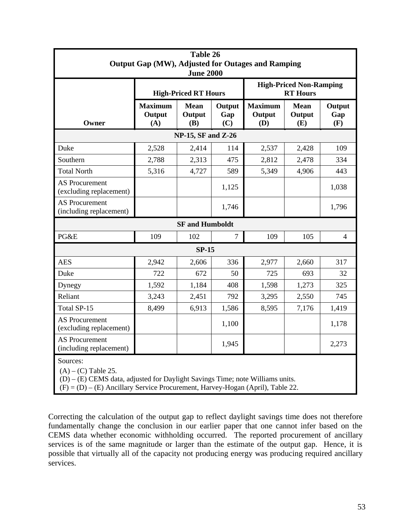|                                                                                                                      | Table 26<br><b>Output Gap (MW), Adjusted for Outages and Ramping</b><br><b>June 2000</b> |                              |                      |                                 |                                                   |                      |  |  |  |  |  |
|----------------------------------------------------------------------------------------------------------------------|------------------------------------------------------------------------------------------|------------------------------|----------------------|---------------------------------|---------------------------------------------------|----------------------|--|--|--|--|--|
|                                                                                                                      |                                                                                          | <b>High-Priced RT Hours</b>  |                      |                                 | <b>High-Priced Non-Ramping</b><br><b>RT</b> Hours |                      |  |  |  |  |  |
| Owner                                                                                                                | <b>Maximum</b><br>Output<br>(A)                                                          | <b>Mean</b><br>Output<br>(B) | Output<br>Gap<br>(C) | <b>Maximum</b><br>Output<br>(D) | <b>Mean</b><br>Output<br>(E)                      | Output<br>Gap<br>(F) |  |  |  |  |  |
| <b>NP-15, SF and Z-26</b>                                                                                            |                                                                                          |                              |                      |                                 |                                                   |                      |  |  |  |  |  |
| Duke                                                                                                                 | 2,528                                                                                    | 2,414                        | 114                  | 2,537                           | 2,428                                             | 109                  |  |  |  |  |  |
| Southern                                                                                                             | 2,788                                                                                    | 2,313                        | 475                  | 2,812                           | 2,478                                             | 334                  |  |  |  |  |  |
| <b>Total North</b>                                                                                                   | 5,316                                                                                    | 4,727                        | 589                  | 5,349                           | 4,906                                             | 443                  |  |  |  |  |  |
| <b>AS Procurement</b><br>(excluding replacement)                                                                     |                                                                                          |                              | 1,125                |                                 |                                                   | 1,038                |  |  |  |  |  |
| <b>AS Procurement</b><br>(including replacement)                                                                     |                                                                                          |                              | 1,746                |                                 |                                                   | 1,796                |  |  |  |  |  |
|                                                                                                                      |                                                                                          | <b>SF</b> and Humboldt       |                      |                                 |                                                   |                      |  |  |  |  |  |
| PG&E                                                                                                                 | 109                                                                                      | 102                          | $\overline{7}$       | 109                             | 105                                               | $\overline{4}$       |  |  |  |  |  |
|                                                                                                                      |                                                                                          | $SP-15$                      |                      |                                 |                                                   |                      |  |  |  |  |  |
| <b>AES</b>                                                                                                           | 2,942                                                                                    | 2,606                        | 336                  | 2,977                           | 2,660                                             | 317                  |  |  |  |  |  |
| Duke                                                                                                                 | 722                                                                                      | 672                          | 50                   | 725                             | 693                                               | 32                   |  |  |  |  |  |
| Dynegy                                                                                                               | 1,592                                                                                    | 1,184                        | 408                  | 1,598                           | 1,273                                             | 325                  |  |  |  |  |  |
| Reliant                                                                                                              | 3,243                                                                                    | 2,451                        | 792                  | 3,295                           | 2,550                                             | 745                  |  |  |  |  |  |
| Total SP-15                                                                                                          | 8,499                                                                                    | 6,913                        | 1,586                | 8,595                           | 7,176                                             | 1,419                |  |  |  |  |  |
| <b>AS Procurement</b><br>(excluding replacement)                                                                     |                                                                                          |                              | 1,100                |                                 |                                                   | 1,178                |  |  |  |  |  |
| <b>AS Procurement</b><br>(including replacement)                                                                     |                                                                                          |                              | 1,945                |                                 |                                                   | 2,273                |  |  |  |  |  |
| Sources:<br>$(A) - (C)$ Table 25.<br>$(D) - (E)$ CEMS data, adjusted for Daylight Savings Time; note Williams units. |                                                                                          |                              |                      |                                 |                                                   |                      |  |  |  |  |  |

 $(F) = (D) - (E)$  Ancillary Service Procurement, Harvey-Hogan (April), Table 22.

Correcting the calculation of the output gap to reflect daylight savings time does not therefore fundamentally change the conclusion in our earlier paper that one cannot infer based on the CEMS data whether economic withholding occurred. The reported procurement of ancillary services is of the same magnitude or larger than the estimate of the output gap. Hence, it is possible that virtually all of the capacity not producing energy was producing required ancillary services.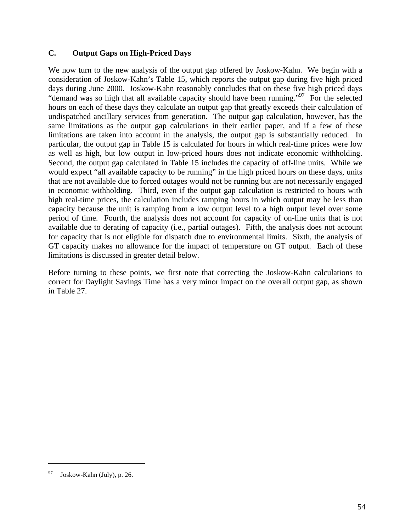#### **C. Output Gaps on High-Priced Days**

We now turn to the new analysis of the output gap offered by Joskow-Kahn. We begin with a consideration of Joskow-Kahn's Table 15, which reports the output gap during five high priced days during June 2000. Joskow-Kahn reasonably concludes that on these five high priced days "demand was so high that all available capacity should have been running."<sup>97</sup> For the selected hours on each of these days they calculate an output gap that greatly exceeds their calculation of undispatched ancillary services from generation. The output gap calculation, however, has the same limitations as the output gap calculations in their earlier paper, and if a few of these limitations are taken into account in the analysis, the output gap is substantially reduced. In particular, the output gap in Table 15 is calculated for hours in which real-time prices were low as well as high, but low output in low-priced hours does not indicate economic withholding. Second, the output gap calculated in Table 15 includes the capacity of off-line units. While we would expect "all available capacity to be running" in the high priced hours on these days, units that are not available due to forced outages would not be running but are not necessarily engaged in economic withholding. Third, even if the output gap calculation is restricted to hours with high real-time prices, the calculation includes ramping hours in which output may be less than capacity because the unit is ramping from a low output level to a high output level over some period of time. Fourth, the analysis does not account for capacity of on-line units that is not available due to derating of capacity (i.e., partial outages). Fifth, the analysis does not account for capacity that is not eligible for dispatch due to environmental limits. Sixth, the analysis of GT capacity makes no allowance for the impact of temperature on GT output. Each of these limitations is discussed in greater detail below.

Before turning to these points, we first note that correcting the Joskow-Kahn calculations to correct for Daylight Savings Time has a very minor impact on the overall output gap, as shown in Table 27.

Joskow-Kahn (July), p. 26.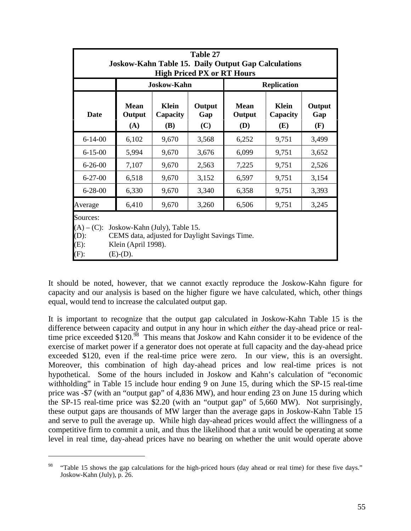|                                                                                                                                                                                     | Table 27<br><b>Joskow-Kahn Table 15. Daily Output Gap Calculations</b><br><b>High Priced PX or RT Hours</b> |                                 |                      |                              |                                 |                      |  |  |  |  |  |
|-------------------------------------------------------------------------------------------------------------------------------------------------------------------------------------|-------------------------------------------------------------------------------------------------------------|---------------------------------|----------------------|------------------------------|---------------------------------|----------------------|--|--|--|--|--|
|                                                                                                                                                                                     |                                                                                                             | <b>Joskow-Kahn</b>              |                      |                              | <b>Replication</b>              |                      |  |  |  |  |  |
| <b>Date</b>                                                                                                                                                                         | <b>Mean</b><br>Output<br>(A)                                                                                | <b>Klein</b><br>Capacity<br>(B) | Output<br>Gap<br>(C) | <b>Mean</b><br>Output<br>(D) | <b>Klein</b><br>Capacity<br>(E) | Output<br>Gap<br>(F) |  |  |  |  |  |
| $6 - 14 - 00$                                                                                                                                                                       | 6,102                                                                                                       | 9,670                           | 3,568                | 6,252                        | 9,751                           | 3,499                |  |  |  |  |  |
| $6 - 15 - 00$                                                                                                                                                                       | 5,994                                                                                                       | 9,670                           | 3,676                | 6,099                        | 9,751                           | 3,652                |  |  |  |  |  |
| $6 - 26 - 00$                                                                                                                                                                       | 7,107                                                                                                       | 9,670                           | 2,563                | 7,225                        | 9,751                           | 2,526                |  |  |  |  |  |
| $6 - 27 - 00$                                                                                                                                                                       | 6,518                                                                                                       | 9,670                           | 3,152                | 6,597                        | 9,751                           | 3,154                |  |  |  |  |  |
| $6 - 28 - 00$                                                                                                                                                                       | 6,330                                                                                                       | 9,670                           | 3,340                | 6,358                        | 9,751                           | 3,393                |  |  |  |  |  |
| Average                                                                                                                                                                             | 6,410                                                                                                       | 9,670                           | 3,260                | 6,506                        | 9,751                           | 3,245                |  |  |  |  |  |
| Sources:<br>$(A) - (C)$ :<br>Joskow-Kahn (July), Table 15.<br>$(D)$ :<br>CEMS data, adjusted for Daylight Savings Time.<br>$(E)$ :<br>Klein (April 1998).<br>$(F)$ :<br>$(E)-(D)$ . |                                                                                                             |                                 |                      |                              |                                 |                      |  |  |  |  |  |

It should be noted, however, that we cannot exactly reproduce the Joskow-Kahn figure for capacity and our analysis is based on the higher figure we have calculated, which, other things equal, would tend to increase the calculated output gap.

It is important to recognize that the output gap calculated in Joskow-Kahn Table 15 is the difference between capacity and output in any hour in which *either* the day-ahead price or realtime price exceeded  $$120.<sup>98</sup>$  This means that Joskow and Kahn consider it to be evidence of the exercise of market power if a generator does not operate at full capacity and the day-ahead price exceeded \$120, even if the real-time price were zero. In our view, this is an oversight. Moreover, this combination of high day-ahead prices and low real-time prices is not hypothetical. Some of the hours included in Joskow and Kahn's calculation of "economic withholding" in Table 15 include hour ending 9 on June 15, during which the SP-15 real-time price was -\$7 (with an "output gap" of 4,836 MW), and hour ending 23 on June 15 during which the SP-15 real-time price was \$2.20 (with an "output gap" of 5,660 MW). Not surprisingly, these output gaps are thousands of MW larger than the average gaps in Joskow-Kahn Table 15 and serve to pull the average up. While high day-ahead prices would affect the willingness of a competitive firm to commit a unit, and thus the likelihood that a unit would be operating at some level in real time, day-ahead prices have no bearing on whether the unit would operate above

<u>.</u>

<sup>98</sup> "Table 15 shows the gap calculations for the high-priced hours (day ahead or real time) for these five days." Joskow-Kahn (July), p. 26.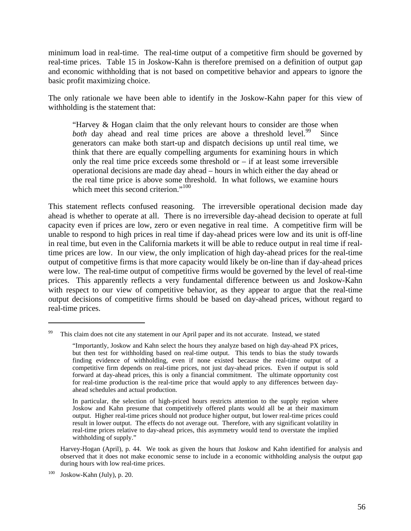minimum load in real-time. The real-time output of a competitive firm should be governed by real-time prices. Table 15 in Joskow-Kahn is therefore premised on a definition of output gap and economic withholding that is not based on competitive behavior and appears to ignore the basic profit maximizing choice.

The only rationale we have been able to identify in the Joskow-Kahn paper for this view of withholding is the statement that:

"Harvey & Hogan claim that the only relevant hours to consider are those when *both* day ahead and real time prices are above a threshold level.<sup>99</sup> Since generators can make both start-up and dispatch decisions up until real time, we think that there are equally compelling arguments for examining hours in which only the real time price exceeds some threshold or  $-$  if at least some irreversible operational decisions are made day ahead – hours in which either the day ahead or the real time price is above some threshold. In what follows, we examine hours which meet this second criterion."<sup>100</sup>

This statement reflects confused reasoning. The irreversible operational decision made day ahead is whether to operate at all. There is no irreversible day-ahead decision to operate at full capacity even if prices are low, zero or even negative in real time. A competitive firm will be unable to respond to high prices in real time if day-ahead prices were low and its unit is off-line in real time, but even in the California markets it will be able to reduce output in real time if realtime prices are low. In our view, the only implication of high day-ahead prices for the real-time output of competitive firms is that more capacity would likely be on-line than if day-ahead prices were low. The real-time output of competitive firms would be governed by the level of real-time prices. This apparently reflects a very fundamental difference between us and Joskow-Kahn with respect to our view of competitive behavior, as they appear to argue that the real-time output decisions of competitive firms should be based on day-ahead prices, without regard to real-time prices.

Harvey-Hogan (April), p. 44. We took as given the hours that Joskow and Kahn identified for analysis and observed that it does not make economic sense to include in a economic withholding analysis the output gap during hours with low real-time prices.

<sup>&</sup>lt;sup>99</sup> This claim does not cite any statement in our April paper and its not accurate. Instead, we stated

<sup>&</sup>quot;Importantly, Joskow and Kahn select the hours they analyze based on high day-ahead PX prices, but then test for withholding based on real-time output. This tends to bias the study towards finding evidence of withholding, even if none existed because the real-time output of a competitive firm depends on real-time prices, not just day-ahead prices. Even if output is sold forward at day-ahead prices, this is only a financial commitment. The ultimate opportunity cost for real-time production is the real-time price that would apply to any differences between dayahead schedules and actual production.

In particular, the selection of high-priced hours restricts attention to the supply region where Joskow and Kahn presume that competitively offered plants would all be at their maximum output. Higher real-time prices should not produce higher output, but lower real-time prices could result in lower output. The effects do not average out. Therefore, with any significant volatility in real-time prices relative to day-ahead prices, this asymmetry would tend to overstate the implied withholding of supply."

 $100$  Joskow-Kahn (July), p. 20.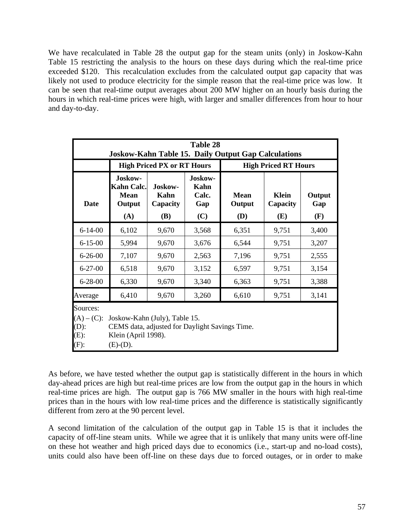We have recalculated in Table 28 the output gap for the steam units (only) in Joskow-Kahn Table 15 restricting the analysis to the hours on these days during which the real-time price exceeded \$120. This recalculation excludes from the calculated output gap capacity that was likely not used to produce electricity for the simple reason that the real-time price was low. It can be seen that real-time output averages about 200 MW higher on an hourly basis during the hours in which real-time prices were high, with larger and smaller differences from hour to hour and day-to-day.

|                                                                                                                                                                                     | <b>Table 28</b><br><b>Joskow-Kahn Table 15. Daily Output Gap Calculations</b> |                                    |                                        |                              |                                 |                      |  |  |  |  |  |  |
|-------------------------------------------------------------------------------------------------------------------------------------------------------------------------------------|-------------------------------------------------------------------------------|------------------------------------|----------------------------------------|------------------------------|---------------------------------|----------------------|--|--|--|--|--|--|
|                                                                                                                                                                                     |                                                                               | <b>High Priced PX or RT Hours</b>  |                                        | <b>High Priced RT Hours</b>  |                                 |                      |  |  |  |  |  |  |
| <b>Date</b>                                                                                                                                                                         | Joskow-<br>Kahn Calc.<br><b>Mean</b><br>Output<br>(A)                         | Joskow-<br>Kahn<br>Capacity<br>(B) | Joskow-<br>Kahn<br>Calc.<br>Gap<br>(C) | <b>Mean</b><br>Output<br>(D) | <b>Klein</b><br>Capacity<br>(E) | Output<br>Gap<br>(F) |  |  |  |  |  |  |
| $6 - 14 - 00$                                                                                                                                                                       | 6,102<br>9,670<br>3,568<br>6,351<br>9,751<br>3,400                            |                                    |                                        |                              |                                 |                      |  |  |  |  |  |  |
| $6 - 15 - 00$                                                                                                                                                                       | 5,994                                                                         | 9,670                              | 3,676                                  | 6,544                        | 9,751                           | 3,207                |  |  |  |  |  |  |
| $6 - 26 - 00$                                                                                                                                                                       | 7,107                                                                         | 9,670                              | 2,563                                  | 7,196                        | 9,751                           | 2,555                |  |  |  |  |  |  |
| $6 - 27 - 00$                                                                                                                                                                       | 6,518                                                                         | 9,670                              | 3,152                                  | 6,597                        | 9,751                           | 3,154                |  |  |  |  |  |  |
| $6 - 28 - 00$                                                                                                                                                                       | 6,330                                                                         | 9,670                              | 3,340                                  | 6,363                        | 9,751                           | 3,388                |  |  |  |  |  |  |
| Average                                                                                                                                                                             | 6,410                                                                         | 9,670                              | 3,260                                  | 6,610                        | 9,751                           | 3,141                |  |  |  |  |  |  |
| Sources:<br>$(A) - (C)$ :<br>Joskow-Kahn (July), Table 15.<br>$(D)$ :<br>CEMS data, adjusted for Daylight Savings Time.<br>$(E)$ :<br>Klein (April 1998).<br>$(F)$ :<br>$(E)-(D)$ . |                                                                               |                                    |                                        |                              |                                 |                      |  |  |  |  |  |  |

As before, we have tested whether the output gap is statistically different in the hours in which day-ahead prices are high but real-time prices are low from the output gap in the hours in which real-time prices are high. The output gap is 766 MW smaller in the hours with high real-time prices than in the hours with low real-time prices and the difference is statistically significantly different from zero at the 90 percent level.

A second limitation of the calculation of the output gap in Table 15 is that it includes the capacity of off-line steam units. While we agree that it is unlikely that many units were off-line on these hot weather and high priced days due to economics (i.e., start-up and no-load costs), units could also have been off-line on these days due to forced outages, or in order to make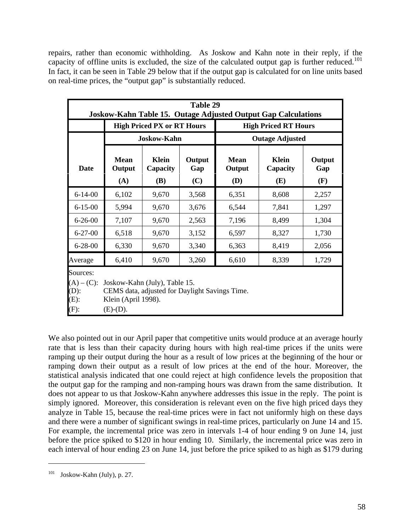repairs, rather than economic withholding. As Joskow and Kahn note in their reply, if the capacity of offline units is excluded, the size of the calculated output gap is further reduced.<sup>101</sup> In fact, it can be seen in Table 29 below that if the output gap is calculated for on line units based on real-time prices, the "output gap" is substantially reduced.

|                                                            |                                                                                                                       |                                        | Table 29<br><b>Joskow-Kahn Table 15. Outage Adjusted Output Gap Calculations</b> |                              |                                 |                      |  |  |  |  |  |  |  |
|------------------------------------------------------------|-----------------------------------------------------------------------------------------------------------------------|----------------------------------------|----------------------------------------------------------------------------------|------------------------------|---------------------------------|----------------------|--|--|--|--|--|--|--|
|                                                            |                                                                                                                       | <b>High Priced PX or RT Hours</b>      |                                                                                  |                              | <b>High Priced RT Hours</b>     |                      |  |  |  |  |  |  |  |
|                                                            |                                                                                                                       | <b>Joskow-Kahn</b>                     |                                                                                  |                              | <b>Outage Adjusted</b>          |                      |  |  |  |  |  |  |  |
| <b>Date</b>                                                | <b>Mean</b><br>Output<br>(A)                                                                                          | <b>Klein</b><br>Capacity<br><b>(B)</b> | Output<br>Gap<br>(C)                                                             | <b>Mean</b><br>Output<br>(D) | <b>Klein</b><br>Capacity<br>(E) | Output<br>Gap<br>(F) |  |  |  |  |  |  |  |
| $6 - 14 - 00$                                              | 6,102                                                                                                                 | 9,670                                  | 3,568                                                                            | 6,351                        | 8,608                           | 2,257                |  |  |  |  |  |  |  |
| $6 - 15 - 00$                                              | 5,994                                                                                                                 | 9,670                                  | 3,676                                                                            | 6,544                        | 7,841                           | 1,297                |  |  |  |  |  |  |  |
| $6 - 26 - 00$                                              | 7,107                                                                                                                 | 9,670                                  | 2,563                                                                            | 7,196                        | 8,499                           | 1,304                |  |  |  |  |  |  |  |
| $6 - 27 - 00$                                              | 6,518                                                                                                                 | 9,670                                  | 3,152                                                                            | 6,597                        | 8,327                           | 1,730                |  |  |  |  |  |  |  |
| $6 - 28 - 00$                                              | 6,330                                                                                                                 | 9,670                                  | 3,340                                                                            | 6,363                        | 8,419                           | 2,056                |  |  |  |  |  |  |  |
| Average                                                    | 6,410                                                                                                                 | 9,670                                  | 3,260                                                                            | 6,610                        | 8,339                           | 1,729                |  |  |  |  |  |  |  |
| Sources:<br>$(A) - (C)$ :<br>$(D)$ :<br>$(E)$ :<br>$(F)$ : | Joskow-Kahn (July), Table 15.<br>CEMS data, adjusted for Daylight Savings Time.<br>Klein (April 1998).<br>$(E)-(D)$ . |                                        |                                                                                  |                              |                                 |                      |  |  |  |  |  |  |  |

We also pointed out in our April paper that competitive units would produce at an average hourly rate that is less than their capacity during hours with high real-time prices if the units were ramping up their output during the hour as a result of low prices at the beginning of the hour or ramping down their output as a result of low prices at the end of the hour. Moreover, the statistical analysis indicated that one could reject at high confidence levels the proposition that the output gap for the ramping and non-ramping hours was drawn from the same distribution. It does not appear to us that Joskow-Kahn anywhere addresses this issue in the reply. The point is simply ignored. Moreover, this consideration is relevant even on the five high priced days they analyze in Table 15, because the real-time prices were in fact not uniformly high on these days and there were a number of significant swings in real-time prices, particularly on June 14 and 15. For example, the incremental price was zero in intervals 1-4 of hour ending 9 on June 14, just before the price spiked to \$120 in hour ending 10. Similarly, the incremental price was zero in each interval of hour ending 23 on June 14, just before the price spiked to as high as \$179 during

 $101$  Joskow-Kahn (July), p. 27.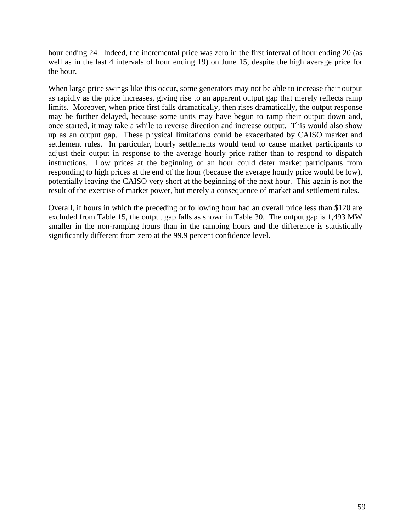hour ending 24. Indeed, the incremental price was zero in the first interval of hour ending 20 (as well as in the last 4 intervals of hour ending 19) on June 15, despite the high average price for the hour.

When large price swings like this occur, some generators may not be able to increase their output as rapidly as the price increases, giving rise to an apparent output gap that merely reflects ramp limits. Moreover, when price first falls dramatically, then rises dramatically, the output response may be further delayed, because some units may have begun to ramp their output down and, once started, it may take a while to reverse direction and increase output. This would also show up as an output gap. These physical limitations could be exacerbated by CAISO market and settlement rules. In particular, hourly settlements would tend to cause market participants to adjust their output in response to the average hourly price rather than to respond to dispatch instructions. Low prices at the beginning of an hour could deter market participants from responding to high prices at the end of the hour (because the average hourly price would be low), potentially leaving the CAISO very short at the beginning of the next hour. This again is not the result of the exercise of market power, but merely a consequence of market and settlement rules.

Overall, if hours in which the preceding or following hour had an overall price less than \$120 are excluded from Table 15, the output gap falls as shown in Table 30. The output gap is 1,493 MW smaller in the non-ramping hours than in the ramping hours and the difference is statistically significantly different from zero at the 99.9 percent confidence level.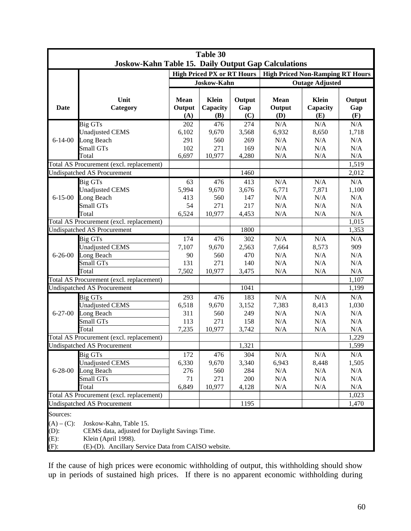|                                                |                                                                                                                                                        |                              | Table 30                                                |                      |                              |                                                                   |                      |  |  |
|------------------------------------------------|--------------------------------------------------------------------------------------------------------------------------------------------------------|------------------------------|---------------------------------------------------------|----------------------|------------------------------|-------------------------------------------------------------------|----------------------|--|--|
|                                                | Joskow-Kahn Table 15. Daily Output Gap Calculations                                                                                                    |                              |                                                         |                      |                              |                                                                   |                      |  |  |
|                                                |                                                                                                                                                        |                              | <b>High Priced PX or RT Hours</b><br><b>Joskow-Kahn</b> |                      |                              | <b>High Priced Non-Ramping RT Hours</b><br><b>Outage Adjusted</b> |                      |  |  |
|                                                |                                                                                                                                                        |                              |                                                         |                      |                              |                                                                   |                      |  |  |
| Date                                           | Unit<br>Category                                                                                                                                       | <b>Mean</b><br>Output<br>(A) | <b>Klein</b><br>Capacity<br>(B)                         | Output<br>Gap<br>(C) | <b>Mean</b><br>Output<br>(D) | Klein<br>Capacity<br>(E)                                          | Output<br>Gap<br>(F) |  |  |
|                                                | <b>Big GTs</b>                                                                                                                                         | 202                          | 476                                                     | 274                  | N/A                          | N/A                                                               | N/A                  |  |  |
|                                                | <b>Unadjusted CEMS</b>                                                                                                                                 | 6,102                        | 9,670                                                   | 3,568                | 6,932                        | 8,650                                                             | 1,718                |  |  |
| $6 - 14 - 00$                                  | Long Beach                                                                                                                                             | 291                          | 560                                                     | 269                  | N/A                          | N/A                                                               | N/A                  |  |  |
|                                                | Small GTs                                                                                                                                              | 102                          | 271                                                     | 169                  | N/A                          | N/A                                                               | N/A                  |  |  |
|                                                | Total                                                                                                                                                  | 6,697                        | 10,977                                                  | 4,280                | N/A                          | N/A                                                               | N/A                  |  |  |
|                                                | Total AS Procurement (excl. replacement)                                                                                                               |                              |                                                         |                      |                              |                                                                   | 1,519                |  |  |
|                                                | <b>Undispatched AS Procurement</b>                                                                                                                     |                              |                                                         | 1460                 |                              |                                                                   | 2,012                |  |  |
|                                                | Big GTs                                                                                                                                                | 63                           | 476                                                     | 413                  | N/A                          | N/A                                                               | N/A                  |  |  |
|                                                | <b>Unadjusted CEMS</b>                                                                                                                                 | 5,994                        | 9,670                                                   | 3,676                | 6,771                        | 7,871                                                             | 1,100                |  |  |
| $6 - 15 - 00$                                  | Long Beach                                                                                                                                             | 413                          | 560                                                     | 147                  | N/A                          | N/A                                                               | N/A                  |  |  |
|                                                | Small GTs                                                                                                                                              | 54                           | 271                                                     | 217                  | N/A                          | N/A                                                               | N/A                  |  |  |
|                                                | Total<br>Total AS Procurement (excl. replacement)                                                                                                      | 6,524                        | 10,977                                                  | 4,453                | N/A                          | N/A                                                               | N/A<br>1,015         |  |  |
|                                                | <b>Undispatched AS Procurement</b>                                                                                                                     |                              |                                                         | 1800                 |                              |                                                                   | 1,353                |  |  |
|                                                | Big GTs                                                                                                                                                | 174                          | 476                                                     | 302                  | N/A                          | N/A                                                               | N/A                  |  |  |
|                                                | <b>Unadjusted CEMS</b>                                                                                                                                 | 7,107                        | 9,670                                                   | 2,563                | 7,664                        | 8,573                                                             | 909                  |  |  |
| $6 - 26 - 00$                                  | Long Beach                                                                                                                                             | 90                           | 560                                                     | 470                  | N/A                          | N/A                                                               | N/A                  |  |  |
|                                                | Small GTs                                                                                                                                              | 131                          | 271                                                     | 140                  | N/A                          | N/A                                                               | N/A                  |  |  |
|                                                | Total                                                                                                                                                  | 7,502                        | 10,977                                                  | 3,475                | N/A                          | N/A                                                               | N/A                  |  |  |
|                                                | Total AS Procurement (excl. replacement)                                                                                                               |                              |                                                         |                      |                              |                                                                   | 1,107                |  |  |
|                                                | <b>Undispatched AS Procurement</b>                                                                                                                     |                              |                                                         | 1041                 |                              |                                                                   | 1,199                |  |  |
|                                                | Big GTs                                                                                                                                                | 293                          | 476                                                     | 183                  | N/A                          | N/A                                                               | N/A                  |  |  |
|                                                | <b>Unadjusted CEMS</b>                                                                                                                                 | 6,518                        | 9,670                                                   | 3,152                | 7,383                        | 8,413                                                             | 1,030                |  |  |
| $6 - 27 - 00$                                  | Long Beach                                                                                                                                             | 311                          | 560                                                     | 249                  | N/A                          | N/A                                                               | N/A                  |  |  |
|                                                | Small GTs                                                                                                                                              | 113                          | 271                                                     | 158                  | N/A                          | N/A                                                               | N/A                  |  |  |
|                                                | Total                                                                                                                                                  | 7,235                        | 10,977                                                  | 3,742                | N/A                          | N/A                                                               | N/A                  |  |  |
|                                                | Total AS Procurement (excl. replacement)                                                                                                               |                              |                                                         |                      |                              |                                                                   | 1,229                |  |  |
|                                                | <b>Undispatched AS Procurement</b>                                                                                                                     |                              |                                                         | 1,321                |                              |                                                                   | 1,599                |  |  |
|                                                | Big GTs                                                                                                                                                | 172                          | 476                                                     | 304                  | N/A                          | N/A                                                               | N/A                  |  |  |
|                                                | Unadjusted CEMS                                                                                                                                        | 6,330                        | 9,670                                                   | 3,340                | 6,943                        | 8,448                                                             | 1,505                |  |  |
| $6 - 28 - 00$                                  | Long Beach                                                                                                                                             | 276                          | 560                                                     | 284                  | N/A                          | N/A                                                               | N/A                  |  |  |
|                                                | Small GTs                                                                                                                                              | 71                           | 271                                                     | 200                  | N/A                          | N/A                                                               | N/A                  |  |  |
|                                                | Total                                                                                                                                                  | 6,849                        | 10,977                                                  | 4,128                | N/A                          | N/A                                                               | N/A                  |  |  |
|                                                | Total AS Procurement (excl. replacement)                                                                                                               |                              |                                                         |                      |                              |                                                                   | 1,023                |  |  |
|                                                | <b>Undispatched AS Procurement</b>                                                                                                                     |                              |                                                         | 1195                 |                              |                                                                   | 1,470                |  |  |
| Sources:                                       |                                                                                                                                                        |                              |                                                         |                      |                              |                                                                   |                      |  |  |
| $(A) - (C)$ :<br>$(D)$ :<br>$(E)$ :<br>$(F)$ : | Joskow-Kahn, Table 15.<br>CEMS data, adjusted for Daylight Savings Time.<br>Klein (April 1998).<br>(E)-(D). Ancillary Service Data from CAISO website. |                              |                                                         |                      |                              |                                                                   |                      |  |  |
|                                                |                                                                                                                                                        |                              |                                                         |                      |                              |                                                                   |                      |  |  |

If the cause of high prices were economic withholding of output, this withholding should show up in periods of sustained high prices. If there is no apparent economic withholding during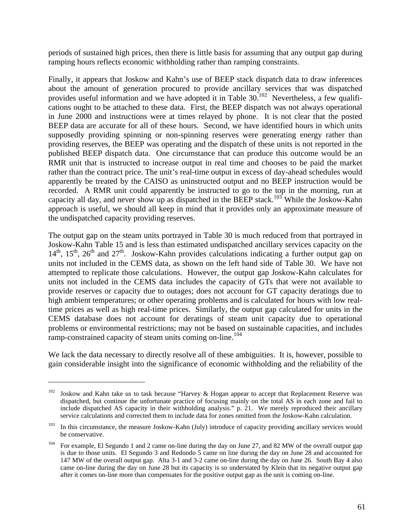periods of sustained high prices, then there is little basis for assuming that any output gap during ramping hours reflects economic withholding rather than ramping constraints.

Finally, it appears that Joskow and Kahn's use of BEEP stack dispatch data to draw inferences about the amount of generation procured to provide ancillary services that was dispatched provides useful information and we have adopted it in Table  $30^{102}$  Nevertheless, a few qualifications ought to be attached to these data. First, the BEEP dispatch was not always operational in June 2000 and instructions were at times relayed by phone. It is not clear that the posted BEEP data are accurate for all of these hours. Second, we have identified hours in which units supposedly providing spinning or non-spinning reserves were generating energy rather than providing reserves, the BEEP was operating and the dispatch of these units is not reported in the published BEEP dispatch data. One circumstance that can produce this outcome would be an RMR unit that is instructed to increase output in real time and chooses to be paid the market rather than the contract price. The unit's real-time output in excess of day-ahead schedules would apparently be treated by the CAISO as uninstructed output and no BEEP instruction would be recorded. A RMR unit could apparently be instructed to go to the top in the morning, run at capacity all day, and never show up as dispatched in the BEEP stack.<sup>103</sup> While the Joskow-Kahn approach is useful, we should all keep in mind that it provides only an approximate measure of the undispatched capacity providing reserves.

The output gap on the steam units portrayed in Table 30 is much reduced from that portrayed in Joskow-Kahn Table 15 and is less than estimated undispatched ancillary services capacity on the  $14<sup>th</sup>$ ,  $15<sup>th</sup>$ ,  $26<sup>th</sup>$  and  $27<sup>th</sup>$ . Joskow-Kahn provides calculations indicating a further output gap on units not included in the CEMS data, as shown on the left hand side of Table 30. We have not attempted to replicate those calculations. However, the output gap Joskow-Kahn calculates for units not included in the CEMS data includes the capacity of GTs that were not available to provide reserves or capacity due to outages; does not account for GT capacity deratings due to high ambient temperatures; or other operating problems and is calculated for hours with low realtime prices as well as high real-time prices. Similarly, the output gap calculated for units in the CEMS database does not account for deratings of steam unit capacity due to operational problems or environmental restrictions; may not be based on sustainable capacities, and includes ramp-constrained capacity of steam units coming on-line.<sup>104</sup>

We lack the data necessary to directly resolve all of these ambiguities. It is, however, possible to gain considerable insight into the significance of economic withholding and the reliability of the

1

 $102$  Joskow and Kahn take us to task because "Harvey & Hogan appear to accept that Replacement Reserve was dispatched, but continue the unfortunate practice of focusing mainly on the total AS in each zone and fail to include dispatched AS capacity in their withholding analysis." p. 21. We merely reproduced their ancillary service calculations and corrected them to include data for zones omitted from the Joskow-Kahn calculation.

<sup>&</sup>lt;sup>103</sup> In this circumstance, the measure Joskow-Kahn (July) introduce of capacity providing ancillary services would be conservative.

<sup>&</sup>lt;sup>104</sup> For example, El Segundo 1 and 2 came on-line during the day on June 27, and 82 MW of the overall output gap is due to those units. El Segundo 3 and Redondo 5 came on line during the day on June 28 and accounted for 147 MW of the overall output gap. Alta 3-1 and 3-2 came on-line during the day on June 26. South Bay 4 also came on-line during the day on June 28 but its capacity is so understated by Klein that its negative output gap after it comes on-line more than compensates for the positive output gap as the unit is coming on-line.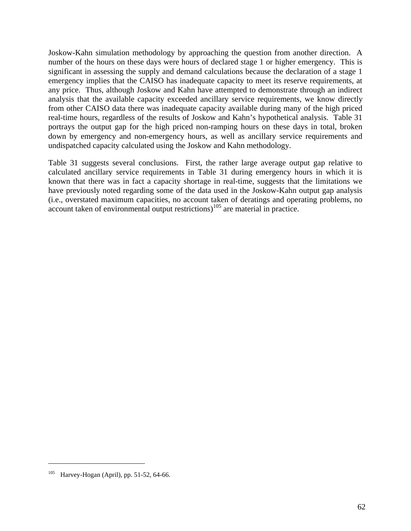Joskow-Kahn simulation methodology by approaching the question from another direction. A number of the hours on these days were hours of declared stage 1 or higher emergency. This is significant in assessing the supply and demand calculations because the declaration of a stage 1 emergency implies that the CAISO has inadequate capacity to meet its reserve requirements, at any price. Thus, although Joskow and Kahn have attempted to demonstrate through an indirect analysis that the available capacity exceeded ancillary service requirements, we know directly from other CAISO data there was inadequate capacity available during many of the high priced real-time hours, regardless of the results of Joskow and Kahn's hypothetical analysis. Table 31 portrays the output gap for the high priced non-ramping hours on these days in total, broken down by emergency and non-emergency hours, as well as ancillary service requirements and undispatched capacity calculated using the Joskow and Kahn methodology.

Table 31 suggests several conclusions. First, the rather large average output gap relative to calculated ancillary service requirements in Table 31 during emergency hours in which it is known that there was in fact a capacity shortage in real-time, suggests that the limitations we have previously noted regarding some of the data used in the Joskow-Kahn output gap analysis (i.e., overstated maximum capacities, no account taken of deratings and operating problems, no  $\alpha$  account taken of environmental output restrictions)<sup>105</sup> are material in practice.

Harvey-Hogan (April), pp. 51-52, 64-66.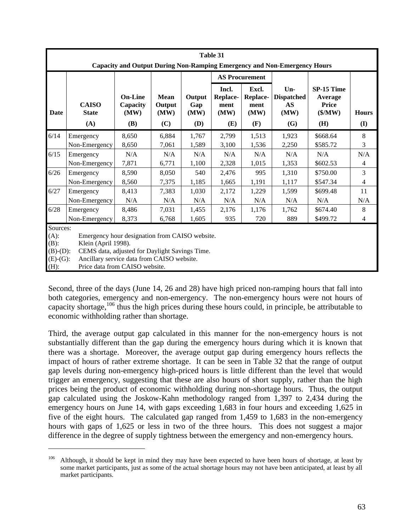|                               | Table 31                                                                                                                                                                                                                                          |                                                  |                               |                                     |                                          |                                                 |                                                             |                                                          |                     |  |  |  |
|-------------------------------|---------------------------------------------------------------------------------------------------------------------------------------------------------------------------------------------------------------------------------------------------|--------------------------------------------------|-------------------------------|-------------------------------------|------------------------------------------|-------------------------------------------------|-------------------------------------------------------------|----------------------------------------------------------|---------------------|--|--|--|
|                               | Capacity and Output During Non-Ramping Emergency and Non-Emergency Hours                                                                                                                                                                          |                                                  |                               |                                     |                                          |                                                 |                                                             |                                                          |                     |  |  |  |
|                               |                                                                                                                                                                                                                                                   |                                                  |                               |                                     | <b>AS Procurement</b>                    |                                                 |                                                             |                                                          |                     |  |  |  |
| Date                          | <b>CAISO</b><br><b>State</b><br>(A)                                                                                                                                                                                                               | <b>On-Line</b><br>Capacity<br>(MW)<br><b>(B)</b> | Mean<br>Output<br>(MW)<br>(C) | Output<br>Gap<br>(MW)<br><b>(D)</b> | Incl.<br>Replace-<br>ment<br>(MW)<br>(E) | Excl.<br><b>Replace-</b><br>ment<br>(MW)<br>(F) | Un-<br><b>Dispatched</b><br><b>AS</b><br>(MW)<br><b>(G)</b> | SP-15 Time<br>Average<br>Price<br>$(\frac{M}{W})$<br>(H) | <b>Hours</b><br>(I) |  |  |  |
| 6/14                          | Emergency                                                                                                                                                                                                                                         | 8,650                                            | 6,884                         | 1,767                               | 2,799                                    | 1,513                                           | 1,923                                                       | \$668.64                                                 | 8                   |  |  |  |
|                               | Non-Emergency                                                                                                                                                                                                                                     | 8,650                                            | 7,061                         | 1,589                               | 3,100                                    | 1,536                                           | 2,250                                                       | \$585.72                                                 | 3                   |  |  |  |
| $6/15$                        | Emergency                                                                                                                                                                                                                                         | N/A                                              | N/A                           | N/A                                 | N/A                                      | N/A                                             | N/A                                                         | N/A                                                      | N/A                 |  |  |  |
|                               | Non-Emergency                                                                                                                                                                                                                                     | 7,871                                            | 6,771                         | 1,100                               | 2,328                                    | 1,015                                           | 1,353                                                       | \$602.53                                                 | $\overline{4}$      |  |  |  |
| 6/26                          | Emergency                                                                                                                                                                                                                                         | 8,590                                            | 8,050                         | 540                                 | 2,476                                    | 995                                             | 1,310                                                       | \$750.00                                                 | 3                   |  |  |  |
|                               | Non-Emergency                                                                                                                                                                                                                                     | 8,560                                            | 7,375                         | 1,185                               | 1,665                                    | 1,191                                           | 1,117                                                       | \$547.34                                                 | $\overline{4}$      |  |  |  |
| 6/27                          | Emergency                                                                                                                                                                                                                                         | 8,413                                            | 7,383                         | 1,030                               | 2,172                                    | 1,229                                           | 1,599                                                       | \$699.48                                                 | 11                  |  |  |  |
|                               | Non-Emergency                                                                                                                                                                                                                                     | N/A                                              | N/A                           | N/A                                 | N/A                                      | N/A                                             | N/A                                                         | N/A                                                      | N/A                 |  |  |  |
| 6/28                          | Emergency                                                                                                                                                                                                                                         | 8,486                                            | 7,031                         | 1,455                               | 2,176                                    | 1,176                                           | 1,762                                                       | \$674.40                                                 | 8                   |  |  |  |
|                               | Non-Emergency                                                                                                                                                                                                                                     | 8,373                                            | 6,768                         | 1,605                               | 935                                      | 720                                             | 889                                                         | \$499.72                                                 | $\overline{4}$      |  |  |  |
| $(A)$ :<br>$(B)$ :<br>$(H)$ : | Sources:<br>Emergency hour designation from CAISO website.<br>Klein (April 1998).<br>$(B)-(D)$ :<br>CEMS data, adjusted for Daylight Savings Time.<br>Ancillary service data from CAISO website.<br>$(E)-(G)$ :<br>Price data from CAISO website. |                                                  |                               |                                     |                                          |                                                 |                                                             |                                                          |                     |  |  |  |

Second, three of the days (June 14, 26 and 28) have high priced non-ramping hours that fall into both categories, emergency and non-emergency. The non-emergency hours were not hours of capacity shortage,<sup>106</sup> thus the high prices during these hours could, in principle, be attributable to economic withholding rather than shortage.

Third, the average output gap calculated in this manner for the non-emergency hours is not substantially different than the gap during the emergency hours during which it is known that there was a shortage. Moreover, the average output gap during emergency hours reflects the impact of hours of rather extreme shortage. It can be seen in Table 32 that the range of output gap levels during non-emergency high-priced hours is little different than the level that would trigger an emergency, suggesting that these are also hours of short supply, rather than the high prices being the product of economic withholding during non-shortage hours. Thus, the output gap calculated using the Joskow-Kahn methodology ranged from 1,397 to 2,434 during the emergency hours on June 14, with gaps exceeding 1,683 in four hours and exceeding 1,625 in five of the eight hours. The calculated gap ranged from 1,459 to 1,683 in the non-emergency hours with gaps of 1,625 or less in two of the three hours. This does not suggest a major difference in the degree of supply tightness between the emergency and non-emergency hours.

<sup>&</sup>lt;sup>106</sup> Although, it should be kept in mind they may have been expected to have been hours of shortage, at least by some market participants, just as some of the actual shortage hours may not have been anticipated, at least by all market participants.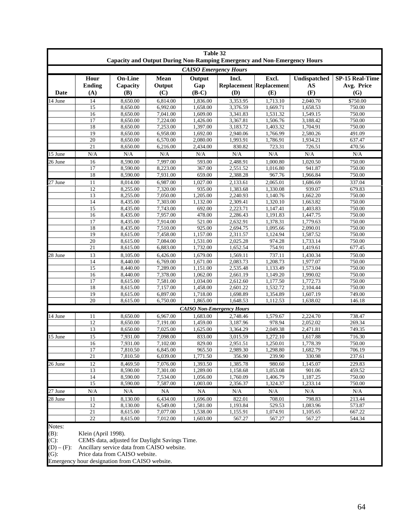|                      |                              | Capacity and Output During Non-Ramping Emergency and Non-Emergency Hours |                       | Table 32                         |                       |                                                |                           |                                             |
|----------------------|------------------------------|--------------------------------------------------------------------------|-----------------------|----------------------------------|-----------------------|------------------------------------------------|---------------------------|---------------------------------------------|
|                      |                              |                                                                          |                       | <b>CAISO Emergency Hours</b>     |                       |                                                |                           |                                             |
| Date                 | Hour<br><b>Ending</b><br>(A) | <b>On-Line</b><br>Capacity<br>(B)                                        | Mean<br>Output<br>(C) | Output<br>Gap<br>$(B-C)$         | Incl.<br>(D)          | Excl.<br><b>Replacement Replacement</b><br>(E) | Undispatched<br>AS<br>(F) | <b>SP-15 Real-Time</b><br>Avg. Price<br>(G) |
| 14 June              | 14                           | 8,650.00                                                                 | 6,814.00              | 1,836.00                         | 3,353.95              | 1,713.10                                       | 2,040.70                  | \$750.00                                    |
|                      | 15                           | 8,650.00                                                                 | 6,992.00              | 1,658.00                         | 3,376.59              | 1,669.71                                       | 1,658.53                  | 750.00                                      |
|                      | 16                           | 8,650.00                                                                 | 7,041.00              | 1,609.00                         | 3,341.83              | 1,531.32                                       | 1,549.15                  | 750.00                                      |
|                      | 17                           | 8,650.00                                                                 | 7,224.00              | 1,426.00                         | 3,367.81              | 1.506.76                                       | 3,188.42                  | 750.00                                      |
|                      | 18                           | 8,650.00                                                                 | 7,253.00              | 1.397.00                         | 3.183.72              | 1,403.32                                       | 1,704.91                  | 750.00                                      |
|                      | 19                           | 8,650.00                                                                 | 6,958.00              | 1,692.00                         | 2,940.06              | 1,766.99                                       | 2.580.26                  | 491.09                                      |
|                      | 20                           | 8,650.00                                                                 | 6,570.00              | 2,080.00                         | 1,993.91              | 1,786.91                                       | 1,934.21                  | 637.47                                      |
|                      | 21                           | 8,650.00                                                                 | 6,216.00              | 2,434.00                         | 830.82                | 723.31                                         | 726.51                    | 470.56                                      |
| 15 June              | N/A                          | N/A                                                                      | N/A                   | N/A                              | N/A                   | N/A                                            | N/A                       | N/A                                         |
| 26 June              | 16                           | 8.590.00                                                                 | 7,997.00              | 593.00                           | 2,488.91              | 1.000.80                                       | 1,020.50                  | 750.00                                      |
|                      | 17                           | 8,590.00                                                                 | 8,223.00              | 367.00                           | 2,551.52              | 1,016.80                                       | 941.87                    | 750.00                                      |
|                      | 18                           | 8,590.00                                                                 | 7,931.00              | 659.00                           | 2,388.28              | 967.76                                         | 1,966.84                  | 750.00                                      |
| 27 June              | 11                           | 8,014.00                                                                 | 6,987.00              | 1.027.00                         | 2,133.61              | 2,065.01                                       | 1,686.69                  | 337.04                                      |
|                      | 12                           | 8,255.00                                                                 | 7,320.00              | 935.00                           | 1,383.68              | 1,330.08                                       | 939.07                    | 679.83                                      |
|                      | 13                           | 8,255.00                                                                 | 7,050.00              | 1,205.00                         | 2,240.93              | 1,140.76                                       | 1,662.20                  | 750.00                                      |
|                      | 14                           | 8,435.00                                                                 | 7,303.00              | 1,132.00                         | 2,309.41              | 1,320.10                                       | 1,663.82                  | 750.00                                      |
|                      | 15                           | 8,435.00                                                                 | 7,743.00              | 692.00                           | 2,223.71              | 1,147.41                                       | 1,403.83                  | 750.00                                      |
|                      | 16                           | 8,435.00                                                                 | 7,957.00              | 478.00                           | 2,286.43              | 1.191.83                                       | 1.447.75                  | 750.00                                      |
|                      | 17                           | 8.435.00                                                                 | 7,914.00              | 521.00                           | 2,632.91              | 1,378.31                                       | 1,779.63                  | 750.00                                      |
|                      | 18                           | 8,435.00                                                                 | 7,510.00              | 925.00                           | 2,694.75              | 1,095.66                                       | 2,090.01                  | 750.00                                      |
|                      | 19                           | 8,615.00                                                                 | 7,458.00              | 1,157.00                         | 2,311.57              | 1.124.94                                       | 1,587.52                  | 750.00                                      |
|                      | 20                           | 8,615.00                                                                 | 7,084.00              | 1.531.00                         | 2,025.28              | 974.28                                         | 1,733.14                  | 750.00                                      |
|                      | 21                           | 8,615.00                                                                 | 6,883.00              | 1,732.00                         | 1,652.54              | 754.91                                         | 1,419.61                  | 677.45                                      |
| 28 June              | 13                           | 8,105.00                                                                 | 6,426.00              | 1,679.00                         | 1,569.11              | 737.11                                         | 1,430.34                  | 750.00                                      |
|                      | 14                           | 8,440.00                                                                 | 6,769.00              | 1,671.00                         | 2,083.73              | 1,208.73                                       | 1,977.07                  | 750.00                                      |
|                      | 15                           | 8,440.00                                                                 | 7,289.00              | 1,151.00                         | 2,535.48              | 1,133.49                                       | 1,573.04                  | 750.00                                      |
|                      | 16                           | 8.440.00                                                                 | 7,378.00              | 1,062.00                         | 2,661.19              | 1.149.20                                       | 1.990.02                  | 750.00                                      |
|                      | 17                           | 8,615.00                                                                 | 7,581.00              | 1,034.00                         | 2,612.60              | 1,177.50                                       | 1,772.73                  | 750.00                                      |
|                      | 18                           | 8,615.00                                                                 | 7,157.00              | 1,458.00                         | 2,601.22              | 1,532.72                                       | 2,104.44                  | 750.00                                      |
|                      | 19                           | 8,615.00                                                                 | 6,897.00              | 1,718.00                         | 1,698.89              | 1,354.89                                       | 1,607.19                  | 749.00                                      |
|                      | 20                           | 8,615.00                                                                 | 6,750.00              | 1,865.00                         | 1,648.53              | 1,112.53                                       | 1,638.02                  | 146.18                                      |
|                      |                              |                                                                          |                       | <b>CAISO Non-Emergency Hours</b> |                       |                                                |                           |                                             |
| 14 June              | 11                           | 8,650.00                                                                 | 6,967.00              | 1,683.00                         | 2,748.46              | 1,579.67                                       | 2,224.70                  | 738.47                                      |
|                      | 12                           | 8,650.00                                                                 | 7,191.00              | 1,459.00                         | 3,187.96              | 978.94                                         | 2.052.02                  | 269.34                                      |
|                      | 13                           | 8,650.00                                                                 | 7,025.00              | 1,625.00                         | 3,364.29              | 2,049.38                                       | 2,471.81                  | 749.35                                      |
| 15 June              | 15                           | 7,931.00                                                                 | 7,098.00              | 833.00                           | 3,015.59              | 1,272.10                                       | 1,617.88                  | 716.30                                      |
|                      | 16                           | 7,931.00                                                                 | 7,102.00              | 829.00                           | $2,951.\overline{51}$ | 1,250.01                                       | 1,778.39                  | 750.00                                      |
|                      | 17                           | 7,810.50                                                                 | 6,845.00              | 965.50                           | 2,989.30              | 1,298.80                                       | 1,682.79                  | 706.19                                      |
|                      | 21                           | 7,810.50                                                                 | 6,039.00              | 1,771.50                         | 356.90                | 239.90                                         | 330.98                    | 237.61                                      |
| 26 June              | 12                           | 8,469.50                                                                 | 7,076.00              | 1,393.50                         | 1,385.78              | 980.60                                         | 1,145.07                  | 229.83                                      |
|                      | 13                           | 8,590.00                                                                 | 7,301.00              | 1,289.00                         | 1,158.68              | 1,053.08                                       | 901.06                    | 459.52                                      |
|                      | 14                           | 8,590.00                                                                 | 7,534.00              | 1,056.00                         | 1,760.09              | 1,406.79                                       | 1,187.25                  | 750.00                                      |
|                      | 15                           | 8,590.00                                                                 | 7,587.00              | 1,003.00                         | 2,356.37              | 1,324.37                                       | 1,233.14                  | 750.00                                      |
| $\overline{27}$ June | N/A                          | N/A                                                                      | NA                    | <b>NA</b>                        | N/A                   | N/A                                            | N/A                       | N/A                                         |
| 28 June              | 11                           | 8,130.00                                                                 | 6,434.00              | 1,696.00                         | 822.01                | 708.01                                         | 798.83                    | 213.44                                      |
|                      | 12                           | 8,130.00                                                                 | 6,549.00              | 1,581.00                         | 1,193.84              | 529.53                                         | 1,083.96                  | 573.87                                      |
|                      | 21                           | 8,615.00                                                                 | 7,077.00              | 1,538.00                         | 1,155.91              | 1,074.91                                       | 1,105.65                  | 667.22                                      |
|                      | $22\,$                       | 8,615.00                                                                 | 7,012.00              | 1,603.00                         | 567.27                | 567.27                                         | 567.27                    | 544.34                                      |
| Notes:<br>$(B)$ :    | Klein (April 1998).          |                                                                          |                       |                                  |                       |                                                |                           |                                             |

(C): CEMS data, adjusted for Daylight Savings Time.

 $(D) - (F)$ : Ancillary service data from CAISO website.

(G): Price data from CAISO website.

Emergency hour designation from CAISO website.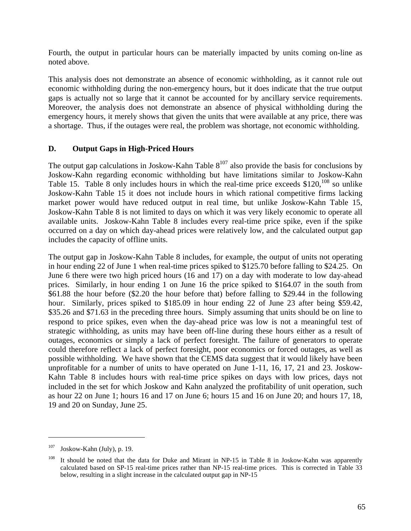Fourth, the output in particular hours can be materially impacted by units coming on-line as noted above.

This analysis does not demonstrate an absence of economic withholding, as it cannot rule out economic withholding during the non-emergency hours, but it does indicate that the true output gaps is actually not so large that it cannot be accounted for by ancillary service requirements. Moreover, the analysis does not demonstrate an absence of physical withholding during the emergency hours, it merely shows that given the units that were available at any price, there was a shortage. Thus, if the outages were real, the problem was shortage, not economic withholding.

#### **D. Output Gaps in High-Priced Hours**

The output gap calculations in Joskow-Kahn Table  $8^{107}$  also provide the basis for conclusions by Joskow-Kahn regarding economic withholding but have limitations similar to Joskow-Kahn Table 15. Table 8 only includes hours in which the real-time price exceeds  $$120,^{108}$  so unlike Joskow-Kahn Table 15 it does not include hours in which rational competitive firms lacking market power would have reduced output in real time, but unlike Joskow-Kahn Table 15, Joskow-Kahn Table 8 is not limited to days on which it was very likely economic to operate all available units. Joskow-Kahn Table 8 includes every real-time price spike, even if the spike occurred on a day on which day-ahead prices were relatively low, and the calculated output gap includes the capacity of offline units.

The output gap in Joskow-Kahn Table 8 includes, for example, the output of units not operating in hour ending 22 of June 1 when real-time prices spiked to \$125.70 before falling to \$24.25. On June 6 there were two high priced hours (16 and 17) on a day with moderate to low day-ahead prices. Similarly, in hour ending 1 on June 16 the price spiked to \$164.07 in the south from \$61.88 the hour before (\$2.20 the hour before that) before falling to \$29.44 in the following hour. Similarly, prices spiked to \$185.09 in hour ending 22 of June 23 after being \$59.42, \$35.26 and \$71.63 in the preceding three hours. Simply assuming that units should be on line to respond to price spikes, even when the day-ahead price was low is not a meaningful test of strategic withholding, as units may have been off-line during these hours either as a result of outages, economics or simply a lack of perfect foresight. The failure of generators to operate could therefore reflect a lack of perfect foresight, poor economics or forced outages, as well as possible withholding. We have shown that the CEMS data suggest that it would likely have been unprofitable for a number of units to have operated on June 1-11, 16, 17, 21 and 23. Joskow-Kahn Table 8 includes hours with real-time price spikes on days with low prices, days not included in the set for which Joskow and Kahn analyzed the profitability of unit operation, such as hour 22 on June 1; hours 16 and 17 on June 6; hours 15 and 16 on June 20; and hours 17, 18, 19 and 20 on Sunday, June 25.

1

 $107$  Joskow-Kahn (July), p. 19.

It should be noted that the data for Duke and Mirant in NP-15 in Table 8 in Joskow-Kahn was apparently calculated based on SP-15 real-time prices rather than NP-15 real-time prices. This is corrected in Table 33 below, resulting in a slight increase in the calculated output gap in NP-15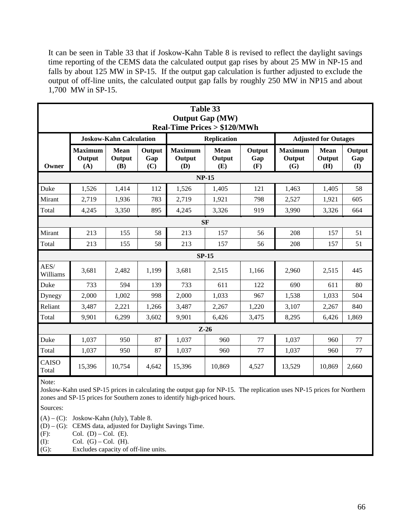It can be seen in Table 33 that if Joskow-Kahn Table 8 is revised to reflect the daylight savings time reporting of the CEMS data the calculated output gap rises by about 25 MW in NP-15 and falls by about 125 MW in SP-15. If the output gap calculation is further adjusted to exclude the output of off-line units, the calculated output gap falls by roughly 250 MW in NP15 and about 1,700 MW in SP-15.

|                  | Table 33<br><b>Output Gap (MW)</b><br><b>Real-Time Prices &gt; \$120/MWh</b> |                                |                      |                                 |                              |                      |                                 |                              |                      |  |  |  |
|------------------|------------------------------------------------------------------------------|--------------------------------|----------------------|---------------------------------|------------------------------|----------------------|---------------------------------|------------------------------|----------------------|--|--|--|
|                  |                                                                              | <b>Joskow-Kahn Calculation</b> |                      |                                 | <b>Replication</b>           |                      |                                 | <b>Adjusted for Outages</b>  |                      |  |  |  |
| Owner            | <b>Maximum</b><br>Output<br>(A)                                              | Mean<br>Output<br>(B)          | Output<br>Gap<br>(C) | <b>Maximum</b><br>Output<br>(D) | <b>Mean</b><br>Output<br>(E) | Output<br>Gap<br>(F) | <b>Maximum</b><br>Output<br>(G) | <b>Mean</b><br>Output<br>(H) | Output<br>Gap<br>(I) |  |  |  |
|                  |                                                                              |                                |                      |                                 | <b>NP-15</b>                 |                      |                                 |                              |                      |  |  |  |
| Duke             | 1,526                                                                        | 1,414                          | 112                  | 1,526                           | 1,405                        | 121                  | 1,463                           | 1,405                        | 58                   |  |  |  |
| Mirant           | 2,719                                                                        | 1,936                          | 783                  | 2,719                           | 1,921                        | 798                  | 2,527                           | 1,921                        | 605                  |  |  |  |
| Total            | 4,245                                                                        | 3,350                          | 895                  | 4,245                           | 3,326                        | 919                  | 3,990                           | 3,326                        | 664                  |  |  |  |
| <b>SF</b>        |                                                                              |                                |                      |                                 |                              |                      |                                 |                              |                      |  |  |  |
| Mirant           | 213                                                                          | 155                            | 58                   | 213                             | 157                          | 56                   | 208                             | 157                          | 51                   |  |  |  |
| Total            | 213                                                                          | 155                            | 58                   | 213                             | 157                          | 56                   | 208                             | 157                          | 51                   |  |  |  |
|                  |                                                                              |                                |                      |                                 | $SP-15$                      |                      |                                 |                              |                      |  |  |  |
| AES/<br>Williams | 3,681                                                                        | 2,482                          | 1,199                | 3,681                           | 2,515                        | 1,166                | 2,960                           | 2,515                        | 445                  |  |  |  |
| Duke             | 733                                                                          | 594                            | 139                  | 733                             | 611                          | 122                  | 690                             | 611                          | 80                   |  |  |  |
| Dynegy           | 2,000                                                                        | 1,002                          | 998                  | 2,000                           | 1,033                        | 967                  | 1,538                           | 1,033                        | 504                  |  |  |  |
| Reliant          | 3,487                                                                        | 2,221                          | 1,266                | 3,487                           | 2,267                        | 1,220                | 3,107                           | 2,267                        | 840                  |  |  |  |
| Total            | 9,901                                                                        | 6,299                          | 3.602                | 9,901                           | 6,426                        | 3.475                | 8,295                           | 6.426                        | 1,869                |  |  |  |
|                  |                                                                              |                                |                      |                                 | $Z-26$                       |                      |                                 |                              |                      |  |  |  |
| Duke             | 1,037                                                                        | 950                            | 87                   | 1,037                           | 960                          | 77                   | 1,037                           | 960                          | 77                   |  |  |  |
| Total            | 1,037                                                                        | 950                            | 87                   | 1,037                           | 960                          | 77                   | 1,037                           | 960                          | 77                   |  |  |  |
| CAISO<br>Total   | 15,396                                                                       | 10,754                         | 4,642                | 15,396                          | 10,869                       | 4,527                | 13,529                          | 10,869                       | 2,660                |  |  |  |

Note:

Joskow-Kahn used SP-15 prices in calculating the output gap for NP-15. The replication uses NP-15 prices for Northern zones and SP-15 prices for Southern zones to identify high-priced hours.

Sources:

 $(A) - (C)$ : Joskow-Kahn (July), Table 8.

(D) – (G): CEMS data, adjusted for Daylight Savings Time.

(F): Col. (D) – Col. (E).

(I): Col.  $(G) - Col.$  (H).

(G): Excludes capacity of off-line units.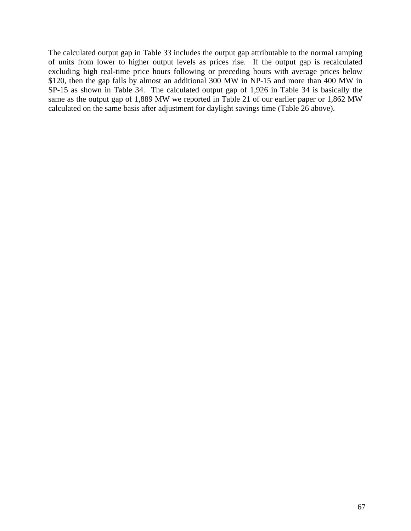The calculated output gap in Table 33 includes the output gap attributable to the normal ramping of units from lower to higher output levels as prices rise. If the output gap is recalculated excluding high real-time price hours following or preceding hours with average prices below \$120, then the gap falls by almost an additional 300 MW in NP-15 and more than 400 MW in SP-15 as shown in Table 34. The calculated output gap of 1,926 in Table 34 is basically the same as the output gap of 1,889 MW we reported in Table 21 of our earlier paper or 1,862 MW calculated on the same basis after adjustment for daylight savings time (Table 26 above).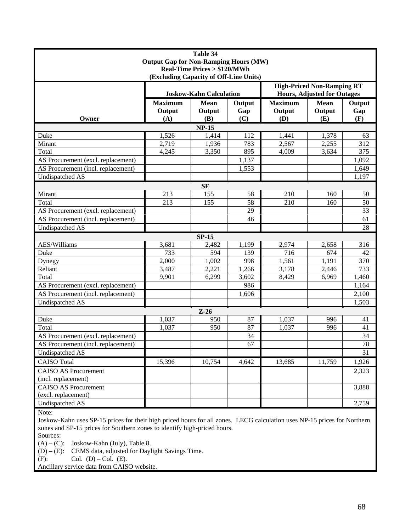| Table 34                                     |                                |             |        |                                                                         |             |        |
|----------------------------------------------|--------------------------------|-------------|--------|-------------------------------------------------------------------------|-------------|--------|
| <b>Output Gap for Non-Ramping Hours (MW)</b> |                                |             |        |                                                                         |             |        |
| <b>Real-Time Prices &gt; \$120/MWh</b>       |                                |             |        |                                                                         |             |        |
| (Excluding Capacity of Off-Line Units)       |                                |             |        |                                                                         |             |        |
|                                              | <b>Joskow-Kahn Calculation</b> |             |        | <b>High-Priced Non-Ramping RT</b><br><b>Hours, Adjusted for Outages</b> |             |        |
|                                              | <b>Maximum</b>                 | <b>Mean</b> | Output | <b>Maximum</b>                                                          | <b>Mean</b> | Output |
|                                              | Output                         | Output      | Gap    | Output                                                                  | Output      | Gap    |
| Owner                                        | (A)                            | (B)         | (C)    | (D)                                                                     | (E)         | (F)    |
| <b>NP-15</b>                                 |                                |             |        |                                                                         |             |        |
| Duke                                         | 1,526                          | 1,414       | 112    | 1,441                                                                   | 1,378       | 63     |
| Mirant                                       | 2,719                          | 1,936       | 783    | 2,567                                                                   | 2,255       | 312    |
| Total                                        | 4,245                          | 3,350       | 895    | 4,009                                                                   | 3,634       | 375    |
| AS Procurement (excl. replacement)           |                                |             | 1,137  |                                                                         |             | 1,092  |
| AS Procurement (incl. replacement)           |                                |             | 1,553  |                                                                         |             | 1,649  |
| Undispatched AS                              |                                |             |        |                                                                         |             | 1,197  |
| <b>SF</b>                                    |                                |             |        |                                                                         |             |        |
| Mirant                                       | 213                            | 155         | 58     | 210                                                                     | 160         | 50     |
| Total                                        | 213                            | 155         | 58     | 210                                                                     | 160         | 50     |
| AS Procurement (excl. replacement)           |                                |             | 29     |                                                                         |             | 33     |
| AS Procurement (incl. replacement)           |                                |             | 46     |                                                                         |             | 61     |
| <b>Undispatched AS</b>                       |                                |             |        |                                                                         |             | 28     |
| $SP-15$                                      |                                |             |        |                                                                         |             |        |
| AES/Williams                                 | 3,681                          | 2,482       | 1,199  | 2,974                                                                   | 2,658       | 316    |
| Duke                                         | 733                            | 594         | 139    | 716                                                                     | 674         | 42     |
| Dynegy                                       | 2,000                          | 1,002       | 998    | 1,561                                                                   | 1,191       | 370    |
| Reliant                                      | 3,487                          | 2,221       | 1,266  | 3,178                                                                   | 2,446       | 733    |
| Total                                        | 9,901                          | 6,299       | 3,602  | 8,429                                                                   | 6,969       | 1,460  |
| AS Procurement (excl. replacement)           |                                |             | 986    |                                                                         |             | 1,164  |
| AS Procurement (incl. replacement)           |                                |             | 1,606  |                                                                         |             | 2,100  |
| Undispatched AS                              |                                |             |        |                                                                         |             | 1,503  |
| $Z-26$                                       |                                |             |        |                                                                         |             |        |
| Duke                                         | 1,037                          | 950         | 87     | 1,037                                                                   | 996         | 41     |
| Total                                        | 1,037                          | 950         | 87     | 1,037                                                                   | 996         | 41     |
| AS Procurement (excl. replacement)           |                                |             | 34     |                                                                         |             | 34     |
| AS Procurement (incl. replacement)           |                                |             | 67     |                                                                         |             | 78     |
| Undispatched AS                              |                                |             |        |                                                                         |             | 31     |
| <b>CAISO</b> Total                           | 15,396                         | 10,754      | 4,642  | 13,685                                                                  | 11,759      | 1,926  |
| <b>CAISO AS Procurement</b>                  |                                |             |        |                                                                         |             | 2,323  |
| (incl. replacement)                          |                                |             |        |                                                                         |             |        |
| <b>CAISO AS Procurement</b>                  |                                |             |        |                                                                         |             | 3,888  |
| (excl. replacement)                          |                                |             |        |                                                                         |             |        |
| Undispatched AS                              |                                |             |        |                                                                         |             | 2,759  |
|                                              |                                |             |        |                                                                         |             |        |

Note:

Joskow-Kahn uses SP-15 prices for their high priced hours for all zones. LECG calculation uses NP-15 prices for Northern zones and SP-15 prices for Southern zones to identify high-priced hours.

Sources:

 $(A) - (C)$ : Joskow-Kahn (July), Table 8.

(D) – (E): CEMS data, adjusted for Daylight Savings Time.

(F): Col.  $(D) - Col.$  (E).

Ancillary service data from CAISO website.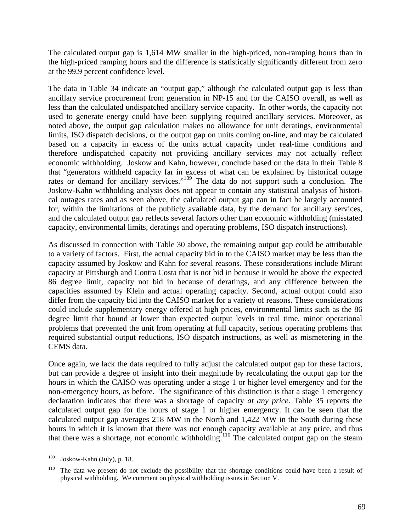The calculated output gap is 1,614 MW smaller in the high-priced, non-ramping hours than in the high-priced ramping hours and the difference is statistically significantly different from zero at the 99.9 percent confidence level.

The data in Table 34 indicate an "output gap," although the calculated output gap is less than ancillary service procurement from generation in NP-15 and for the CAISO overall, as well as less than the calculated undispatched ancillary service capacity. In other words, the capacity not used to generate energy could have been supplying required ancillary services. Moreover, as noted above, the output gap calculation makes no allowance for unit deratings, environmental limits, ISO dispatch decisions, or the output gap on units coming on-line, and may be calculated based on a capacity in excess of the units actual capacity under real-time conditions and therefore undispatched capacity not providing ancillary services may not actually reflect economic withholding. Joskow and Kahn, however, conclude based on the data in their Table 8 that "generators withheld capacity far in excess of what can be explained by historical outage rates or demand for ancillary services."<sup>109</sup> The data do not support such a conclusion. The Joskow-Kahn withholding analysis does not appear to contain any statistical analysis of historical outages rates and as seen above, the calculated output gap can in fact be largely accounted for, within the limitations of the publicly available data, by the demand for ancillary services, and the calculated output gap reflects several factors other than economic withholding (misstated capacity, environmental limits, deratings and operating problems, ISO dispatch instructions).

As discussed in connection with Table 30 above, the remaining output gap could be attributable to a variety of factors. First, the actual capacity bid in to the CAISO market may be less than the capacity assumed by Joskow and Kahn for several reasons. These considerations include Mirant capacity at Pittsburgh and Contra Costa that is not bid in because it would be above the expected 86 degree limit, capacity not bid in because of deratings, and any difference between the capacities assumed by Klein and actual operating capacity. Second, actual output could also differ from the capacity bid into the CAISO market for a variety of reasons. These considerations could include supplementary energy offered at high prices, environmental limits such as the 86 degree limit that bound at lower than expected output levels in real time, minor operational problems that prevented the unit from operating at full capacity, serious operating problems that required substantial output reductions, ISO dispatch instructions, as well as mismetering in the CEMS data.

Once again, we lack the data required to fully adjust the calculated output gap for these factors, but can provide a degree of insight into their magnitude by recalculating the output gap for the hours in which the CAISO was operating under a stage 1 or higher level emergency and for the non-emergency hours, as before. The significance of this distinction is that a stage 1 emergency declaration indicates that there was a shortage of capacity *at any price*. Table 35 reports the calculated output gap for the hours of stage 1 or higher emergency. It can be seen that the calculated output gap averages 218 MW in the North and 1,422 MW in the South during these hours in which it is known that there was not enough capacity available at any price, and thus that there was a shortage, not economic withholding.<sup>110</sup> The calculated output gap on the steam

 $109$  Joskow-Kahn (July), p. 18.

 $110$  The data we present do not exclude the possibility that the shortage conditions could have been a result of physical withholding. We comment on physical withholding issues in Section V.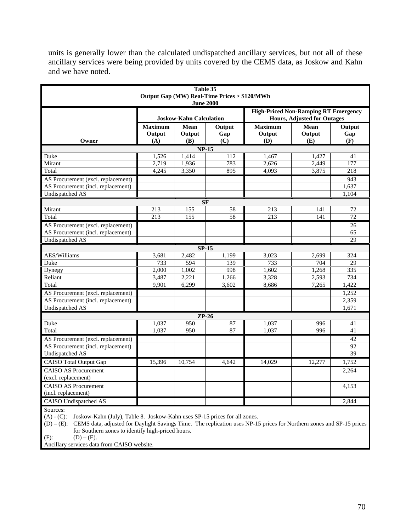units is generally lower than the calculated undispatched ancillary services, but not all of these ancillary services were being provided by units covered by the CEMS data, as Joskow and Kahn and we have noted.

| Table 35<br>Output Gap (MW) Real-Time Prices > \$120/MWh<br><b>June 2000</b> |                                 |                       |                      |                                                                                   |                       |                      |  |  |
|------------------------------------------------------------------------------|---------------------------------|-----------------------|----------------------|-----------------------------------------------------------------------------------|-----------------------|----------------------|--|--|
|                                                                              | <b>Joskow-Kahn Calculation</b>  |                       |                      | <b>High-Priced Non-Ramping RT Emergency</b><br><b>Hours, Adjusted for Outages</b> |                       |                      |  |  |
| Owner                                                                        | <b>Maximum</b><br>Output<br>(A) | Mean<br>Output<br>(B) | Output<br>Gap<br>(C) | <b>Maximum</b><br>Output<br>(D)                                                   | Mean<br>Output<br>(E) | Output<br>Gap<br>(F) |  |  |
| <b>NP-15</b>                                                                 |                                 |                       |                      |                                                                                   |                       |                      |  |  |
| Duke                                                                         | 1,526                           | 1,414                 | 112                  | 1,467                                                                             | 1,427                 | 41                   |  |  |
| Mirant                                                                       | 2,719                           | 1,936                 | 783                  | 2,626                                                                             | 2,449                 | 177                  |  |  |
| Total                                                                        | 4,245                           | 3,350                 | 895                  | 4,093                                                                             | 3,875                 | 218                  |  |  |
| AS Procurement (excl. replacement)                                           |                                 |                       |                      |                                                                                   |                       | 943                  |  |  |
| AS Procurement (incl. replacement)                                           |                                 |                       |                      |                                                                                   |                       | 1,637                |  |  |
| <b>Undispatched AS</b>                                                       |                                 |                       |                      |                                                                                   |                       | 1,104                |  |  |
|                                                                              |                                 | <b>SF</b>             |                      |                                                                                   |                       |                      |  |  |
| Mirant                                                                       | 213                             | 155                   | 58                   | 213                                                                               | 141                   | 72                   |  |  |
| Total                                                                        | 213                             | 155                   | 58                   | 213                                                                               | 141                   | $\overline{72}$      |  |  |
| AS Procurement (excl. replacement)                                           |                                 |                       |                      |                                                                                   |                       | 26                   |  |  |
| AS Procurement (incl. replacement)                                           |                                 |                       |                      |                                                                                   |                       | 65                   |  |  |
| <b>Undispatched AS</b>                                                       |                                 |                       |                      |                                                                                   |                       | 29                   |  |  |
|                                                                              |                                 | $SP-15$               |                      |                                                                                   |                       |                      |  |  |
| <b>AES/Williams</b>                                                          | 3,681                           | 2,482                 | 1,199                | 3,023                                                                             | 2.699                 | 324                  |  |  |
| Duke                                                                         | 733                             | 594                   | 139                  | 733                                                                               | 704                   | 29                   |  |  |
| Dynegy                                                                       | 2,000                           | 1,002                 | 998                  | 1.602                                                                             | 1,268                 | 335                  |  |  |
| Reliant                                                                      | 3,487                           | 2,221                 | 1,266                | 3,328                                                                             | 2,593                 | 734                  |  |  |
| Total                                                                        | 9,901                           | 6,299                 | 3,602                | 8,686                                                                             | 7,265                 | 1,422                |  |  |
| AS Procurement (excl. replacement)                                           |                                 |                       |                      |                                                                                   |                       | 1,252                |  |  |
| AS Procurement (incl. replacement)                                           |                                 |                       |                      |                                                                                   |                       | 2,359                |  |  |
| <b>Undispatched AS</b>                                                       |                                 |                       |                      |                                                                                   |                       | 1,671                |  |  |
|                                                                              |                                 | $ZP-26$               |                      |                                                                                   |                       |                      |  |  |
| Duke                                                                         | 1,037                           | 950                   | 87                   | 1,037                                                                             | 996                   | 41                   |  |  |
| Total                                                                        | 1.037                           | 950                   | 87                   | 1.037                                                                             | 996                   | 41                   |  |  |
| AS Procurement (excl. replacement)                                           |                                 |                       |                      |                                                                                   |                       | 42                   |  |  |
| AS Procurement (incl. replacement)                                           |                                 |                       |                      |                                                                                   |                       | 92                   |  |  |
| <b>Undispatched AS</b>                                                       |                                 |                       |                      |                                                                                   |                       | $\overline{39}$      |  |  |
| <b>CAISO</b> Total Output Gap                                                | 15,396                          | 10,754                | 4,642                | 14,029                                                                            | 12,277                | 1,752                |  |  |
| <b>CAISO AS Procurement</b>                                                  |                                 |                       |                      |                                                                                   |                       | 2,264                |  |  |
| (excl. replacement)                                                          |                                 |                       |                      |                                                                                   |                       |                      |  |  |
| <b>CAISO AS Procurement</b>                                                  |                                 |                       |                      |                                                                                   |                       | 4,153                |  |  |
| (incl. replacement)                                                          |                                 |                       |                      |                                                                                   |                       |                      |  |  |
| <b>CAISO</b> Undispatched AS                                                 |                                 |                       |                      |                                                                                   |                       | 2,844                |  |  |
| Sources:                                                                     |                                 |                       |                      |                                                                                   |                       |                      |  |  |

Sources:

(A) - (C): Joskow-Kahn (July), Table 8. Joskow-Kahn uses SP-15 prices for all zones.

(D) – (E): CEMS data, adjusted for Daylight Savings Time. The replication uses NP-15 prices for Northern zones and SP-15 prices for Southern zones to identify high-priced hours.

(F): (D) – (E).

Ancillary services data from CAISO website.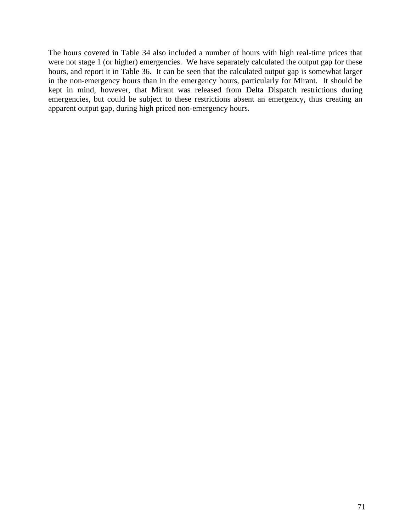The hours covered in Table 34 also included a number of hours with high real-time prices that were not stage 1 (or higher) emergencies. We have separately calculated the output gap for these hours, and report it in Table 36. It can be seen that the calculated output gap is somewhat larger in the non-emergency hours than in the emergency hours, particularly for Mirant. It should be kept in mind, however, that Mirant was released from Delta Dispatch restrictions during emergencies, but could be subject to these restrictions absent an emergency, thus creating an apparent output gap, during high priced non-emergency hours.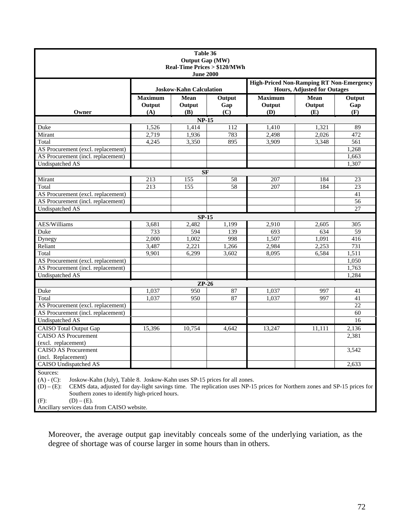| Table 36                                                                                   |                                                 |                    |                 |                |                                    |                 |  |                  |  |
|--------------------------------------------------------------------------------------------|-------------------------------------------------|--------------------|-----------------|----------------|------------------------------------|-----------------|--|------------------|--|
| <b>Output Gap (MW)</b><br><b>Real-Time Prices &gt; \$120/MWh</b>                           |                                                 |                    |                 |                |                                    |                 |  |                  |  |
|                                                                                            |                                                 |                    |                 |                |                                    |                 |  | <b>June 2000</b> |  |
|                                                                                            | <b>High-Priced Non-Ramping RT Non-Emergency</b> |                    |                 |                |                                    |                 |  |                  |  |
|                                                                                            | <b>Joskow-Kahn Calculation</b>                  |                    |                 |                | <b>Hours, Adjusted for Outages</b> |                 |  |                  |  |
|                                                                                            | <b>Maximum</b>                                  | Mean               | Output          | <b>Maximum</b> | <b>Mean</b>                        | Output          |  |                  |  |
|                                                                                            | Output                                          | Output             | Gap             | Output         | Output                             | Gap             |  |                  |  |
| Owner                                                                                      | (A)                                             | (B)                | (C)             | (D)            | (E)                                | (F)             |  |                  |  |
| $NP-15$                                                                                    |                                                 |                    |                 |                |                                    |                 |  |                  |  |
| Duke                                                                                       | 1,526                                           | 1,414              | 112             | 1,410          | 1,321                              | 89              |  |                  |  |
| Mirant                                                                                     | 2,719                                           | 1,936              | 783             | 2,498          | 2,026                              | 472             |  |                  |  |
| Total                                                                                      | 4,245                                           | 3,350              | 895             | 3,909          | 3,348                              | 561             |  |                  |  |
| AS Procurement (excl. replacement)                                                         |                                                 |                    |                 |                |                                    | 1,268           |  |                  |  |
| AS Procurement (incl. replacement)                                                         |                                                 |                    |                 |                |                                    | 1,663           |  |                  |  |
| <b>Undispatched AS</b>                                                                     |                                                 |                    |                 |                |                                    | 1,307           |  |                  |  |
|                                                                                            |                                                 | <b>SF</b>          |                 |                |                                    |                 |  |                  |  |
| Mirant                                                                                     | 213                                             | 155                | $\overline{58}$ | 207            | 184                                | 23              |  |                  |  |
| Total                                                                                      | 213                                             | 155                | 58              | 207            | 184                                | 23              |  |                  |  |
| AS Procurement (excl. replacement)                                                         |                                                 |                    |                 |                |                                    | 41              |  |                  |  |
| AS Procurement (incl. replacement)                                                         |                                                 |                    |                 |                |                                    | 56              |  |                  |  |
| <b>Undispatched AS</b>                                                                     |                                                 |                    |                 |                |                                    | $\overline{27}$ |  |                  |  |
|                                                                                            |                                                 | $SP-15$            |                 |                |                                    |                 |  |                  |  |
| <b>AES/Williams</b>                                                                        | 3.681                                           | 2.482              | 1.199           | 2.910          | 2.605                              | 305             |  |                  |  |
| Duke                                                                                       | 733                                             | 594                | 139             | 693            | 634                                | 59              |  |                  |  |
| Dynegy                                                                                     | 2,000                                           | 1,002              | 998             | 1,507          | 1,091                              | 416             |  |                  |  |
| Reliant                                                                                    | 3,487                                           | 2,221              | 1,266           | 2,984          | 2,253                              | 731             |  |                  |  |
| Total                                                                                      | 9,901                                           | 6,299              | 3,602           | 8,095          | 6,584                              | 1,511           |  |                  |  |
| AS Procurement (excl. replacement)                                                         |                                                 |                    |                 |                |                                    | 1,050           |  |                  |  |
| AS Procurement (incl. replacement)                                                         |                                                 |                    |                 |                |                                    | 1,763           |  |                  |  |
| <b>Undispatched AS</b>                                                                     |                                                 |                    |                 |                |                                    | 1,284           |  |                  |  |
|                                                                                            |                                                 | $\overline{ZP-26}$ |                 |                |                                    |                 |  |                  |  |
| Duke                                                                                       | 1,037                                           | 950                | 87              | 1,037          | 997                                | 41              |  |                  |  |
| Total                                                                                      | 1,037                                           | 950                | 87              | 1,037          | 997                                | 41              |  |                  |  |
| AS Procurement (excl. replacement)                                                         |                                                 |                    |                 |                |                                    | $\overline{22}$ |  |                  |  |
| AS Procurement (incl. replacement)                                                         |                                                 |                    |                 |                |                                    | 60              |  |                  |  |
| <b>Undispatched AS</b>                                                                     |                                                 |                    |                 |                |                                    | 16              |  |                  |  |
| <b>CAISO</b> Total Output Gap                                                              | 15,396                                          | 10.754             | 4.642           | 13.247         | 11.111                             | 2,136           |  |                  |  |
| <b>CAISO AS Procurement</b>                                                                |                                                 |                    |                 |                |                                    | 2,381           |  |                  |  |
| (excl. replacement)                                                                        |                                                 |                    |                 |                |                                    |                 |  |                  |  |
| <b>CAISO AS Procurement</b>                                                                |                                                 |                    |                 |                |                                    | 3,542           |  |                  |  |
| (incl. Replacement)                                                                        |                                                 |                    |                 |                |                                    |                 |  |                  |  |
| <b>CAISO</b> Undispatched AS                                                               |                                                 |                    |                 |                |                                    | 2,633           |  |                  |  |
| Sources:                                                                                   |                                                 |                    |                 |                |                                    |                 |  |                  |  |
| $(A) - (C)$ :<br>Joskow-Kahn (July), Table 8. Joskow-Kahn uses SP-15 prices for all zones. |                                                 |                    |                 |                |                                    |                 |  |                  |  |

(D) – (E): CEMS data, adjusted for day-light savings time. The replication uses NP-15 prices for Northern zones and SP-15 prices for Southern zones to identify high-priced hours.

(F): (D) – (E).

Ancillary services data from CAISO website.

Moreover, the average output gap inevitably conceals some of the underlying variation, as the degree of shortage was of course larger in some hours than in others.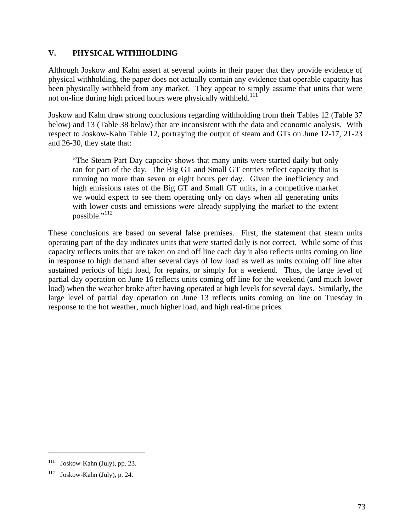## **V. PHYSICAL WITHHOLDING**

Although Joskow and Kahn assert at several points in their paper that they provide evidence of physical withholding, the paper does not actually contain any evidence that operable capacity has been physically withheld from any market. They appear to simply assume that units that were not on-line during high priced hours were physically withheld.<sup>111</sup>

Joskow and Kahn draw strong conclusions regarding withholding from their Tables 12 (Table 37 below) and 13 (Table 38 below) that are inconsistent with the data and economic analysis. With respect to Joskow-Kahn Table 12, portraying the output of steam and GTs on June 12-17, 21-23 and 26-30, they state that:

"The Steam Part Day capacity shows that many units were started daily but only ran for part of the day. The Big GT and Small GT entries reflect capacity that is running no more than seven or eight hours per day. Given the inefficiency and high emissions rates of the Big GT and Small GT units, in a competitive market we would expect to see them operating only on days when all generating units with lower costs and emissions were already supplying the market to the extent possible." $112$ 

These conclusions are based on several false premises. First, the statement that steam units operating part of the day indicates units that were started daily is not correct. While some of this capacity reflects units that are taken on and off line each day it also reflects units coming on line in response to high demand after several days of low load as well as units coming off line after sustained periods of high load, for repairs, or simply for a weekend. Thus, the large level of partial day operation on June 16 reflects units coming off line for the weekend (and much lower load) when the weather broke after having operated at high levels for several days. Similarly, the large level of partial day operation on June 13 reflects units coming on line on Tuesday in response to the hot weather, much higher load, and high real-time prices.

 $111$  Joskow-Kahn (July), pp. 23.

 $112$  Joskow-Kahn (July), p. 24.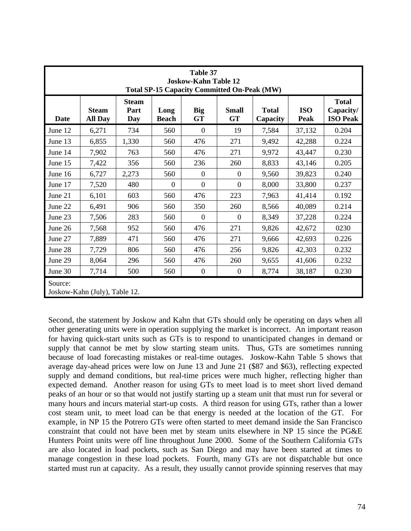| Table 37<br><b>Joskow-Kahn Table 12</b><br><b>Total SP-15 Capacity Committed On-Peak (MW)</b> |                                |                             |                      |                  |                           |                          |                    |                                              |
|-----------------------------------------------------------------------------------------------|--------------------------------|-----------------------------|----------------------|------------------|---------------------------|--------------------------|--------------------|----------------------------------------------|
| Date                                                                                          | <b>Steam</b><br><b>All Day</b> | <b>Steam</b><br>Part<br>Day | Long<br><b>Beach</b> | Big<br><b>GT</b> | <b>Small</b><br><b>GT</b> | <b>Total</b><br>Capacity | <b>ISO</b><br>Peak | <b>Total</b><br>Capacity/<br><b>ISO Peak</b> |
| June 12                                                                                       | 6,271                          | 734                         | 560                  | $\Omega$         | 19                        | 7,584                    | 37,132             | 0.204                                        |
| June 13                                                                                       | 6,855                          | 1,330                       | 560                  | 476              | 271                       | 9,492                    | 42,288             | 0.224                                        |
| June 14                                                                                       | 7,902                          | 763                         | 560                  | 476              | 271                       | 9,972                    | 43,447             | 0.230                                        |
| June 15                                                                                       | 7,422                          | 356                         | 560                  | 236              | 260                       | 8,833                    | 43,146             | 0.205                                        |
| June 16                                                                                       | 6,727                          | 2,273                       | 560                  | $\theta$         | $\theta$                  | 9,560                    | 39,823             | 0.240                                        |
| June 17                                                                                       | 7,520                          | 480                         | $\theta$             | $\overline{0}$   | $\theta$                  | 8,000                    | 33,800             | 0.237                                        |
| June 21                                                                                       | 6,101                          | 603                         | 560                  | 476              | 223                       | 7,963                    | 41,414             | 0.192                                        |
| June 22                                                                                       | 6,491                          | 906                         | 560                  | 350              | 260                       | 8,566                    | 40,089             | 0.214                                        |
| June 23                                                                                       | 7,506                          | 283                         | 560                  | $\overline{0}$   | $\theta$                  | 8,349                    | 37,228             | 0.224                                        |
| June 26                                                                                       | 7,568                          | 952                         | 560                  | 476              | 271                       | 9,826                    | 42,672             | 0230                                         |
| June 27                                                                                       | 7,889                          | 471                         | 560                  | 476              | 271                       | 9,666                    | 42,693             | 0.226                                        |
| June 28                                                                                       | 7,729                          | 806                         | 560                  | 476              | 256                       | 9,826                    | 42,303             | 0.232                                        |
| June 29                                                                                       | 8,064                          | 296                         | 560                  | 476              | 260                       | 9,655                    | 41,606             | 0.232                                        |
| June 30                                                                                       | 7,714                          | 500                         | 560                  | $\boldsymbol{0}$ | $\boldsymbol{0}$          | 8,774                    | 38,187             | 0.230                                        |
| Source:<br>Joskow-Kahn (July), Table 12.                                                      |                                |                             |                      |                  |                           |                          |                    |                                              |

Second, the statement by Joskow and Kahn that GTs should only be operating on days when all other generating units were in operation supplying the market is incorrect. An important reason for having quick-start units such as GTs is to respond to unanticipated changes in demand or supply that cannot be met by slow starting steam units. Thus, GTs are sometimes running because of load forecasting mistakes or real-time outages. Joskow-Kahn Table 5 shows that average day-ahead prices were low on June 13 and June 21 (\$87 and \$63), reflecting expected supply and demand conditions, but real-time prices were much higher, reflecting higher than expected demand. Another reason for using GTs to meet load is to meet short lived demand peaks of an hour or so that would not justify starting up a steam unit that must run for several or many hours and incurs material start-up costs. A third reason for using GTs, rather than a lower cost steam unit, to meet load can be that energy is needed at the location of the GT. For example, in NP 15 the Potrero GTs were often started to meet demand inside the San Francisco constraint that could not have been met by steam units elsewhere in NP 15 since the PG&E Hunters Point units were off line throughout June 2000. Some of the Southern California GTs are also located in load pockets, such as San Diego and may have been started at times to manage congestion in these load pockets. Fourth, many GTs are not dispatchable but once started must run at capacity. As a result, they usually cannot provide spinning reserves that may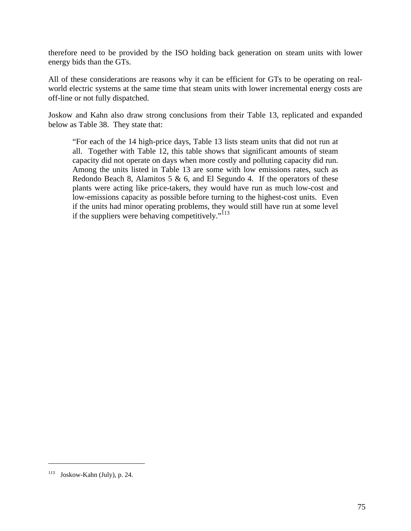therefore need to be provided by the ISO holding back generation on steam units with lower energy bids than the GTs.

All of these considerations are reasons why it can be efficient for GTs to be operating on realworld electric systems at the same time that steam units with lower incremental energy costs are off-line or not fully dispatched.

Joskow and Kahn also draw strong conclusions from their Table 13, replicated and expanded below as Table 38. They state that:

"For each of the 14 high-price days, Table 13 lists steam units that did not run at all. Together with Table 12, this table shows that significant amounts of steam capacity did not operate on days when more costly and polluting capacity did run. Among the units listed in Table 13 are some with low emissions rates, such as Redondo Beach 8, Alamitos 5  $\&$  6, and El Segundo 4. If the operators of these plants were acting like price-takers, they would have run as much low-cost and low-emissions capacity as possible before turning to the highest-cost units. Even if the units had minor operating problems, they would still have run at some level if the suppliers were behaving competitively." $\frac{1}{113}$ 

<sup>113</sup> Joskow-Kahn (July), p. 24.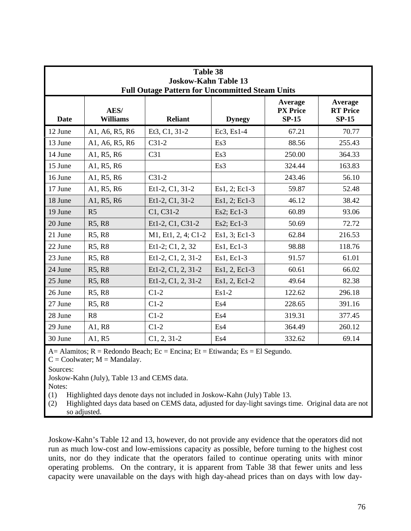| Table 38                                                                              |                         |                     |               |                                       |                                       |  |  |  |
|---------------------------------------------------------------------------------------|-------------------------|---------------------|---------------|---------------------------------------|---------------------------------------|--|--|--|
| <b>Joskow-Kahn Table 13</b><br><b>Full Outage Pattern for Uncommitted Steam Units</b> |                         |                     |               |                                       |                                       |  |  |  |
| <b>Date</b>                                                                           | AES/<br><b>Williams</b> | <b>Reliant</b>      | <b>Dynegy</b> | Average<br><b>PX</b> Price<br>$SP-15$ | Average<br><b>RT</b> Price<br>$SP-15$ |  |  |  |
| 12 June                                                                               | A1, A6, R5, R6          | Et3, C1, 31-2       | $Ec3, Es1-4$  | 67.21                                 | 70.77                                 |  |  |  |
| 13 June                                                                               | A1, A6, R5, R6          | $C31-2$             | Es3           | 88.56                                 | 255.43                                |  |  |  |
| 14 June                                                                               | A1, R5, R6              | C <sub>31</sub>     | Es3           | 250.00                                | 364.33                                |  |  |  |
| 15 June                                                                               | A1, R5, R6              |                     | Es3           | 324.44                                | 163.83                                |  |  |  |
| 16 June                                                                               | A1, R5, R6              | $C31-2$             |               | 243.46                                | 56.10                                 |  |  |  |
| 17 June                                                                               | A1, R5, R6              | Et1-2, C1, 31-2     | Es1, 2; Ec1-3 | 59.87                                 | 52.48                                 |  |  |  |
| 18 June                                                                               | A1, R5, R6              | Et1-2, C1, 31-2     | Es1, 2; Ec1-3 | 46.12                                 | 38.42                                 |  |  |  |
| 19 June                                                                               | R <sub>5</sub>          | C1, C31-2           | Es2; Ec1-3    | 60.89                                 | 93.06                                 |  |  |  |
| 20 June                                                                               | R5, R8                  | Et1-2, C1, C31-2    | Es2; Ec1-3    | 50.69                                 | 72.72                                 |  |  |  |
| 21 June                                                                               | R5, R8                  | M1, Et1, 2, 4; C1-2 | Es1, 3; Ec1-3 | 62.84                                 | 216.53                                |  |  |  |
| 22 June                                                                               | R5, R8                  | Et1-2; C1, 2, 32    | Es1, Ec1-3    | 98.88                                 | 118.76                                |  |  |  |
| 23 June                                                                               | R5, R8                  | Et1-2, C1, 2, 31-2  | Es1, Ec1-3    | 91.57                                 | 61.01                                 |  |  |  |
| 24 June                                                                               | R5, R8                  | Et1-2, C1, 2, 31-2  | Es1, 2, Ec1-3 | 60.61                                 | 66.02                                 |  |  |  |
| 25 June                                                                               | R5, R8                  | Et1-2, C1, 2, 31-2  | Es1, 2, Ec1-2 | 49.64                                 | 82.38                                 |  |  |  |
| 26 June                                                                               | R5, R8                  | $C1-2$              | $Es1-2$       | 122.62                                | 296.18                                |  |  |  |
| 27 June                                                                               | R5, R8                  | $C1-2$              | Es4           | 228.65                                | 391.16                                |  |  |  |
| 28 June                                                                               | R8                      | $C1-2$              | Es4           | 319.31                                | 377.45                                |  |  |  |
| 29 June                                                                               | A1, R8                  | $C1-2$              | Es4           | 364.49                                | 260.12                                |  |  |  |
| 30 June                                                                               | A1, R5                  | $C1, 2, 31-2$       | Es4           | 332.62                                | 69.14                                 |  |  |  |

 $A=$  Alamitos;  $R =$  Redondo Beach;  $Ec =$  Encina;  $Et =$  Etiwanda;  $Es =$  El Segundo.

 $C = \text{Coolwater}$ ;  $M = \text{Mandalay}$ .

Sources:

Joskow-Kahn (July), Table 13 and CEMS data.

Notes:

(1) Highlighted days denote days not included in Joskow-Kahn (July) Table 13.

(2) Highlighted days data based on CEMS data, adjusted for day-light savings time. Original data are not so adjusted.

Joskow-Kahn's Table 12 and 13, however, do not provide any evidence that the operators did not run as much low-cost and low-emissions capacity as possible, before turning to the highest cost units, nor do they indicate that the operators failed to continue operating units with minor operating problems. On the contrary, it is apparent from Table 38 that fewer units and less capacity were unavailable on the days with high day-ahead prices than on days with low day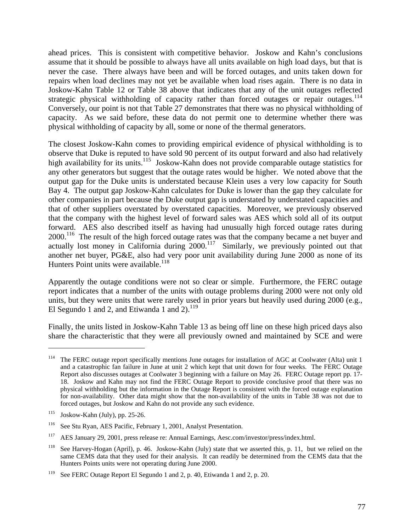ahead prices. This is consistent with competitive behavior. Joskow and Kahn's conclusions assume that it should be possible to always have all units available on high load days, but that is never the case. There always have been and will be forced outages, and units taken down for repairs when load declines may not yet be available when load rises again. There is no data in Joskow-Kahn Table 12 or Table 38 above that indicates that any of the unit outages reflected strategic physical withholding of capacity rather than forced outages or repair outages.<sup>114</sup> Conversely, our point is not that Table 27 demonstrates that there was no physical withholding of capacity. As we said before, these data do not permit one to determine whether there was physical withholding of capacity by all, some or none of the thermal generators.

The closest Joskow-Kahn comes to providing empirical evidence of physical withholding is to observe that Duke is reputed to have sold 90 percent of its output forward and also had relatively high availability for its units.<sup>115</sup> Joskow-Kahn does not provide comparable outage statistics for any other generators but suggest that the outage rates would be higher. We noted above that the output gap for the Duke units is understated because Klein uses a very low capacity for South Bay 4. The output gap Joskow-Kahn calculates for Duke is lower than the gap they calculate for other companies in part because the Duke output gap is understated by understated capacities and that of other suppliers overstated by overstated capacities. Moreover, we previously observed that the company with the highest level of forward sales was AES which sold all of its output forward. AES also described itself as having had unusually high forced outage rates during 2000.<sup>116</sup> The result of the high forced outage rates was that the company became a net buyer and actually lost money in California during  $2000$ .<sup>117</sup> Similarly, we previously pointed out that another net buyer, PG&E, also had very poor unit availability during June 2000 as none of its Hunters Point units were available.<sup>118</sup>

Apparently the outage conditions were not so clear or simple. Furthermore, the FERC outage report indicates that a number of the units with outage problems during 2000 were not only old units, but they were units that were rarely used in prior years but heavily used during 2000 (e.g., El Segundo 1 and 2, and Etiwanda 1 and  $2$ ).<sup>119</sup>

Finally, the units listed in Joskow-Kahn Table 13 as being off line on these high priced days also share the characteristic that they were all previously owned and maintained by SCE and were

<sup>&</sup>lt;sup>114</sup> The FERC outage report specifically mentions June outages for installation of AGC at Coolwater (Alta) unit 1 and a catastrophic fan failure in June at unit 2 which kept that unit down for four weeks. The FERC Outage Report also discusses outages at Coolwater 3 beginning with a failure on May 26. FERC Outage report pp. 17- 18. Joskow and Kahn may not find the FERC Outage Report to provide conclusive proof that there was no physical withholding but the information in the Outage Report is consistent with the forced outage explanation for non-availability. Other data might show that the non-availability of the units in Table 38 was not due to forced outages, but Joskow and Kahn do not provide any such evidence.

 $115$  Joskow-Kahn (July), pp. 25-26.

<sup>116</sup> See Stu Ryan, AES Pacific, February 1, 2001, Analyst Presentation.

<sup>&</sup>lt;sup>117</sup> AES January 29, 2001, press release re: Annual Earnings, Aesc.com/investor/press/index.html.

<sup>&</sup>lt;sup>118</sup> See Harvey-Hogan (April), p. 46. Joskow-Kahn (July) state that we asserted this, p. 11, but we relied on the same CEMS data that they used for their analysis. It can readily be determined from the CEMS data that the Hunters Points units were not operating during June 2000.

<sup>&</sup>lt;sup>119</sup> See FERC Outage Report El Segundo 1 and 2, p. 40, Etiwanda 1 and 2, p. 20.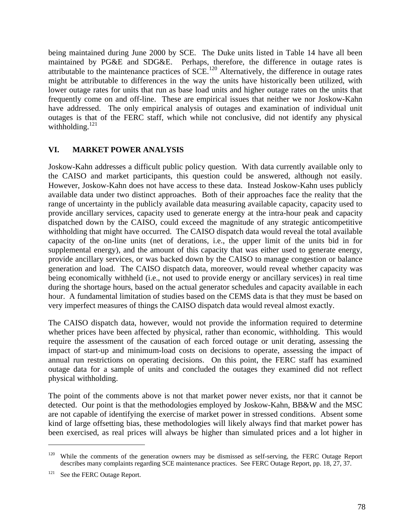being maintained during June 2000 by SCE. The Duke units listed in Table 14 have all been maintained by PG&E and SDG&E. Perhaps, therefore, the difference in outage rates is attributable to the maintenance practices of  $SCE$ .<sup>120</sup> Alternatively, the difference in outage rates might be attributable to differences in the way the units have historically been utilized, with lower outage rates for units that run as base load units and higher outage rates on the units that frequently come on and off-line. These are empirical issues that neither we nor Joskow-Kahn have addressed. The only empirical analysis of outages and examination of individual unit outages is that of the FERC staff, which while not conclusive, did not identify any physical withholding. $121$ 

## **VI. MARKET POWER ANALYSIS**

Joskow-Kahn addresses a difficult public policy question. With data currently available only to the CAISO and market participants, this question could be answered, although not easily. However, Joskow-Kahn does not have access to these data. Instead Joskow-Kahn uses publicly available data under two distinct approaches. Both of their approaches face the reality that the range of uncertainty in the publicly available data measuring available capacity, capacity used to provide ancillary services, capacity used to generate energy at the intra-hour peak and capacity dispatched down by the CAISO, could exceed the magnitude of any strategic anticompetitive withholding that might have occurred. The CAISO dispatch data would reveal the total available capacity of the on-line units (net of derations, i.e., the upper limit of the units bid in for supplemental energy), and the amount of this capacity that was either used to generate energy, provide ancillary services, or was backed down by the CAISO to manage congestion or balance generation and load. The CAISO dispatch data, moreover, would reveal whether capacity was being economically withheld (i.e., not used to provide energy or ancillary services) in real time during the shortage hours, based on the actual generator schedules and capacity available in each hour. A fundamental limitation of studies based on the CEMS data is that they must be based on very imperfect measures of things the CAISO dispatch data would reveal almost exactly.

The CAISO dispatch data, however, would not provide the information required to determine whether prices have been affected by physical, rather than economic, withholding. This would require the assessment of the causation of each forced outage or unit derating, assessing the impact of start-up and minimum-load costs on decisions to operate, assessing the impact of annual run restrictions on operating decisions. On this point, the FERC staff has examined outage data for a sample of units and concluded the outages they examined did not reflect physical withholding.

The point of the comments above is not that market power never exists, nor that it cannot be detected. Our point is that the methodologies employed by Joskow-Kahn, BB&W and the MSC are not capable of identifying the exercise of market power in stressed conditions. Absent some kind of large offsetting bias, these methodologies will likely always find that market power has been exercised, as real prices will always be higher than simulated prices and a lot higher in

<sup>&</sup>lt;sup>120</sup> While the comments of the generation owners may be dismissed as self-serving, the FERC Outage Report describes many complaints regarding SCE maintenance practices. See FERC Outage Report, pp. 18, 27, 37.

<sup>&</sup>lt;sup>121</sup> See the FERC Outage Report.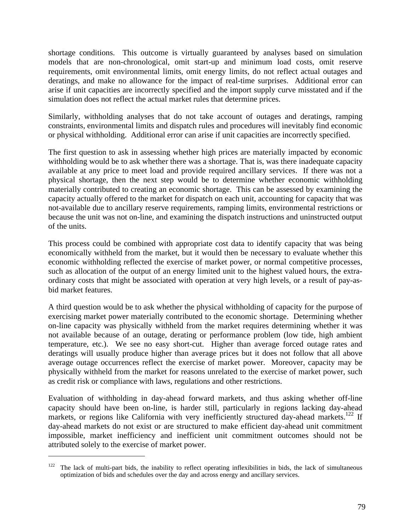shortage conditions. This outcome is virtually guaranteed by analyses based on simulation models that are non-chronological, omit start-up and minimum load costs, omit reserve requirements, omit environmental limits, omit energy limits, do not reflect actual outages and deratings, and make no allowance for the impact of real-time surprises. Additional error can arise if unit capacities are incorrectly specified and the import supply curve misstated and if the simulation does not reflect the actual market rules that determine prices.

Similarly, withholding analyses that do not take account of outages and deratings, ramping constraints, environmental limits and dispatch rules and procedures will inevitably find economic or physical withholding. Additional error can arise if unit capacities are incorrectly specified.

The first question to ask in assessing whether high prices are materially impacted by economic withholding would be to ask whether there was a shortage. That is, was there inadequate capacity available at any price to meet load and provide required ancillary services. If there was not a physical shortage, then the next step would be to determine whether economic withholding materially contributed to creating an economic shortage. This can be assessed by examining the capacity actually offered to the market for dispatch on each unit, accounting for capacity that was not-available due to ancillary reserve requirements, ramping limits, environmental restrictions or because the unit was not on-line, and examining the dispatch instructions and uninstructed output of the units.

This process could be combined with appropriate cost data to identify capacity that was being economically withheld from the market, but it would then be necessary to evaluate whether this economic withholding reflected the exercise of market power, or normal competitive processes, such as allocation of the output of an energy limited unit to the highest valued hours, the extraordinary costs that might be associated with operation at very high levels, or a result of pay-asbid market features.

A third question would be to ask whether the physical withholding of capacity for the purpose of exercising market power materially contributed to the economic shortage. Determining whether on-line capacity was physically withheld from the market requires determining whether it was not available because of an outage, derating or performance problem (low tide, high ambient temperature, etc.). We see no easy short-cut. Higher than average forced outage rates and deratings will usually produce higher than average prices but it does not follow that all above average outage occurrences reflect the exercise of market power. Moreover, capacity may be physically withheld from the market for reasons unrelated to the exercise of market power, such as credit risk or compliance with laws, regulations and other restrictions.

Evaluation of withholding in day-ahead forward markets, and thus asking whether off-line capacity should have been on-line, is harder still, particularly in regions lacking day-ahead markets, or regions like California with very inefficiently structured day-ahead markets.<sup>122</sup> If day-ahead markets do not exist or are structured to make efficient day-ahead unit commitment impossible, market inefficiency and inefficient unit commitment outcomes should not be attributed solely to the exercise of market power.

<u>.</u>

The lack of multi-part bids, the inability to reflect operating inflexibilities in bids, the lack of simultaneous optimization of bids and schedules over the day and across energy and ancillary services.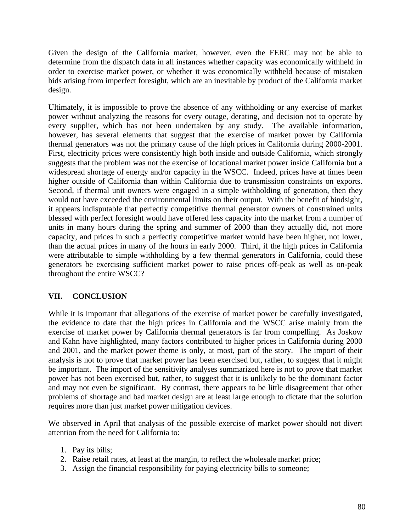Given the design of the California market, however, even the FERC may not be able to determine from the dispatch data in all instances whether capacity was economically withheld in order to exercise market power, or whether it was economically withheld because of mistaken bids arising from imperfect foresight, which are an inevitable by product of the California market design.

Ultimately, it is impossible to prove the absence of any withholding or any exercise of market power without analyzing the reasons for every outage, derating, and decision not to operate by every supplier, which has not been undertaken by any study. The available information, however, has several elements that suggest that the exercise of market power by California thermal generators was not the primary cause of the high prices in California during 2000-2001. First, electricity prices were consistently high both inside and outside California, which strongly suggests that the problem was not the exercise of locational market power inside California but a widespread shortage of energy and/or capacity in the WSCC. Indeed, prices have at times been higher outside of California than within California due to transmission constraints on exports. Second, if thermal unit owners were engaged in a simple withholding of generation, then they would not have exceeded the environmental limits on their output. With the benefit of hindsight, it appears indisputable that perfectly competitive thermal generator owners of constrained units blessed with perfect foresight would have offered less capacity into the market from a number of units in many hours during the spring and summer of 2000 than they actually did, not more capacity, and prices in such a perfectly competitive market would have been higher, not lower, than the actual prices in many of the hours in early 2000. Third, if the high prices in California were attributable to simple withholding by a few thermal generators in California, could these generators be exercising sufficient market power to raise prices off-peak as well as on-peak throughout the entire WSCC?

## **VII. CONCLUSION**

While it is important that allegations of the exercise of market power be carefully investigated, the evidence to date that the high prices in California and the WSCC arise mainly from the exercise of market power by California thermal generators is far from compelling. As Joskow and Kahn have highlighted, many factors contributed to higher prices in California during 2000 and 2001, and the market power theme is only, at most, part of the story. The import of their analysis is not to prove that market power has been exercised but, rather, to suggest that it might be important. The import of the sensitivity analyses summarized here is not to prove that market power has not been exercised but, rather, to suggest that it is unlikely to be the dominant factor and may not even be significant. By contrast, there appears to be little disagreement that other problems of shortage and bad market design are at least large enough to dictate that the solution requires more than just market power mitigation devices.

We observed in April that analysis of the possible exercise of market power should not divert attention from the need for California to:

- 1. Pay its bills;
- 2. Raise retail rates, at least at the margin, to reflect the wholesale market price;
- 3. Assign the financial responsibility for paying electricity bills to someone;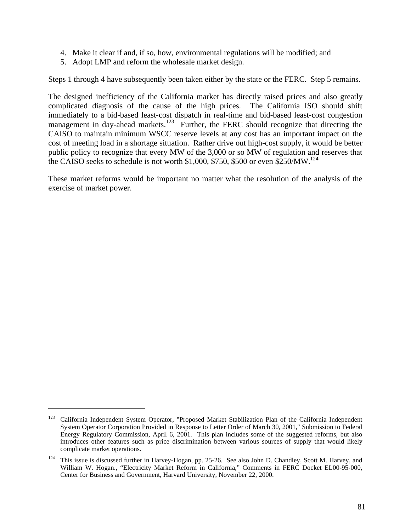- 4. Make it clear if and, if so, how, environmental regulations will be modified; and
- 5. Adopt LMP and reform the wholesale market design.

Steps 1 through 4 have subsequently been taken either by the state or the FERC. Step 5 remains.

The designed inefficiency of the California market has directly raised prices and also greatly complicated diagnosis of the cause of the high prices. The California ISO should shift immediately to a bid-based least-cost dispatch in real-time and bid-based least-cost congestion management in day-ahead markets.<sup>123</sup> Further, the FERC should recognize that directing the CAISO to maintain minimum WSCC reserve levels at any cost has an important impact on the cost of meeting load in a shortage situation. Rather drive out high-cost supply, it would be better public policy to recognize that every MW of the 3,000 or so MW of regulation and reserves that the CAISO seeks to schedule is not worth \$1,000, \$750, \$500 or even \$250/MW.<sup>124</sup>

These market reforms would be important no matter what the resolution of the analysis of the exercise of market power.

<sup>&</sup>lt;sup>123</sup> California Independent System Operator, "Proposed Market Stabilization Plan of the California Independent System Operator Corporation Provided in Response to Letter Order of March 30, 2001," Submission to Federal Energy Regulatory Commission, April 6, 2001. This plan includes some of the suggested reforms, but also introduces other features such as price discrimination between various sources of supply that would likely complicate market operations.

<sup>&</sup>lt;sup>124</sup> This issue is discussed further in Harvey-Hogan, pp. 25-26. See also John D. Chandley, Scott M. Harvey, and William W. Hogan., "Electricity Market Reform in California," Comments in FERC Docket EL00-95-000, Center for Business and Government, Harvard University, November 22, 2000.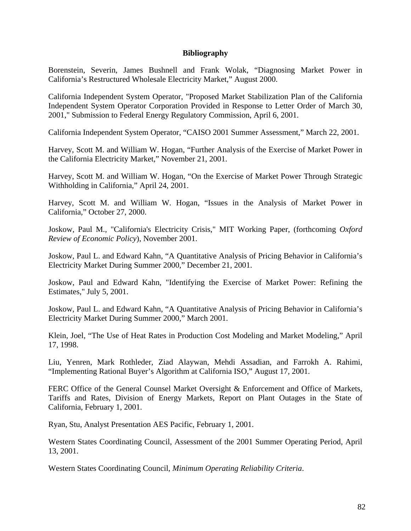## **Bibliography**

Borenstein, Severin, James Bushnell and Frank Wolak, "Diagnosing Market Power in California's Restructured Wholesale Electricity Market," August 2000.

California Independent System Operator, "Proposed Market Stabilization Plan of the California Independent System Operator Corporation Provided in Response to Letter Order of March 30, 2001," Submission to Federal Energy Regulatory Commission, April 6, 2001.

California Independent System Operator, "CAISO 2001 Summer Assessment," March 22, 2001.

Harvey, Scott M. and William W. Hogan, "Further Analysis of the Exercise of Market Power in the California Electricity Market," November 21, 2001.

Harvey, Scott M. and William W. Hogan, "On the Exercise of Market Power Through Strategic Withholding in California," April 24, 2001.

Harvey, Scott M. and William W. Hogan, "Issues in the Analysis of Market Power in California," October 27, 2000.

Joskow, Paul M., "California's Electricity Crisis," MIT Working Paper, (forthcoming *Oxford Review of Economic Policy*), November 2001.

Joskow, Paul L. and Edward Kahn, "A Quantitative Analysis of Pricing Behavior in California's Electricity Market During Summer 2000," December 21, 2001.

Joskow, Paul and Edward Kahn, "Identifying the Exercise of Market Power: Refining the Estimates," July 5, 2001.

Joskow, Paul L. and Edward Kahn, "A Quantitative Analysis of Pricing Behavior in California's Electricity Market During Summer 2000," March 2001.

Klein, Joel, "The Use of Heat Rates in Production Cost Modeling and Market Modeling," April 17, 1998.

Liu, Yenren, Mark Rothleder, Ziad Alaywan, Mehdi Assadian, and Farrokh A. Rahimi, "Implementing Rational Buyer's Algorithm at California ISO," August 17, 2001.

FERC Office of the General Counsel Market Oversight & Enforcement and Office of Markets, Tariffs and Rates, Division of Energy Markets, Report on Plant Outages in the State of California, February 1, 2001.

Ryan, Stu, Analyst Presentation AES Pacific, February 1, 2001.

Western States Coordinating Council, Assessment of the 2001 Summer Operating Period, April 13, 2001.

Western States Coordinating Council, *Minimum Operating Reliability Criteria*.